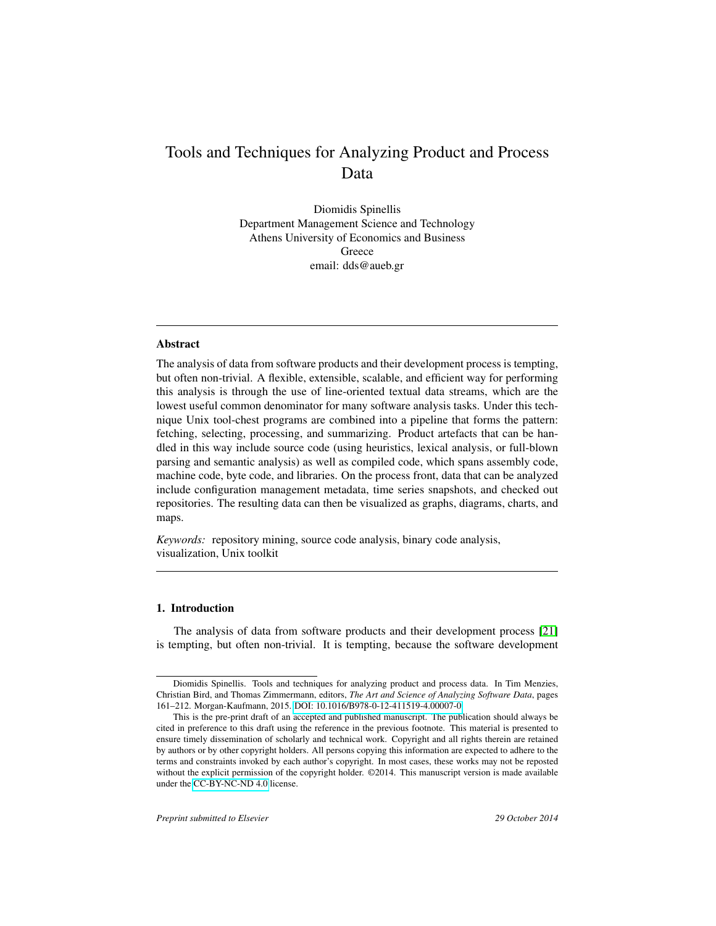# Tools and Techniques for Analyzing Product and Process Data

Diomidis Spinellis Department Management Science and Technology Athens University of Economics and Business Greece email: dds@aueb.gr

#### Abstract

The analysis of data from software products and their development process is tempting, but often non-trivial. A flexible, extensible, scalable, and efficient way for performing this analysis is through the use of line-oriented textual data streams, which are the lowest useful common denominator for many software analysis tasks. Under this technique Unix tool-chest programs are combined into a pipeline that forms the pattern: fetching, selecting, processing, and summarizing. Product artefacts that can be handled in this way include source code (using heuristics, lexical analysis, or full-blown parsing and semantic analysis) as well as compiled code, which spans assembly code, machine code, byte code, and libraries. On the process front, data that can be analyzed include configuration management metadata, time series snapshots, and checked out repositories. The resulting data can then be visualized as graphs, diagrams, charts, and maps.

*Keywords:* repository mining, source code analysis, binary code analysis, visualization, Unix toolkit

#### 1. Introduction

The analysis of data from software products and their development process [\[21\]](#page-52-0) is tempting, but often non-trivial. It is tempting, because the software development

Diomidis Spinellis. Tools and techniques for analyzing product and process data. In Tim Menzies, Christian Bird, and Thomas Zimmermann, editors, *The Art and Science of Analyzing Software Data*, pages 161–212. Morgan-Kaufmann, 2015. [DOI: 10.1016/B978-0-12-411519-4.00007-0](https://doi.org/10.1016/B978-0-12-411519-4.00007-0)

This is the pre-print draft of an accepted and published manuscript. The publication should always be cited in preference to this draft using the reference in the previous footnote. This material is presented to ensure timely dissemination of scholarly and technical work. Copyright and all rights therein are retained by authors or by other copyright holders. All persons copying this information are expected to adhere to the terms and constraints invoked by each author's copyright. In most cases, these works may not be reposted without the explicit permission of the copyright holder. ©2014. This manuscript version is made available under the [CC-BY-NC-ND 4.0](http://creativecommons.org/licenses/by-nc-nd/4.0/) license.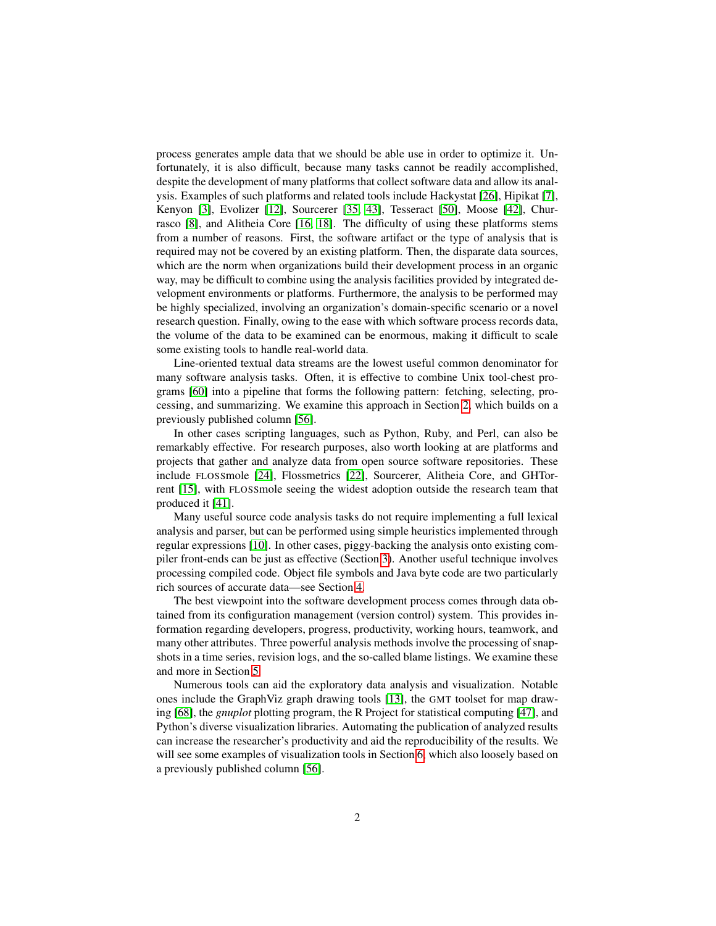process generates ample data that we should be able use in order to optimize it. Unfortunately, it is also difficult, because many tasks cannot be readily accomplished, despite the development of many platforms that collect software data and allow its analysis. Examples of such platforms and related tools include Hackystat [\[26\]](#page-52-1), Hipikat [\[7\]](#page-50-0), Kenyon [\[3\]](#page-50-1), Evolizer [\[12\]](#page-51-0), Sourcerer [\[35,](#page-53-0) [43\]](#page-53-1), Tesseract [\[50\]](#page-54-0), Moose [\[42\]](#page-53-2), Churrasco [\[8\]](#page-50-2), and Alitheia Core [\[16,](#page-51-1) [18\]](#page-51-2). The difficulty of using these platforms stems from a number of reasons. First, the software artifact or the type of analysis that is required may not be covered by an existing platform. Then, the disparate data sources, which are the norm when organizations build their development process in an organic way, may be difficult to combine using the analysis facilities provided by integrated development environments or platforms. Furthermore, the analysis to be performed may be highly specialized, involving an organization's domain-specific scenario or a novel research question. Finally, owing to the ease with which software process records data, the volume of the data to be examined can be enormous, making it difficult to scale some existing tools to handle real-world data.

Line-oriented textual data streams are the lowest useful common denominator for many software analysis tasks. Often, it is effective to combine Unix tool-chest programs [\[60\]](#page-55-0) into a pipeline that forms the following pattern: fetching, selecting, processing, and summarizing. We examine this approach in Section [2,](#page-2-0) which builds on a previously published column [\[56\]](#page-54-1).

In other cases scripting languages, such as Python, Ruby, and Perl, can also be remarkably effective. For research purposes, also worth looking at are platforms and projects that gather and analyze data from open source software repositories. These include FLOSSmole [\[24\]](#page-52-2), Flossmetrics [\[22\]](#page-52-3), Sourcerer, Alitheia Core, and GHTorrent [\[15\]](#page-51-3), with FLOSSmole seeing the widest adoption outside the research team that produced it [\[41\]](#page-53-3).

Many useful source code analysis tasks do not require implementing a full lexical analysis and parser, but can be performed using simple heuristics implemented through regular expressions [\[10\]](#page-51-4). In other cases, piggy-backing the analysis onto existing compiler front-ends can be just as effective (Section [3\)](#page-7-0). Another useful technique involves processing compiled code. Object file symbols and Java byte code are two particularly rich sources of accurate data—see Section [4.](#page-18-0)

The best viewpoint into the software development process comes through data obtained from its configuration management (version control) system. This provides information regarding developers, progress, productivity, working hours, teamwork, and many other attributes. Three powerful analysis methods involve the processing of snapshots in a time series, revision logs, and the so-called blame listings. We examine these and more in Section [5.](#page-27-0)

Numerous tools can aid the exploratory data analysis and visualization. Notable ones include the GraphViz graph drawing tools [\[13\]](#page-51-5), the GMT toolset for map drawing [\[68\]](#page-56-0), the *gnuplot* plotting program, the R Project for statistical computing [\[47\]](#page-54-2), and Python's diverse visualization libraries. Automating the publication of analyzed results can increase the researcher's productivity and aid the reproducibility of the results. We will see some examples of visualization tools in Section [6,](#page-39-0) which also loosely based on a previously published column [\[56\]](#page-54-1).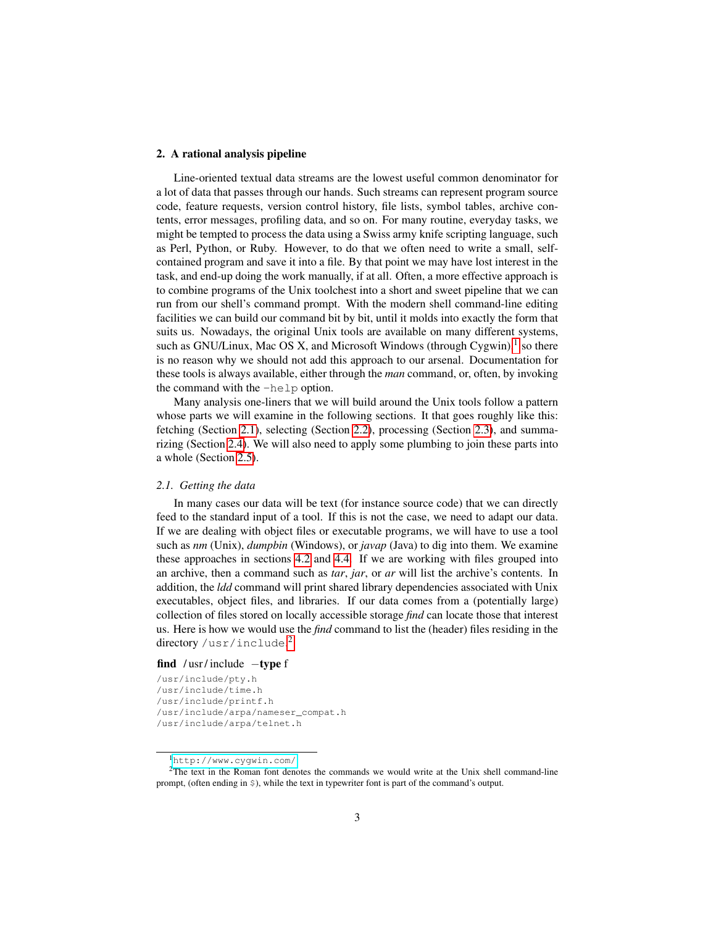#### <span id="page-2-0"></span>2. A rational analysis pipeline

Line-oriented textual data streams are the lowest useful common denominator for a lot of data that passes through our hands. Such streams can represent program source code, feature requests, version control history, file lists, symbol tables, archive contents, error messages, profiling data, and so on. For many routine, everyday tasks, we might be tempted to process the data using a Swiss army knife scripting language, such as Perl, Python, or Ruby. However, to do that we often need to write a small, selfcontained program and save it into a file. By that point we may have lost interest in the task, and end-up doing the work manually, if at all. Often, a more effective approach is to combine programs of the Unix toolchest into a short and sweet pipeline that we can run from our shell's command prompt. With the modern shell command-line editing facilities we can build our command bit by bit, until it molds into exactly the form that suits us. Nowadays, the original Unix tools are available on many different systems, such as GNU/Linux, Mac OS X, and Microsoft Windows (through Cygwin), $<sup>1</sup>$  $<sup>1</sup>$  $<sup>1</sup>$  so there</sup> is no reason why we should not add this approach to our arsenal. Documentation for these tools is always available, either through the *man* command, or, often, by invoking the command with the -help option.

Many analysis one-liners that we will build around the Unix tools follow a pattern whose parts we will examine in the following sections. It that goes roughly like this: fetching (Section [2.1\)](#page-2-2), selecting (Section [2.2\)](#page-3-0), processing (Section [2.3\)](#page-4-0), and summarizing (Section [2.4\)](#page-6-0). We will also need to apply some plumbing to join these parts into a whole (Section [2.5\)](#page-7-1).

#### <span id="page-2-2"></span>*2.1. Getting the data*

In many cases our data will be text (for instance source code) that we can directly feed to the standard input of a tool. If this is not the case, we need to adapt our data. If we are dealing with object files or executable programs, we will have to use a tool such as *nm* (Unix), *dumpbin* (Windows), or *javap* (Java) to dig into them. We examine these approaches in sections [4.2](#page-20-0) and [4.4.](#page-23-0) If we are working with files grouped into an archive, then a command such as *tar*, *jar*, or *ar* will list the archive's contents. In addition, the *ldd* command will print shared library dependencies associated with Unix executables, object files, and libraries. If our data comes from a (potentially large) collection of files stored on locally accessible storage *find* can locate those that interest us. Here is how we would use the *find* command to list the (header) files residing in the directory /usr/include.<sup>[2](#page-2-3)</sup>

#### find  $/$ usr $/$  include  $-$ type f

/usr/include/pty.h /usr/include/time.h /usr/include/printf.h /usr/include/arpa/nameser\_compat.h /usr/include/arpa/telnet.h

<span id="page-2-3"></span><span id="page-2-1"></span><sup>1</sup><http://www.cygwin.com/>

 $2$ The text in the Roman font denotes the commands we would write at the Unix shell command-line prompt, (often ending in \$), while the text in typewriter font is part of the command's output.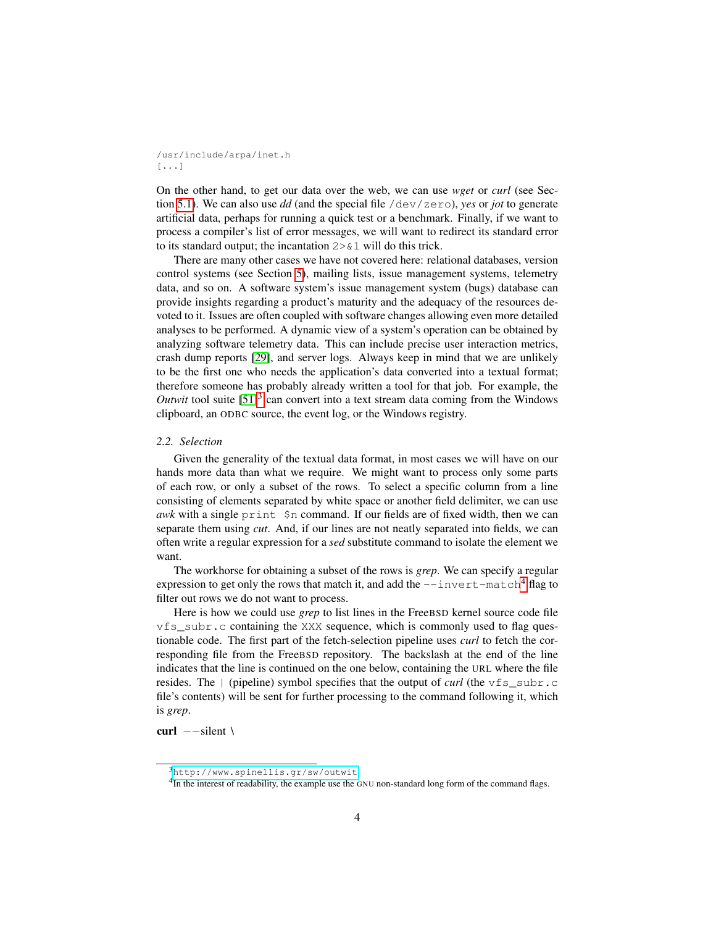#### /usr/include/arpa/inet.h [...]

On the other hand, to get our data over the web, we can use *wget* or *curl* (see Section [5.1\)](#page-28-0). We can also use *dd* (and the special file /dev/zero), *yes* or *jot* to generate artificial data, perhaps for running a quick test or a benchmark. Finally, if we want to process a compiler's list of error messages, we will want to redirect its standard error to its standard output; the incantation  $2 \times 1$  will do this trick.

There are many other cases we have not covered here: relational databases, version control systems (see Section [5\)](#page-27-0), mailing lists, issue management systems, telemetry data, and so on. A software system's issue management system (bugs) database can provide insights regarding a product's maturity and the adequacy of the resources devoted to it. Issues are often coupled with software changes allowing even more detailed analyses to be performed. A dynamic view of a system's operation can be obtained by analyzing software telemetry data. This can include precise user interaction metrics, crash dump reports [\[29\]](#page-52-4), and server logs. Always keep in mind that we are unlikely to be the first one who needs the application's data converted into a textual format; therefore someone has probably already written a tool for that job. For example, the *Outwit* tool suite  $[51]$ <sup>[3](#page-3-1)</sup> can convert into a text stream data coming from the Windows clipboard, an ODBC source, the event log, or the Windows registry.

#### <span id="page-3-0"></span>*2.2. Selection*

Given the generality of the textual data format, in most cases we will have on our hands more data than what we require. We might want to process only some parts of each row, or only a subset of the rows. To select a specific column from a line consisting of elements separated by white space or another field delimiter, we can use *awk* with a single print \$n command. If our fields are of fixed width, then we can separate them using *cut*. And, if our lines are not neatly separated into fields, we can often write a regular expression for a *sed* substitute command to isolate the element we want.

The workhorse for obtaining a subset of the rows is *grep*. We can specify a regular expression to get only the rows that match it, and add the  $-$ invert-match<sup>[4](#page-3-2)</sup> flag to filter out rows we do not want to process.

Here is how we could use *grep* to list lines in the FreeBSD kernel source code file vfs\_subr.c containing the XXX sequence, which is commonly used to flag questionable code. The first part of the fetch-selection pipeline uses *curl* to fetch the corresponding file from the FreeBSD repository. The backslash at the end of the line indicates that the line is continued on the one below, containing the URL where the file resides. The | (pipeline) symbol specifies that the output of *curl* (the vfs\_subr.c file's contents) will be sent for further processing to the command following it, which is *grep*.

curl −−silent \

<span id="page-3-1"></span><sup>3</sup><http://www.spinellis.gr/sw/outwit>

<span id="page-3-2"></span><sup>&</sup>lt;sup>4</sup>In the interest of readability, the example use the GNU non-standard long form of the command flags.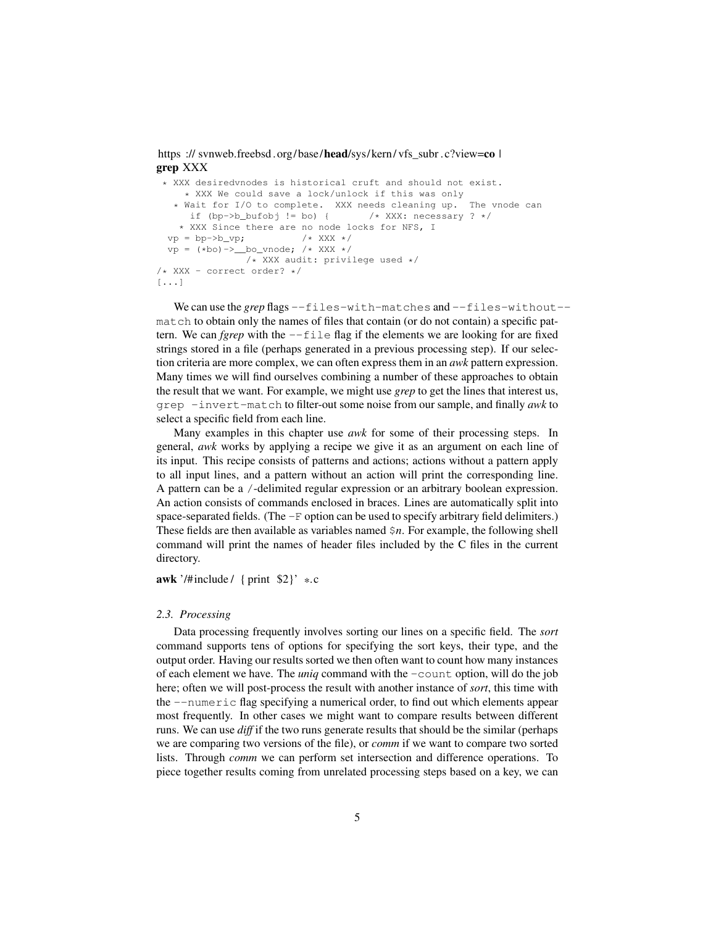https :// svnweb.freebsd.org/base/head/sys/kern/ vfs\_subr .c?view=co | grep XXX

```
* XXX desiredvnodes is historical cruft and should not exist.
      * XXX We could save a lock/unlock if this was only
   * Wait for I/O to complete. XXX needs cleaning up. The vnode can if (bp->b bufobj != bo) { /* XXX: necessary ? */
      if (bp->b bufobj != bo) {
    * XXX Since there are no node locks for NFS, I<br>
\rightarrow = bp->b_vp;<br>
/* XXX */
  vp = bp->b_vp;vp = (*bo) -> \_\_bo\_vnode; /* XXX */
                   /* XXX audit: privilege used */
/* XXX - correct order? */
[\ldots]
```
We can use the grep flags --files-with-matches and --files-without-match to obtain only the names of files that contain (or do not contain) a specific pattern. We can *fgrep* with the --file flag if the elements we are looking for are fixed strings stored in a file (perhaps generated in a previous processing step). If our selection criteria are more complex, we can often express them in an *awk* pattern expression. Many times we will find ourselves combining a number of these approaches to obtain the result that we want. For example, we might use *grep* to get the lines that interest us, grep -invert-match to filter-out some noise from our sample, and finally *awk* to select a specific field from each line.

Many examples in this chapter use *awk* for some of their processing steps. In general, *awk* works by applying a recipe we give it as an argument on each line of its input. This recipe consists of patterns and actions; actions without a pattern apply to all input lines, and a pattern without an action will print the corresponding line. A pattern can be a /-delimited regular expression or an arbitrary boolean expression. An action consists of commands enclosed in braces. Lines are automatically split into space-separated fields. (The -F option can be used to specify arbitrary field delimiters.) These fields are then available as variables named \$*n*. For example, the following shell command will print the names of header files included by the C files in the current directory.

awk '/#include / { print  $$2$ }' \*.c

#### <span id="page-4-0"></span>*2.3. Processing*

Data processing frequently involves sorting our lines on a specific field. The *sort* command supports tens of options for specifying the sort keys, their type, and the output order. Having our results sorted we then often want to count how many instances of each element we have. The *uniq* command with the -count option, will do the job here; often we will post-process the result with another instance of *sort*, this time with the --numeric flag specifying a numerical order, to find out which elements appear most frequently. In other cases we might want to compare results between different runs. We can use *diff* if the two runs generate results that should be the similar (perhaps we are comparing two versions of the file), or *comm* if we want to compare two sorted lists. Through *comm* we can perform set intersection and difference operations. To piece together results coming from unrelated processing steps based on a key, we can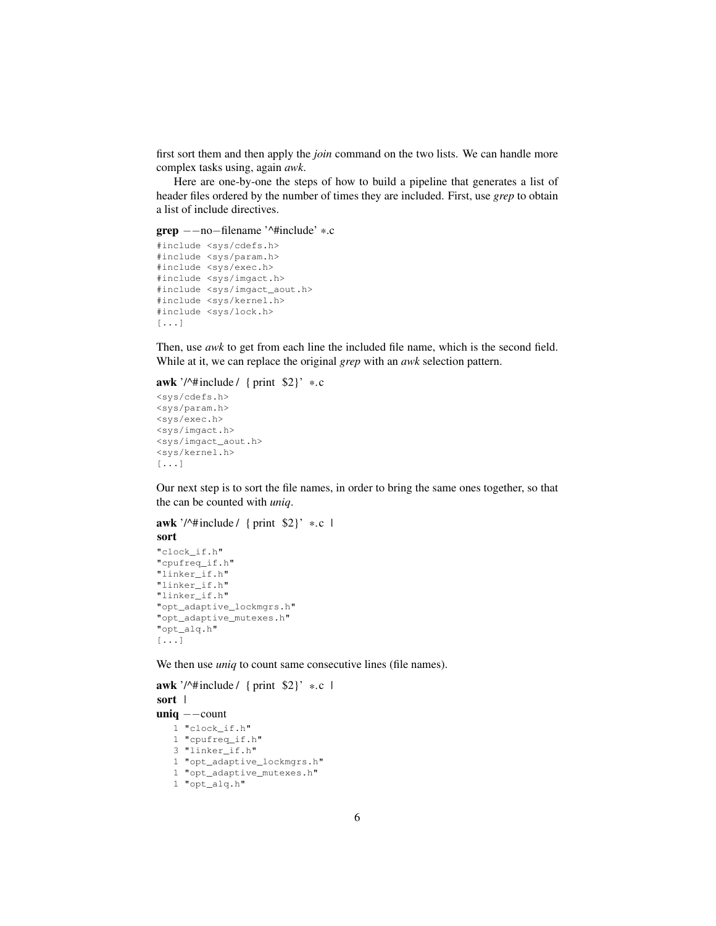first sort them and then apply the *join* command on the two lists. We can handle more complex tasks using, again *awk*.

Here are one-by-one the steps of how to build a pipeline that generates a list of header files ordered by the number of times they are included. First, use *grep* to obtain a list of include directives.

#### grep −−no−filename '^#include' \*.c

```
#include <sys/cdefs.h>
#include <sys/param.h>
#include <sys/exec.h>
#include <sys/imgact.h>
#include <sys/imgact_aout.h>
#include <sys/kernel.h>
#include <sys/lock.h>
[...]
```
Then, use *awk* to get from each line the included file name, which is the second field. While at it, we can replace the original *grep* with an *awk* selection pattern.

### awk  $\frac{\text{w}}{\text{t}}$  /^#include / { print \$2}' \*.c

```
<sys/cdefs.h>
<sys/param.h>
<sys/exec.h>
<sys/imgact.h>
<sys/imgact_aout.h>
<sys/kernel.h>
[...]
```
Our next step is to sort the file names, in order to bring the same ones together, so that the can be counted with *uniq*.

```
awk '/\land#include / { print $2}' *.c |
sort
"clock_if.h"
"cpufreq_if.h"
"linker_if.h"
"linker_if.h"
"linker_if.h"
"opt_adaptive_lockmgrs.h"
"opt_adaptive_mutexes.h"
"opt_alq.h"
[1, 1]
```
We then use *uniq* to count same consecutive lines (file names).

```
awk '/^#include / { print $2}' *.c |
sort |
uniq −−count
  1 "clock_if.h"
  1 "cpufreq_if.h"
  3 "linker_if.h"
  1 "opt_adaptive_lockmgrs.h"
  1 "opt_adaptive_mutexes.h"
   1 "opt_alq.h"
```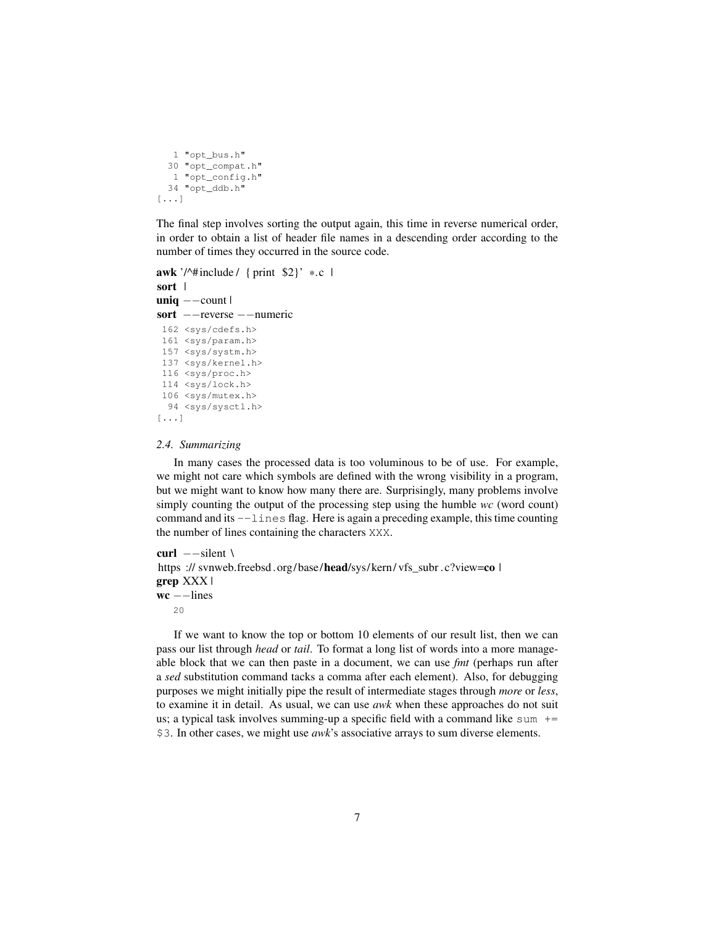```
1 "opt_bus.h"
 30 "opt_compat.h"
  1 "opt_config.h"
 34 "opt_ddb.h"
[...]
```
The final step involves sorting the output again, this time in reverse numerical order, in order to obtain a list of header file names in a descending order according to the number of times they occurred in the source code.

```
awk \frac{\text{w}}{\text{t}} /^#include / { print $2}' *.c |
sort |
uniq −−count |
sort −−reverse −−numeric
 162 <sys/cdefs.h>
 161 <sys/param.h>
 157 <sys/systm.h>
 137 <sys/kernel.h>
 116 <sys/proc.h>
 114 <sys/lock.h>
 106 <sys/mutex.h>
  94 <sys/sysctl.h>
[...]
```
## <span id="page-6-0"></span>*2.4. Summarizing*

In many cases the processed data is too voluminous to be of use. For example, we might not care which symbols are defined with the wrong visibility in a program, but we might want to know how many there are. Surprisingly, many problems involve simply counting the output of the processing step using the humble *wc* (word count) command and its  $-\frac{1}{\pi}$  ines flag. Here is again a preceding example, this time counting the number of lines containing the characters XXX.

```
curl −−silent \
https :// synweb.freebsd.org/base/head/sys/kern/ vfs_subr .c?view=co |
grep XXX |
wc -lines
   20
```
If we want to know the top or bottom 10 elements of our result list, then we can pass our list through *head* or *tail*. To format a long list of words into a more manageable block that we can then paste in a document, we can use *fmt* (perhaps run after a *sed* substitution command tacks a comma after each element). Also, for debugging purposes we might initially pipe the result of intermediate stages through *more* or *less*, to examine it in detail. As usual, we can use *awk* when these approaches do not suit us; a typical task involves summing-up a specific field with a command like sum  $+=$ \$3. In other cases, we might use *awk*'s associative arrays to sum diverse elements.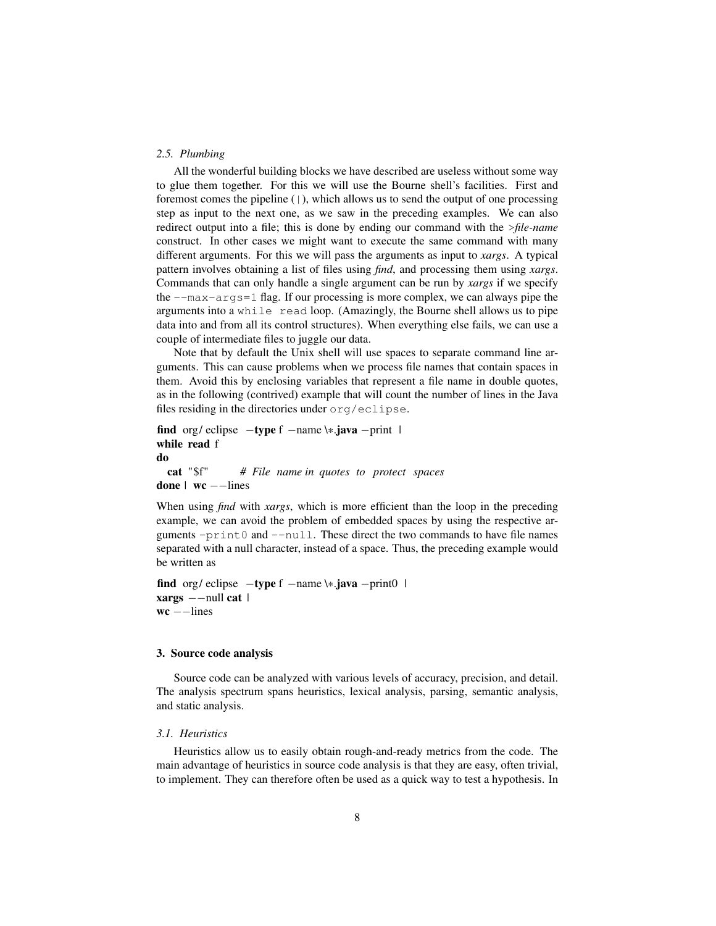## <span id="page-7-1"></span>*2.5. Plumbing*

All the wonderful building blocks we have described are useless without some way to glue them together. For this we will use the Bourne shell's facilities. First and foremost comes the pipeline  $( )$ , which allows us to send the output of one processing step as input to the next one, as we saw in the preceding examples. We can also redirect output into a file; this is done by ending our command with the >*file-name* construct. In other cases we might want to execute the same command with many different arguments. For this we will pass the arguments as input to *xargs*. A typical pattern involves obtaining a list of files using *find*, and processing them using *xargs*. Commands that can only handle a single argument can be run by *xargs* if we specify the  $-\text{max-args}=1$  flag. If our processing is more complex, we can always pipe the arguments into a while read loop. (Amazingly, the Bourne shell allows us to pipe data into and from all its control structures). When everything else fails, we can use a couple of intermediate files to juggle our data.

Note that by default the Unix shell will use spaces to separate command line arguments. This can cause problems when we process file names that contain spaces in them. Avoid this by enclosing variables that represent a file name in double quotes, as in the following (contrived) example that will count the number of lines in the Java files residing in the directories under org/eclipse.

```
find org/ eclipse -type f -name \*.java -print |
while read f
do<br>cat "$f"
                 # File name in quotes to protect spaces
done | wc −−lines
```
When using *find* with *xargs*, which is more efficient than the loop in the preceding example, we can avoid the problem of embedded spaces by using the respective arguments -print0 and --null. These direct the two commands to have file names separated with a null character, instead of a space. Thus, the preceding example would be written as

find org/ eclipse  $-$ type f  $-$ name \\*.java  $-p$ rint0 | xargs −−null cat |  $wc$   $-$ lines

## <span id="page-7-0"></span>3. Source code analysis

Source code can be analyzed with various levels of accuracy, precision, and detail. The analysis spectrum spans heuristics, lexical analysis, parsing, semantic analysis, and static analysis.

#### *3.1. Heuristics*

Heuristics allow us to easily obtain rough-and-ready metrics from the code. The main advantage of heuristics in source code analysis is that they are easy, often trivial, to implement. They can therefore often be used as a quick way to test a hypothesis. In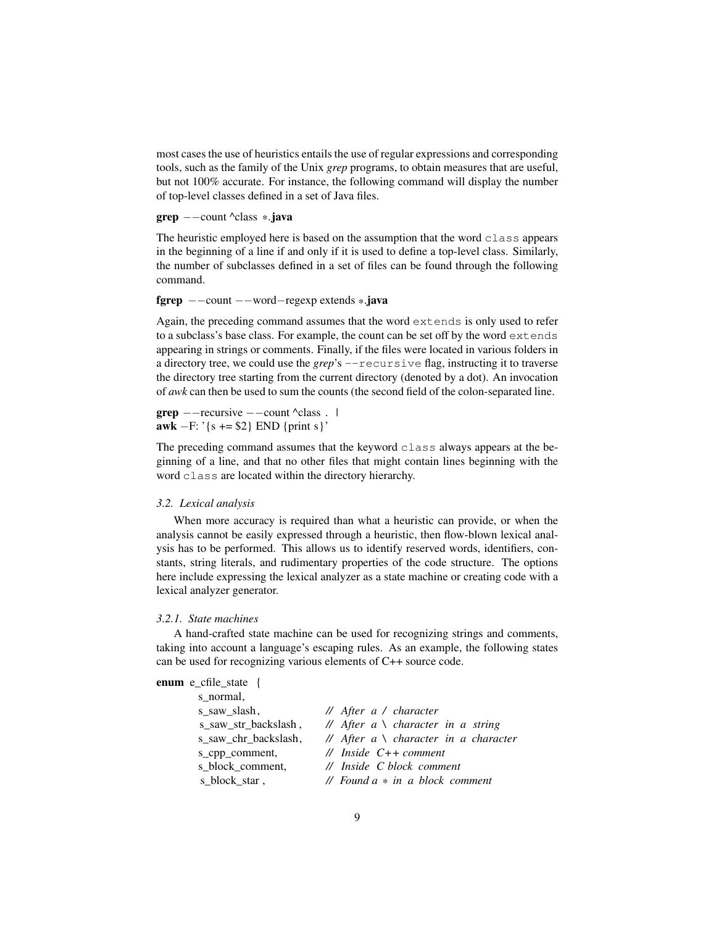most cases the use of heuristics entails the use of regular expressions and corresponding tools, such as the family of the Unix *grep* programs, to obtain measures that are useful, but not 100% accurate. For instance, the following command will display the number of top-level classes defined in a set of Java files.

## grep −−count ^class \*.java

The heuristic employed here is based on the assumption that the word  $\text{class}$  appears in the beginning of a line if and only if it is used to define a top-level class. Similarly, the number of subclasses defined in a set of files can be found through the following command.

## fgrep −−count −−word−regexp extends \*.java

Again, the preceding command assumes that the word extends is only used to refer to a subclass's base class. For example, the count can be set off by the word extends appearing in strings or comments. Finally, if the files were located in various folders in a directory tree, we could use the *grep*'s --recursive flag, instructing it to traverse the directory tree starting from the current directory (denoted by a dot). An invocation of *awk* can then be used to sum the counts (the second field of the colon-separated line.

```
\text{prep} --recursive --count ^class . |
awk −F: '{s + = $2} END {print s}'
```
The preceding command assumes that the keyword class always appears at the beginning of a line, and that no other files that might contain lines beginning with the word class are located within the directory hierarchy.

## *3.2. Lexical analysis*

When more accuracy is required than what a heuristic can provide, or when the analysis cannot be easily expressed through a heuristic, then flow-blown lexical analysis has to be performed. This allows us to identify reserved words, identifiers, constants, string literals, and rudimentary properties of the code structure. The options here include expressing the lexical analyzer as a state machine or creating code with a lexical analyzer generator.

## *3.2.1. State machines*

A hand-crafted state machine can be used for recognizing strings and comments, taking into account a language's escaping rules. As an example, the following states can be used for recognizing various elements of C++ source code.

# enum e\_cfile\_state {

| // After a / character                          |
|-------------------------------------------------|
| // After $a \setminus$ character in a string    |
| // After $a \setminus$ character in a character |
| $//$ Inside $C++$ comment                       |
| // Inside C block comment                       |
| // Found $a * in a block comment$               |
|                                                 |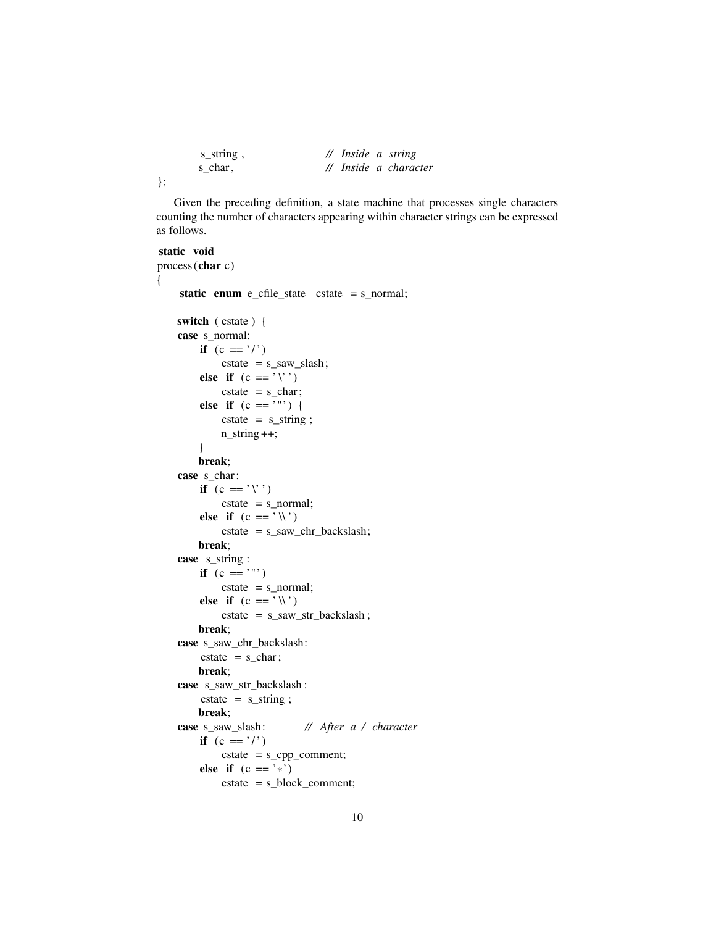| s_string, | // Inside a string |                       |
|-----------|--------------------|-----------------------|
| s char.   |                    | // Inside a character |

};

Given the preceding definition, a state machine that processes single characters counting the number of characters appearing within character strings can be expressed as follows.

```
static void
process (char c)
{
     static enum e_cfile_state cstate = s_normal;
    switch ( cstate ) {
    case s_normal:
          if (c == ' / ' )\text{cstate} = \text{s\_saw\_slash};else if (c == ' \vee')\text{cstate} = \text{s}\_\text{char};else if (c == '") {
               cstate = s_string ;
               n_string ++;
          }
         break;
    case s_char:
          if (c == ' \vee')\text{cstate} = \text{s}_normal;
          else if (c == ' \mathbb{N}')\text{cstate} = \text{s\_saw\_chr\_backslash};break;
    case s_string :
          if (c == '")cstate = s\_normal;else if (c == ' \mathbb{N} ')cstate = s_saw_str_backslash ;
         break;
    case s_saw_chr_backslash:
          \text{cstate} = \text{s}<sub>char</sub>;
         break;
    case s_saw_str_backslash :
          \text{cstate} = \text{s}_string ;
         break;
    case s_saw_slash: // After a / character
          if (c == ' / ' )\text{cstate} = \text{s} \text{\_} \text{cop} \text{\_} \text{comment};else if (c == '*)cstate = s_block_comment;
```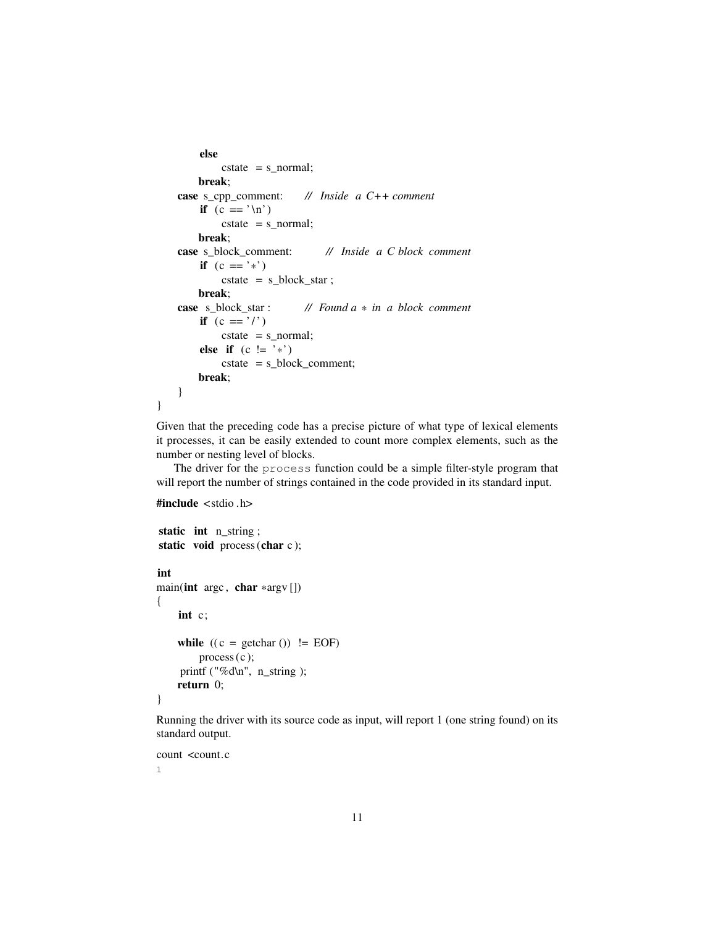```
else
             \text{cstate} = \text{s}_normal;
        break;
    case s_cpp_comment: // Inside a C++ comment
         if (c == ' \n\rangle n')\text{cstate} = \text{s} normal;
        break;
    case s_block_comment: // Inside a C block comment
         if (c == '*)cstate = s_block_star ;
        break;
    case s_block_star : // Found a * in a block comment
         if (c == ' / ' )\text{cstate} = \text{s} normal;
         else if (c != '*)\text{cstate} = \text{s\_block\_comment};break;
    }
}
```
Given that the preceding code has a precise picture of what type of lexical elements it processes, it can be easily extended to count more complex elements, such as the number or nesting level of blocks.

The driver for the process function could be a simple filter-style program that will report the number of strings contained in the code provided in its standard input.

## #include <stdio . h>

```
static int n_string ;
static void process (char c);
int
main(int argc, char *argv [])
{
    int c;
    while ((c = getchar()) != EOF)
        process (c );
    printf ("%d\n", n_string );
    return 0;
}
```
Running the driver with its source code as input, will report 1 (one string found) on its standard output.

count <count.c 1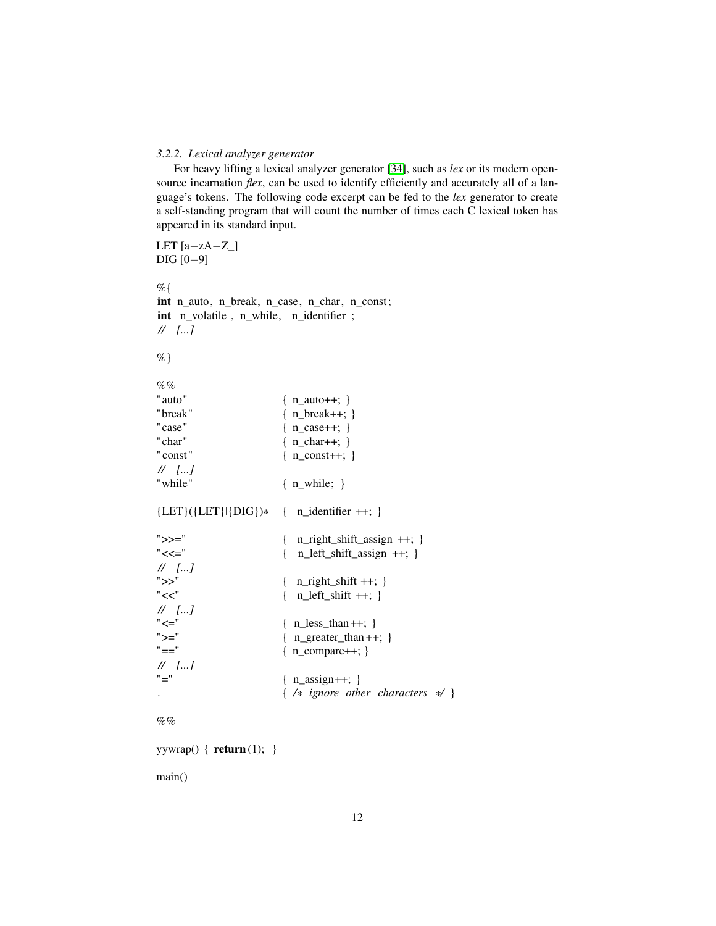#### *3.2.2. Lexical analyzer generator*

For heavy lifting a lexical analyzer generator [\[34\]](#page-53-4), such as *lex* or its modern opensource incarnation *flex*, can be used to identify efficiently and accurately all of a language's tokens. The following code excerpt can be fed to the *lex* generator to create a self-standing program that will count the number of times each C lexical token has appeared in its standard input.

LET [a−zA−Z\_] DIG [0−9]  $%$ int n\_auto, n\_break, n\_case, n\_char, n\_const; int n\_volatile , n\_while, n\_identifier ; *// [...]*  $\%$  $\%$ % "auto"  $\{ n\_auto++; \}$ "break"  $\{ n\_break++; \}$ "case"  $\{ n\_case++; \}$ "char"  $\{ n_{\text{c}} \text{ahar} + \frac{1}{2} \}$ "const" { n\_const++; } *// [...]* "while" {  $n$  while; }  ${LET}({LET}|\{ DIG\})*$  { n\_identifier ++; } " $>>="$ " { n\_right\_shift\_assign ++; } " $<<=$ " { n\_left\_shift\_assign ++; } *// [...]*  $\{$  n\_right\_shift ++;  $\}$ " $<<$ " { n\_left\_shift ++; } *// [...]* " $\le$  " $\le$  " $\le$  " $\le$  " $\le$  " $\le$  " $\le$  " $\le$  " $\le$  " $\le$  " $\le$  " $\le$  " $\le$  " $\le$  " $\le$  " $\le$  " $\le$  " $\le$  " $\le$  " $\le$  " $\le$  " $\le$  " $\le$  " $\le$  " $\le$  " $\le$  " $\le$  " $\le$  " $\le$  " $\le$  " $\le$  " $\le$  " $\le$  " $\le$  " $\le$  " $\le$  " $\le$ " $>=$ " { n\_greater\_than ++; }<br>" $==$ " { n compare ++: }  $\{ n\_compare++; \}$ *// [...]*  $\{ n\_assign++; \}$ . { */\* ignore other characters \*/* }

 $\%$ 

yywrap $() \{ return (1); \}$ 

main()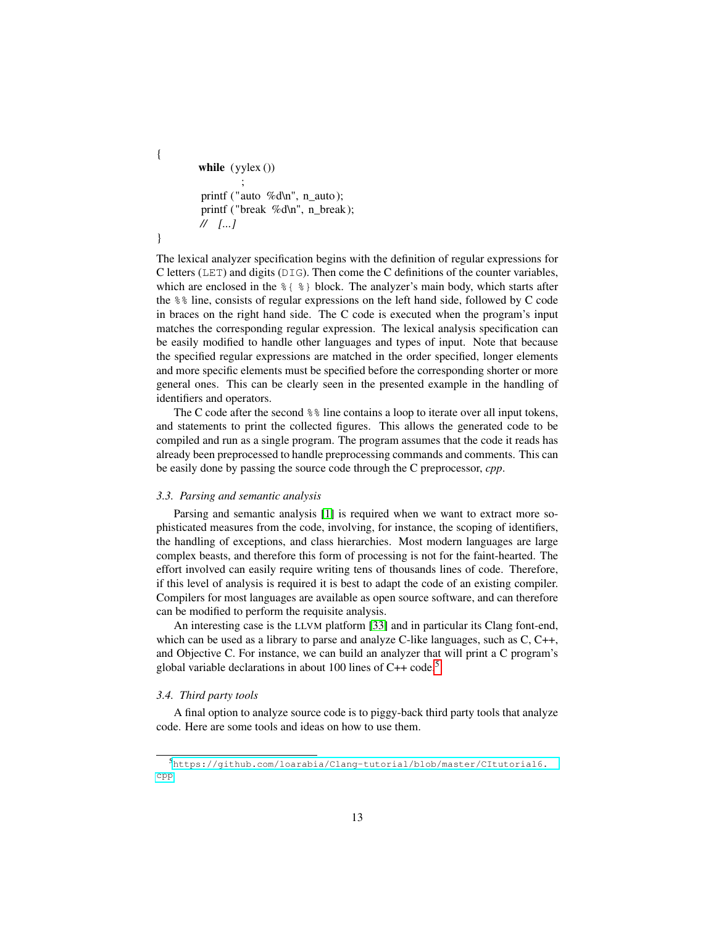```
while (yylex();
         printf ("auto %d\n", n_auto );
         printf ("break %d\n", n_break );
        // [...]
}
```
{

The lexical analyzer specification begins with the definition of regular expressions for C letters (LET) and digits (DIG). Then come the C definitions of the counter variables, which are enclosed in the  $\S$   $\{ \S$  block. The analyzer's main body, which starts after the %% line, consists of regular expressions on the left hand side, followed by C code in braces on the right hand side. The C code is executed when the program's input matches the corresponding regular expression. The lexical analysis specification can be easily modified to handle other languages and types of input. Note that because the specified regular expressions are matched in the order specified, longer elements and more specific elements must be specified before the corresponding shorter or more general ones. This can be clearly seen in the presented example in the handling of identifiers and operators.

The C code after the second  $\frac{1}{6}$  ine contains a loop to iterate over all input tokens, and statements to print the collected figures. This allows the generated code to be compiled and run as a single program. The program assumes that the code it reads has already been preprocessed to handle preprocessing commands and comments. This can be easily done by passing the source code through the C preprocessor, *cpp*.

#### *3.3. Parsing and semantic analysis*

Parsing and semantic analysis [\[1\]](#page-50-3) is required when we want to extract more sophisticated measures from the code, involving, for instance, the scoping of identifiers, the handling of exceptions, and class hierarchies. Most modern languages are large complex beasts, and therefore this form of processing is not for the faint-hearted. The effort involved can easily require writing tens of thousands lines of code. Therefore, if this level of analysis is required it is best to adapt the code of an existing compiler. Compilers for most languages are available as open source software, and can therefore can be modified to perform the requisite analysis.

An interesting case is the LLVM platform [\[33\]](#page-52-5) and in particular its Clang font-end, which can be used as a library to parse and analyze C-like languages, such as C, C++, and Objective C. For instance, we can build an analyzer that will print a C program's global variable declarations in about 100 lines of  $C++code; code.^5$  $C++code; code.^5$ 

#### *3.4. Third party tools*

A final option to analyze source code is to piggy-back third party tools that analyze code. Here are some tools and ideas on how to use them.

13

<span id="page-12-0"></span><sup>5</sup>[https://github.com/loarabia/Clang-tutorial/blob/master/CItutorial6.](https://github.com/loarabia/Clang-tutorial/blob/master/CItutorial6.cpp) [cpp](https://github.com/loarabia/Clang-tutorial/blob/master/CItutorial6.cpp)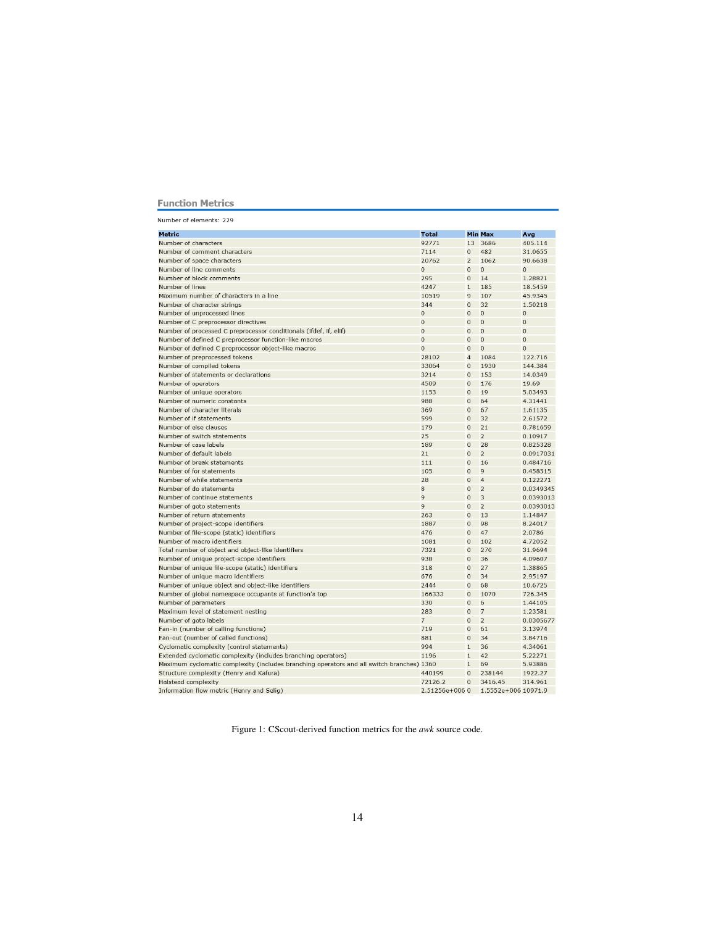# **Function Metrics**

| <b>Metric</b><br><b>Total</b><br><b>Min Max</b><br>Avg<br>Number of characters<br>92771<br>13<br>3686<br>405.114<br>Number of comment characters<br>7114<br>$\overline{0}$<br>482<br>31.0655<br>$\overline{2}$<br>Number of space characters<br>20762<br>1062<br>90.6638<br>$\overline{0}$<br>$\overline{0}$<br>$\overline{0}$<br>Number of line comments<br>$\overline{0}$<br>$\overline{0}$<br>14<br>Number of block comments<br>295<br>1.28821<br>Number of lines<br>4247<br>$\mathbf{1}$<br>185<br>18.5459<br>$\overline{9}$<br>107<br>Maximum number of characters in a line<br>10519<br>45.9345<br>$\overline{0}$<br>32<br>Number of character strings<br>344<br>1.50218<br>$\mathbf{0}$<br>$\boldsymbol{0}$<br>Number of unprocessed lines<br>$\boldsymbol{0}$<br>0<br>$\overline{0}$<br>$\overline{0}$<br>$\overline{0}$<br>Number of C preprocessor directives<br>$\overline{0}$<br>$\overline{0}$<br>$\overline{0}$<br>$\overline{0}$<br>Number of processed C preprocessor conditionals (ifdef, if, elif)<br>$\overline{0}$<br>$\overline{0}$<br>$\boldsymbol{0}$<br>$\overline{0}$<br>Number of defined C preprocessor function-like macros<br>$\mathbf{0}$<br>$\overline{0}$<br>$\overline{0}$<br>Number of defined C preprocessor object-like macros<br>$\Omega$<br>$\Omega$<br>$\overline{4}$<br>Number of preprocessed tokens<br>28102<br>1084<br>122.716<br>Number of compiled tokens<br>33064<br>$\overline{0}$<br>1930<br>144.384<br>$\overline{0}$<br>Number of statements or declarations<br>3214<br>153<br>14.0349<br>$\overline{0}$<br>Number of operators<br>4509<br>176<br>19.69<br>$\overline{0}$<br>Number of unique operators<br>1153<br>19<br>5.03493<br>$\overline{0}$<br>Number of numeric constants<br>64<br>988<br>4.31441<br>$\overline{0}$<br>Number of character literals<br>369<br>67<br>1.61135<br>$\overline{0}$<br>Number of if statements<br>32<br>599<br>2.61572<br>$\overline{0}$<br>21<br>Number of else clauses<br>179<br>0.781659<br>Number of switch statements<br>$\mathbf 0$<br>$\overline{2}$<br>25<br>0.10917<br>$\overline{0}$<br>28<br>Number of case labels<br>189<br>0.825328<br>$\overline{0}$<br>$\overline{2}$<br>Number of default labels<br>0.0917031<br>21<br>$\overline{0}$<br>16<br>Number of break statements<br>0.484716<br>111<br>Number of for statements<br>$\overline{0}$<br>9<br>0.458515<br>105<br>$\overline{0}$<br>$\overline{4}$<br>Number of while statements<br>28<br>0.122271<br>$\overline{0}$<br>$\overline{2}$<br>Number of do statements<br>8<br>0.0349345<br>3<br>Number of continue statements<br>$\overline{9}$<br>$\overline{0}$<br>0.0393013<br>$\overline{2}$<br>$\overline{0}$<br>Number of goto statements<br>9<br>0.0393013<br>$\overline{0}$<br>13<br>Number of return statements<br>263<br>1.14847<br>Number of project-scope identifiers<br>$\overline{0}$<br>98<br>1887<br>8.24017<br>Number of file-scope (static) identifiers<br>476<br>$\overline{0}$<br>47<br>2.0786<br>$\mathbf 0$<br>Number of macro identifiers<br>1081<br>102<br>4.72052<br>$\overline{0}$<br>270<br>Total number of object and object-like identifiers<br>7321<br>31.9694<br>Number of unique project-scope identifiers<br>938<br>$\overline{0}$<br>36<br>4.09607<br>$\overline{0}$<br>27<br>Number of unique file-scope (static) identifiers<br>318<br>1.38865<br>Number of unique macro identifiers<br>$\overline{0}$<br>34<br>676<br>2.95197<br>Number of unique object and object-like identifiers<br>2444<br>$\overline{0}$<br>68<br>10.6725<br>Number of global namespace occupants at function's top<br>166333<br>$\Omega$<br>1070<br>726.345<br>Number of parameters<br>330<br>$\mathbf 0$<br>6<br>1.44105<br>Maximum level of statement nesting<br>$\overline{0}$<br>$\overline{7}$<br>283<br>1.23581<br>$\overline{2}$<br>Number of goto labels<br>$\overline{0}$<br>0.0305677<br>$\overline{7}$<br>61<br>719<br>$\mathbf 0$<br>3.13974<br>Fan-in (number of calling functions)<br>Fan-out (number of called functions)<br>$\overline{0}$<br>34<br>881<br>3.84716<br>994<br>$\mathbf{1}$<br>36<br>4.34061<br>Cyclomatic complexity (control statements)<br>Extended cyclomatic complexity (includes branching operators)<br>1196<br>$\mathbf{1}$<br>42<br>5.22271<br>Maximum cyclomatic complexity (includes branching operators and all switch branches) 1360<br>$1\,$<br>69<br>5.93886<br>$\overline{0}$<br>Structure complexity (Henry and Kafura)<br>440199<br>238144<br>1922.27<br>Halstead complexity<br>72126.2<br>$\Omega$<br>3416.45<br>314.961<br>2.51256e+0060<br>1.5552e+006 10971.9 | Number of elements: 229                   |  |  |
|-----------------------------------------------------------------------------------------------------------------------------------------------------------------------------------------------------------------------------------------------------------------------------------------------------------------------------------------------------------------------------------------------------------------------------------------------------------------------------------------------------------------------------------------------------------------------------------------------------------------------------------------------------------------------------------------------------------------------------------------------------------------------------------------------------------------------------------------------------------------------------------------------------------------------------------------------------------------------------------------------------------------------------------------------------------------------------------------------------------------------------------------------------------------------------------------------------------------------------------------------------------------------------------------------------------------------------------------------------------------------------------------------------------------------------------------------------------------------------------------------------------------------------------------------------------------------------------------------------------------------------------------------------------------------------------------------------------------------------------------------------------------------------------------------------------------------------------------------------------------------------------------------------------------------------------------------------------------------------------------------------------------------------------------------------------------------------------------------------------------------------------------------------------------------------------------------------------------------------------------------------------------------------------------------------------------------------------------------------------------------------------------------------------------------------------------------------------------------------------------------------------------------------------------------------------------------------------------------------------------------------------------------------------------------------------------------------------------------------------------------------------------------------------------------------------------------------------------------------------------------------------------------------------------------------------------------------------------------------------------------------------------------------------------------------------------------------------------------------------------------------------------------------------------------------------------------------------------------------------------------------------------------------------------------------------------------------------------------------------------------------------------------------------------------------------------------------------------------------------------------------------------------------------------------------------------------------------------------------------------------------------------------------------------------------------------------------------------------------------------------------------------------------------------------------------------------------------------------------------------------------------------------------------------------------------------------------------------------------------------------------------------------------------------------------------------------------------------------------------------------------------------------------------------------------------------------------------------------------------------------------------------------------------------------------------------------------------------------------------------------------------------------------------------------------------------------------------------------------------------------------------------------------------------------------------------------------------|-------------------------------------------|--|--|
|                                                                                                                                                                                                                                                                                                                                                                                                                                                                                                                                                                                                                                                                                                                                                                                                                                                                                                                                                                                                                                                                                                                                                                                                                                                                                                                                                                                                                                                                                                                                                                                                                                                                                                                                                                                                                                                                                                                                                                                                                                                                                                                                                                                                                                                                                                                                                                                                                                                                                                                                                                                                                                                                                                                                                                                                                                                                                                                                                                                                                                                                                                                                                                                                                                                                                                                                                                                                                                                                                                                                                                                                                                                                                                                                                                                                                                                                                                                                                                                                                                                                                                                                                                                                                                                                                                                                                                                                                                                                                                                                                                                   |                                           |  |  |
|                                                                                                                                                                                                                                                                                                                                                                                                                                                                                                                                                                                                                                                                                                                                                                                                                                                                                                                                                                                                                                                                                                                                                                                                                                                                                                                                                                                                                                                                                                                                                                                                                                                                                                                                                                                                                                                                                                                                                                                                                                                                                                                                                                                                                                                                                                                                                                                                                                                                                                                                                                                                                                                                                                                                                                                                                                                                                                                                                                                                                                                                                                                                                                                                                                                                                                                                                                                                                                                                                                                                                                                                                                                                                                                                                                                                                                                                                                                                                                                                                                                                                                                                                                                                                                                                                                                                                                                                                                                                                                                                                                                   |                                           |  |  |
|                                                                                                                                                                                                                                                                                                                                                                                                                                                                                                                                                                                                                                                                                                                                                                                                                                                                                                                                                                                                                                                                                                                                                                                                                                                                                                                                                                                                                                                                                                                                                                                                                                                                                                                                                                                                                                                                                                                                                                                                                                                                                                                                                                                                                                                                                                                                                                                                                                                                                                                                                                                                                                                                                                                                                                                                                                                                                                                                                                                                                                                                                                                                                                                                                                                                                                                                                                                                                                                                                                                                                                                                                                                                                                                                                                                                                                                                                                                                                                                                                                                                                                                                                                                                                                                                                                                                                                                                                                                                                                                                                                                   |                                           |  |  |
|                                                                                                                                                                                                                                                                                                                                                                                                                                                                                                                                                                                                                                                                                                                                                                                                                                                                                                                                                                                                                                                                                                                                                                                                                                                                                                                                                                                                                                                                                                                                                                                                                                                                                                                                                                                                                                                                                                                                                                                                                                                                                                                                                                                                                                                                                                                                                                                                                                                                                                                                                                                                                                                                                                                                                                                                                                                                                                                                                                                                                                                                                                                                                                                                                                                                                                                                                                                                                                                                                                                                                                                                                                                                                                                                                                                                                                                                                                                                                                                                                                                                                                                                                                                                                                                                                                                                                                                                                                                                                                                                                                                   |                                           |  |  |
|                                                                                                                                                                                                                                                                                                                                                                                                                                                                                                                                                                                                                                                                                                                                                                                                                                                                                                                                                                                                                                                                                                                                                                                                                                                                                                                                                                                                                                                                                                                                                                                                                                                                                                                                                                                                                                                                                                                                                                                                                                                                                                                                                                                                                                                                                                                                                                                                                                                                                                                                                                                                                                                                                                                                                                                                                                                                                                                                                                                                                                                                                                                                                                                                                                                                                                                                                                                                                                                                                                                                                                                                                                                                                                                                                                                                                                                                                                                                                                                                                                                                                                                                                                                                                                                                                                                                                                                                                                                                                                                                                                                   |                                           |  |  |
|                                                                                                                                                                                                                                                                                                                                                                                                                                                                                                                                                                                                                                                                                                                                                                                                                                                                                                                                                                                                                                                                                                                                                                                                                                                                                                                                                                                                                                                                                                                                                                                                                                                                                                                                                                                                                                                                                                                                                                                                                                                                                                                                                                                                                                                                                                                                                                                                                                                                                                                                                                                                                                                                                                                                                                                                                                                                                                                                                                                                                                                                                                                                                                                                                                                                                                                                                                                                                                                                                                                                                                                                                                                                                                                                                                                                                                                                                                                                                                                                                                                                                                                                                                                                                                                                                                                                                                                                                                                                                                                                                                                   |                                           |  |  |
|                                                                                                                                                                                                                                                                                                                                                                                                                                                                                                                                                                                                                                                                                                                                                                                                                                                                                                                                                                                                                                                                                                                                                                                                                                                                                                                                                                                                                                                                                                                                                                                                                                                                                                                                                                                                                                                                                                                                                                                                                                                                                                                                                                                                                                                                                                                                                                                                                                                                                                                                                                                                                                                                                                                                                                                                                                                                                                                                                                                                                                                                                                                                                                                                                                                                                                                                                                                                                                                                                                                                                                                                                                                                                                                                                                                                                                                                                                                                                                                                                                                                                                                                                                                                                                                                                                                                                                                                                                                                                                                                                                                   |                                           |  |  |
|                                                                                                                                                                                                                                                                                                                                                                                                                                                                                                                                                                                                                                                                                                                                                                                                                                                                                                                                                                                                                                                                                                                                                                                                                                                                                                                                                                                                                                                                                                                                                                                                                                                                                                                                                                                                                                                                                                                                                                                                                                                                                                                                                                                                                                                                                                                                                                                                                                                                                                                                                                                                                                                                                                                                                                                                                                                                                                                                                                                                                                                                                                                                                                                                                                                                                                                                                                                                                                                                                                                                                                                                                                                                                                                                                                                                                                                                                                                                                                                                                                                                                                                                                                                                                                                                                                                                                                                                                                                                                                                                                                                   |                                           |  |  |
|                                                                                                                                                                                                                                                                                                                                                                                                                                                                                                                                                                                                                                                                                                                                                                                                                                                                                                                                                                                                                                                                                                                                                                                                                                                                                                                                                                                                                                                                                                                                                                                                                                                                                                                                                                                                                                                                                                                                                                                                                                                                                                                                                                                                                                                                                                                                                                                                                                                                                                                                                                                                                                                                                                                                                                                                                                                                                                                                                                                                                                                                                                                                                                                                                                                                                                                                                                                                                                                                                                                                                                                                                                                                                                                                                                                                                                                                                                                                                                                                                                                                                                                                                                                                                                                                                                                                                                                                                                                                                                                                                                                   |                                           |  |  |
|                                                                                                                                                                                                                                                                                                                                                                                                                                                                                                                                                                                                                                                                                                                                                                                                                                                                                                                                                                                                                                                                                                                                                                                                                                                                                                                                                                                                                                                                                                                                                                                                                                                                                                                                                                                                                                                                                                                                                                                                                                                                                                                                                                                                                                                                                                                                                                                                                                                                                                                                                                                                                                                                                                                                                                                                                                                                                                                                                                                                                                                                                                                                                                                                                                                                                                                                                                                                                                                                                                                                                                                                                                                                                                                                                                                                                                                                                                                                                                                                                                                                                                                                                                                                                                                                                                                                                                                                                                                                                                                                                                                   |                                           |  |  |
|                                                                                                                                                                                                                                                                                                                                                                                                                                                                                                                                                                                                                                                                                                                                                                                                                                                                                                                                                                                                                                                                                                                                                                                                                                                                                                                                                                                                                                                                                                                                                                                                                                                                                                                                                                                                                                                                                                                                                                                                                                                                                                                                                                                                                                                                                                                                                                                                                                                                                                                                                                                                                                                                                                                                                                                                                                                                                                                                                                                                                                                                                                                                                                                                                                                                                                                                                                                                                                                                                                                                                                                                                                                                                                                                                                                                                                                                                                                                                                                                                                                                                                                                                                                                                                                                                                                                                                                                                                                                                                                                                                                   |                                           |  |  |
|                                                                                                                                                                                                                                                                                                                                                                                                                                                                                                                                                                                                                                                                                                                                                                                                                                                                                                                                                                                                                                                                                                                                                                                                                                                                                                                                                                                                                                                                                                                                                                                                                                                                                                                                                                                                                                                                                                                                                                                                                                                                                                                                                                                                                                                                                                                                                                                                                                                                                                                                                                                                                                                                                                                                                                                                                                                                                                                                                                                                                                                                                                                                                                                                                                                                                                                                                                                                                                                                                                                                                                                                                                                                                                                                                                                                                                                                                                                                                                                                                                                                                                                                                                                                                                                                                                                                                                                                                                                                                                                                                                                   |                                           |  |  |
|                                                                                                                                                                                                                                                                                                                                                                                                                                                                                                                                                                                                                                                                                                                                                                                                                                                                                                                                                                                                                                                                                                                                                                                                                                                                                                                                                                                                                                                                                                                                                                                                                                                                                                                                                                                                                                                                                                                                                                                                                                                                                                                                                                                                                                                                                                                                                                                                                                                                                                                                                                                                                                                                                                                                                                                                                                                                                                                                                                                                                                                                                                                                                                                                                                                                                                                                                                                                                                                                                                                                                                                                                                                                                                                                                                                                                                                                                                                                                                                                                                                                                                                                                                                                                                                                                                                                                                                                                                                                                                                                                                                   |                                           |  |  |
|                                                                                                                                                                                                                                                                                                                                                                                                                                                                                                                                                                                                                                                                                                                                                                                                                                                                                                                                                                                                                                                                                                                                                                                                                                                                                                                                                                                                                                                                                                                                                                                                                                                                                                                                                                                                                                                                                                                                                                                                                                                                                                                                                                                                                                                                                                                                                                                                                                                                                                                                                                                                                                                                                                                                                                                                                                                                                                                                                                                                                                                                                                                                                                                                                                                                                                                                                                                                                                                                                                                                                                                                                                                                                                                                                                                                                                                                                                                                                                                                                                                                                                                                                                                                                                                                                                                                                                                                                                                                                                                                                                                   |                                           |  |  |
|                                                                                                                                                                                                                                                                                                                                                                                                                                                                                                                                                                                                                                                                                                                                                                                                                                                                                                                                                                                                                                                                                                                                                                                                                                                                                                                                                                                                                                                                                                                                                                                                                                                                                                                                                                                                                                                                                                                                                                                                                                                                                                                                                                                                                                                                                                                                                                                                                                                                                                                                                                                                                                                                                                                                                                                                                                                                                                                                                                                                                                                                                                                                                                                                                                                                                                                                                                                                                                                                                                                                                                                                                                                                                                                                                                                                                                                                                                                                                                                                                                                                                                                                                                                                                                                                                                                                                                                                                                                                                                                                                                                   |                                           |  |  |
|                                                                                                                                                                                                                                                                                                                                                                                                                                                                                                                                                                                                                                                                                                                                                                                                                                                                                                                                                                                                                                                                                                                                                                                                                                                                                                                                                                                                                                                                                                                                                                                                                                                                                                                                                                                                                                                                                                                                                                                                                                                                                                                                                                                                                                                                                                                                                                                                                                                                                                                                                                                                                                                                                                                                                                                                                                                                                                                                                                                                                                                                                                                                                                                                                                                                                                                                                                                                                                                                                                                                                                                                                                                                                                                                                                                                                                                                                                                                                                                                                                                                                                                                                                                                                                                                                                                                                                                                                                                                                                                                                                                   |                                           |  |  |
|                                                                                                                                                                                                                                                                                                                                                                                                                                                                                                                                                                                                                                                                                                                                                                                                                                                                                                                                                                                                                                                                                                                                                                                                                                                                                                                                                                                                                                                                                                                                                                                                                                                                                                                                                                                                                                                                                                                                                                                                                                                                                                                                                                                                                                                                                                                                                                                                                                                                                                                                                                                                                                                                                                                                                                                                                                                                                                                                                                                                                                                                                                                                                                                                                                                                                                                                                                                                                                                                                                                                                                                                                                                                                                                                                                                                                                                                                                                                                                                                                                                                                                                                                                                                                                                                                                                                                                                                                                                                                                                                                                                   |                                           |  |  |
|                                                                                                                                                                                                                                                                                                                                                                                                                                                                                                                                                                                                                                                                                                                                                                                                                                                                                                                                                                                                                                                                                                                                                                                                                                                                                                                                                                                                                                                                                                                                                                                                                                                                                                                                                                                                                                                                                                                                                                                                                                                                                                                                                                                                                                                                                                                                                                                                                                                                                                                                                                                                                                                                                                                                                                                                                                                                                                                                                                                                                                                                                                                                                                                                                                                                                                                                                                                                                                                                                                                                                                                                                                                                                                                                                                                                                                                                                                                                                                                                                                                                                                                                                                                                                                                                                                                                                                                                                                                                                                                                                                                   |                                           |  |  |
|                                                                                                                                                                                                                                                                                                                                                                                                                                                                                                                                                                                                                                                                                                                                                                                                                                                                                                                                                                                                                                                                                                                                                                                                                                                                                                                                                                                                                                                                                                                                                                                                                                                                                                                                                                                                                                                                                                                                                                                                                                                                                                                                                                                                                                                                                                                                                                                                                                                                                                                                                                                                                                                                                                                                                                                                                                                                                                                                                                                                                                                                                                                                                                                                                                                                                                                                                                                                                                                                                                                                                                                                                                                                                                                                                                                                                                                                                                                                                                                                                                                                                                                                                                                                                                                                                                                                                                                                                                                                                                                                                                                   |                                           |  |  |
|                                                                                                                                                                                                                                                                                                                                                                                                                                                                                                                                                                                                                                                                                                                                                                                                                                                                                                                                                                                                                                                                                                                                                                                                                                                                                                                                                                                                                                                                                                                                                                                                                                                                                                                                                                                                                                                                                                                                                                                                                                                                                                                                                                                                                                                                                                                                                                                                                                                                                                                                                                                                                                                                                                                                                                                                                                                                                                                                                                                                                                                                                                                                                                                                                                                                                                                                                                                                                                                                                                                                                                                                                                                                                                                                                                                                                                                                                                                                                                                                                                                                                                                                                                                                                                                                                                                                                                                                                                                                                                                                                                                   |                                           |  |  |
|                                                                                                                                                                                                                                                                                                                                                                                                                                                                                                                                                                                                                                                                                                                                                                                                                                                                                                                                                                                                                                                                                                                                                                                                                                                                                                                                                                                                                                                                                                                                                                                                                                                                                                                                                                                                                                                                                                                                                                                                                                                                                                                                                                                                                                                                                                                                                                                                                                                                                                                                                                                                                                                                                                                                                                                                                                                                                                                                                                                                                                                                                                                                                                                                                                                                                                                                                                                                                                                                                                                                                                                                                                                                                                                                                                                                                                                                                                                                                                                                                                                                                                                                                                                                                                                                                                                                                                                                                                                                                                                                                                                   |                                           |  |  |
|                                                                                                                                                                                                                                                                                                                                                                                                                                                                                                                                                                                                                                                                                                                                                                                                                                                                                                                                                                                                                                                                                                                                                                                                                                                                                                                                                                                                                                                                                                                                                                                                                                                                                                                                                                                                                                                                                                                                                                                                                                                                                                                                                                                                                                                                                                                                                                                                                                                                                                                                                                                                                                                                                                                                                                                                                                                                                                                                                                                                                                                                                                                                                                                                                                                                                                                                                                                                                                                                                                                                                                                                                                                                                                                                                                                                                                                                                                                                                                                                                                                                                                                                                                                                                                                                                                                                                                                                                                                                                                                                                                                   |                                           |  |  |
|                                                                                                                                                                                                                                                                                                                                                                                                                                                                                                                                                                                                                                                                                                                                                                                                                                                                                                                                                                                                                                                                                                                                                                                                                                                                                                                                                                                                                                                                                                                                                                                                                                                                                                                                                                                                                                                                                                                                                                                                                                                                                                                                                                                                                                                                                                                                                                                                                                                                                                                                                                                                                                                                                                                                                                                                                                                                                                                                                                                                                                                                                                                                                                                                                                                                                                                                                                                                                                                                                                                                                                                                                                                                                                                                                                                                                                                                                                                                                                                                                                                                                                                                                                                                                                                                                                                                                                                                                                                                                                                                                                                   |                                           |  |  |
|                                                                                                                                                                                                                                                                                                                                                                                                                                                                                                                                                                                                                                                                                                                                                                                                                                                                                                                                                                                                                                                                                                                                                                                                                                                                                                                                                                                                                                                                                                                                                                                                                                                                                                                                                                                                                                                                                                                                                                                                                                                                                                                                                                                                                                                                                                                                                                                                                                                                                                                                                                                                                                                                                                                                                                                                                                                                                                                                                                                                                                                                                                                                                                                                                                                                                                                                                                                                                                                                                                                                                                                                                                                                                                                                                                                                                                                                                                                                                                                                                                                                                                                                                                                                                                                                                                                                                                                                                                                                                                                                                                                   |                                           |  |  |
|                                                                                                                                                                                                                                                                                                                                                                                                                                                                                                                                                                                                                                                                                                                                                                                                                                                                                                                                                                                                                                                                                                                                                                                                                                                                                                                                                                                                                                                                                                                                                                                                                                                                                                                                                                                                                                                                                                                                                                                                                                                                                                                                                                                                                                                                                                                                                                                                                                                                                                                                                                                                                                                                                                                                                                                                                                                                                                                                                                                                                                                                                                                                                                                                                                                                                                                                                                                                                                                                                                                                                                                                                                                                                                                                                                                                                                                                                                                                                                                                                                                                                                                                                                                                                                                                                                                                                                                                                                                                                                                                                                                   |                                           |  |  |
|                                                                                                                                                                                                                                                                                                                                                                                                                                                                                                                                                                                                                                                                                                                                                                                                                                                                                                                                                                                                                                                                                                                                                                                                                                                                                                                                                                                                                                                                                                                                                                                                                                                                                                                                                                                                                                                                                                                                                                                                                                                                                                                                                                                                                                                                                                                                                                                                                                                                                                                                                                                                                                                                                                                                                                                                                                                                                                                                                                                                                                                                                                                                                                                                                                                                                                                                                                                                                                                                                                                                                                                                                                                                                                                                                                                                                                                                                                                                                                                                                                                                                                                                                                                                                                                                                                                                                                                                                                                                                                                                                                                   |                                           |  |  |
|                                                                                                                                                                                                                                                                                                                                                                                                                                                                                                                                                                                                                                                                                                                                                                                                                                                                                                                                                                                                                                                                                                                                                                                                                                                                                                                                                                                                                                                                                                                                                                                                                                                                                                                                                                                                                                                                                                                                                                                                                                                                                                                                                                                                                                                                                                                                                                                                                                                                                                                                                                                                                                                                                                                                                                                                                                                                                                                                                                                                                                                                                                                                                                                                                                                                                                                                                                                                                                                                                                                                                                                                                                                                                                                                                                                                                                                                                                                                                                                                                                                                                                                                                                                                                                                                                                                                                                                                                                                                                                                                                                                   |                                           |  |  |
|                                                                                                                                                                                                                                                                                                                                                                                                                                                                                                                                                                                                                                                                                                                                                                                                                                                                                                                                                                                                                                                                                                                                                                                                                                                                                                                                                                                                                                                                                                                                                                                                                                                                                                                                                                                                                                                                                                                                                                                                                                                                                                                                                                                                                                                                                                                                                                                                                                                                                                                                                                                                                                                                                                                                                                                                                                                                                                                                                                                                                                                                                                                                                                                                                                                                                                                                                                                                                                                                                                                                                                                                                                                                                                                                                                                                                                                                                                                                                                                                                                                                                                                                                                                                                                                                                                                                                                                                                                                                                                                                                                                   |                                           |  |  |
|                                                                                                                                                                                                                                                                                                                                                                                                                                                                                                                                                                                                                                                                                                                                                                                                                                                                                                                                                                                                                                                                                                                                                                                                                                                                                                                                                                                                                                                                                                                                                                                                                                                                                                                                                                                                                                                                                                                                                                                                                                                                                                                                                                                                                                                                                                                                                                                                                                                                                                                                                                                                                                                                                                                                                                                                                                                                                                                                                                                                                                                                                                                                                                                                                                                                                                                                                                                                                                                                                                                                                                                                                                                                                                                                                                                                                                                                                                                                                                                                                                                                                                                                                                                                                                                                                                                                                                                                                                                                                                                                                                                   |                                           |  |  |
|                                                                                                                                                                                                                                                                                                                                                                                                                                                                                                                                                                                                                                                                                                                                                                                                                                                                                                                                                                                                                                                                                                                                                                                                                                                                                                                                                                                                                                                                                                                                                                                                                                                                                                                                                                                                                                                                                                                                                                                                                                                                                                                                                                                                                                                                                                                                                                                                                                                                                                                                                                                                                                                                                                                                                                                                                                                                                                                                                                                                                                                                                                                                                                                                                                                                                                                                                                                                                                                                                                                                                                                                                                                                                                                                                                                                                                                                                                                                                                                                                                                                                                                                                                                                                                                                                                                                                                                                                                                                                                                                                                                   |                                           |  |  |
|                                                                                                                                                                                                                                                                                                                                                                                                                                                                                                                                                                                                                                                                                                                                                                                                                                                                                                                                                                                                                                                                                                                                                                                                                                                                                                                                                                                                                                                                                                                                                                                                                                                                                                                                                                                                                                                                                                                                                                                                                                                                                                                                                                                                                                                                                                                                                                                                                                                                                                                                                                                                                                                                                                                                                                                                                                                                                                                                                                                                                                                                                                                                                                                                                                                                                                                                                                                                                                                                                                                                                                                                                                                                                                                                                                                                                                                                                                                                                                                                                                                                                                                                                                                                                                                                                                                                                                                                                                                                                                                                                                                   |                                           |  |  |
|                                                                                                                                                                                                                                                                                                                                                                                                                                                                                                                                                                                                                                                                                                                                                                                                                                                                                                                                                                                                                                                                                                                                                                                                                                                                                                                                                                                                                                                                                                                                                                                                                                                                                                                                                                                                                                                                                                                                                                                                                                                                                                                                                                                                                                                                                                                                                                                                                                                                                                                                                                                                                                                                                                                                                                                                                                                                                                                                                                                                                                                                                                                                                                                                                                                                                                                                                                                                                                                                                                                                                                                                                                                                                                                                                                                                                                                                                                                                                                                                                                                                                                                                                                                                                                                                                                                                                                                                                                                                                                                                                                                   |                                           |  |  |
|                                                                                                                                                                                                                                                                                                                                                                                                                                                                                                                                                                                                                                                                                                                                                                                                                                                                                                                                                                                                                                                                                                                                                                                                                                                                                                                                                                                                                                                                                                                                                                                                                                                                                                                                                                                                                                                                                                                                                                                                                                                                                                                                                                                                                                                                                                                                                                                                                                                                                                                                                                                                                                                                                                                                                                                                                                                                                                                                                                                                                                                                                                                                                                                                                                                                                                                                                                                                                                                                                                                                                                                                                                                                                                                                                                                                                                                                                                                                                                                                                                                                                                                                                                                                                                                                                                                                                                                                                                                                                                                                                                                   |                                           |  |  |
|                                                                                                                                                                                                                                                                                                                                                                                                                                                                                                                                                                                                                                                                                                                                                                                                                                                                                                                                                                                                                                                                                                                                                                                                                                                                                                                                                                                                                                                                                                                                                                                                                                                                                                                                                                                                                                                                                                                                                                                                                                                                                                                                                                                                                                                                                                                                                                                                                                                                                                                                                                                                                                                                                                                                                                                                                                                                                                                                                                                                                                                                                                                                                                                                                                                                                                                                                                                                                                                                                                                                                                                                                                                                                                                                                                                                                                                                                                                                                                                                                                                                                                                                                                                                                                                                                                                                                                                                                                                                                                                                                                                   |                                           |  |  |
|                                                                                                                                                                                                                                                                                                                                                                                                                                                                                                                                                                                                                                                                                                                                                                                                                                                                                                                                                                                                                                                                                                                                                                                                                                                                                                                                                                                                                                                                                                                                                                                                                                                                                                                                                                                                                                                                                                                                                                                                                                                                                                                                                                                                                                                                                                                                                                                                                                                                                                                                                                                                                                                                                                                                                                                                                                                                                                                                                                                                                                                                                                                                                                                                                                                                                                                                                                                                                                                                                                                                                                                                                                                                                                                                                                                                                                                                                                                                                                                                                                                                                                                                                                                                                                                                                                                                                                                                                                                                                                                                                                                   |                                           |  |  |
|                                                                                                                                                                                                                                                                                                                                                                                                                                                                                                                                                                                                                                                                                                                                                                                                                                                                                                                                                                                                                                                                                                                                                                                                                                                                                                                                                                                                                                                                                                                                                                                                                                                                                                                                                                                                                                                                                                                                                                                                                                                                                                                                                                                                                                                                                                                                                                                                                                                                                                                                                                                                                                                                                                                                                                                                                                                                                                                                                                                                                                                                                                                                                                                                                                                                                                                                                                                                                                                                                                                                                                                                                                                                                                                                                                                                                                                                                                                                                                                                                                                                                                                                                                                                                                                                                                                                                                                                                                                                                                                                                                                   |                                           |  |  |
|                                                                                                                                                                                                                                                                                                                                                                                                                                                                                                                                                                                                                                                                                                                                                                                                                                                                                                                                                                                                                                                                                                                                                                                                                                                                                                                                                                                                                                                                                                                                                                                                                                                                                                                                                                                                                                                                                                                                                                                                                                                                                                                                                                                                                                                                                                                                                                                                                                                                                                                                                                                                                                                                                                                                                                                                                                                                                                                                                                                                                                                                                                                                                                                                                                                                                                                                                                                                                                                                                                                                                                                                                                                                                                                                                                                                                                                                                                                                                                                                                                                                                                                                                                                                                                                                                                                                                                                                                                                                                                                                                                                   |                                           |  |  |
|                                                                                                                                                                                                                                                                                                                                                                                                                                                                                                                                                                                                                                                                                                                                                                                                                                                                                                                                                                                                                                                                                                                                                                                                                                                                                                                                                                                                                                                                                                                                                                                                                                                                                                                                                                                                                                                                                                                                                                                                                                                                                                                                                                                                                                                                                                                                                                                                                                                                                                                                                                                                                                                                                                                                                                                                                                                                                                                                                                                                                                                                                                                                                                                                                                                                                                                                                                                                                                                                                                                                                                                                                                                                                                                                                                                                                                                                                                                                                                                                                                                                                                                                                                                                                                                                                                                                                                                                                                                                                                                                                                                   |                                           |  |  |
|                                                                                                                                                                                                                                                                                                                                                                                                                                                                                                                                                                                                                                                                                                                                                                                                                                                                                                                                                                                                                                                                                                                                                                                                                                                                                                                                                                                                                                                                                                                                                                                                                                                                                                                                                                                                                                                                                                                                                                                                                                                                                                                                                                                                                                                                                                                                                                                                                                                                                                                                                                                                                                                                                                                                                                                                                                                                                                                                                                                                                                                                                                                                                                                                                                                                                                                                                                                                                                                                                                                                                                                                                                                                                                                                                                                                                                                                                                                                                                                                                                                                                                                                                                                                                                                                                                                                                                                                                                                                                                                                                                                   |                                           |  |  |
|                                                                                                                                                                                                                                                                                                                                                                                                                                                                                                                                                                                                                                                                                                                                                                                                                                                                                                                                                                                                                                                                                                                                                                                                                                                                                                                                                                                                                                                                                                                                                                                                                                                                                                                                                                                                                                                                                                                                                                                                                                                                                                                                                                                                                                                                                                                                                                                                                                                                                                                                                                                                                                                                                                                                                                                                                                                                                                                                                                                                                                                                                                                                                                                                                                                                                                                                                                                                                                                                                                                                                                                                                                                                                                                                                                                                                                                                                                                                                                                                                                                                                                                                                                                                                                                                                                                                                                                                                                                                                                                                                                                   |                                           |  |  |
|                                                                                                                                                                                                                                                                                                                                                                                                                                                                                                                                                                                                                                                                                                                                                                                                                                                                                                                                                                                                                                                                                                                                                                                                                                                                                                                                                                                                                                                                                                                                                                                                                                                                                                                                                                                                                                                                                                                                                                                                                                                                                                                                                                                                                                                                                                                                                                                                                                                                                                                                                                                                                                                                                                                                                                                                                                                                                                                                                                                                                                                                                                                                                                                                                                                                                                                                                                                                                                                                                                                                                                                                                                                                                                                                                                                                                                                                                                                                                                                                                                                                                                                                                                                                                                                                                                                                                                                                                                                                                                                                                                                   |                                           |  |  |
|                                                                                                                                                                                                                                                                                                                                                                                                                                                                                                                                                                                                                                                                                                                                                                                                                                                                                                                                                                                                                                                                                                                                                                                                                                                                                                                                                                                                                                                                                                                                                                                                                                                                                                                                                                                                                                                                                                                                                                                                                                                                                                                                                                                                                                                                                                                                                                                                                                                                                                                                                                                                                                                                                                                                                                                                                                                                                                                                                                                                                                                                                                                                                                                                                                                                                                                                                                                                                                                                                                                                                                                                                                                                                                                                                                                                                                                                                                                                                                                                                                                                                                                                                                                                                                                                                                                                                                                                                                                                                                                                                                                   |                                           |  |  |
|                                                                                                                                                                                                                                                                                                                                                                                                                                                                                                                                                                                                                                                                                                                                                                                                                                                                                                                                                                                                                                                                                                                                                                                                                                                                                                                                                                                                                                                                                                                                                                                                                                                                                                                                                                                                                                                                                                                                                                                                                                                                                                                                                                                                                                                                                                                                                                                                                                                                                                                                                                                                                                                                                                                                                                                                                                                                                                                                                                                                                                                                                                                                                                                                                                                                                                                                                                                                                                                                                                                                                                                                                                                                                                                                                                                                                                                                                                                                                                                                                                                                                                                                                                                                                                                                                                                                                                                                                                                                                                                                                                                   |                                           |  |  |
|                                                                                                                                                                                                                                                                                                                                                                                                                                                                                                                                                                                                                                                                                                                                                                                                                                                                                                                                                                                                                                                                                                                                                                                                                                                                                                                                                                                                                                                                                                                                                                                                                                                                                                                                                                                                                                                                                                                                                                                                                                                                                                                                                                                                                                                                                                                                                                                                                                                                                                                                                                                                                                                                                                                                                                                                                                                                                                                                                                                                                                                                                                                                                                                                                                                                                                                                                                                                                                                                                                                                                                                                                                                                                                                                                                                                                                                                                                                                                                                                                                                                                                                                                                                                                                                                                                                                                                                                                                                                                                                                                                                   |                                           |  |  |
|                                                                                                                                                                                                                                                                                                                                                                                                                                                                                                                                                                                                                                                                                                                                                                                                                                                                                                                                                                                                                                                                                                                                                                                                                                                                                                                                                                                                                                                                                                                                                                                                                                                                                                                                                                                                                                                                                                                                                                                                                                                                                                                                                                                                                                                                                                                                                                                                                                                                                                                                                                                                                                                                                                                                                                                                                                                                                                                                                                                                                                                                                                                                                                                                                                                                                                                                                                                                                                                                                                                                                                                                                                                                                                                                                                                                                                                                                                                                                                                                                                                                                                                                                                                                                                                                                                                                                                                                                                                                                                                                                                                   |                                           |  |  |
|                                                                                                                                                                                                                                                                                                                                                                                                                                                                                                                                                                                                                                                                                                                                                                                                                                                                                                                                                                                                                                                                                                                                                                                                                                                                                                                                                                                                                                                                                                                                                                                                                                                                                                                                                                                                                                                                                                                                                                                                                                                                                                                                                                                                                                                                                                                                                                                                                                                                                                                                                                                                                                                                                                                                                                                                                                                                                                                                                                                                                                                                                                                                                                                                                                                                                                                                                                                                                                                                                                                                                                                                                                                                                                                                                                                                                                                                                                                                                                                                                                                                                                                                                                                                                                                                                                                                                                                                                                                                                                                                                                                   |                                           |  |  |
|                                                                                                                                                                                                                                                                                                                                                                                                                                                                                                                                                                                                                                                                                                                                                                                                                                                                                                                                                                                                                                                                                                                                                                                                                                                                                                                                                                                                                                                                                                                                                                                                                                                                                                                                                                                                                                                                                                                                                                                                                                                                                                                                                                                                                                                                                                                                                                                                                                                                                                                                                                                                                                                                                                                                                                                                                                                                                                                                                                                                                                                                                                                                                                                                                                                                                                                                                                                                                                                                                                                                                                                                                                                                                                                                                                                                                                                                                                                                                                                                                                                                                                                                                                                                                                                                                                                                                                                                                                                                                                                                                                                   |                                           |  |  |
|                                                                                                                                                                                                                                                                                                                                                                                                                                                                                                                                                                                                                                                                                                                                                                                                                                                                                                                                                                                                                                                                                                                                                                                                                                                                                                                                                                                                                                                                                                                                                                                                                                                                                                                                                                                                                                                                                                                                                                                                                                                                                                                                                                                                                                                                                                                                                                                                                                                                                                                                                                                                                                                                                                                                                                                                                                                                                                                                                                                                                                                                                                                                                                                                                                                                                                                                                                                                                                                                                                                                                                                                                                                                                                                                                                                                                                                                                                                                                                                                                                                                                                                                                                                                                                                                                                                                                                                                                                                                                                                                                                                   |                                           |  |  |
|                                                                                                                                                                                                                                                                                                                                                                                                                                                                                                                                                                                                                                                                                                                                                                                                                                                                                                                                                                                                                                                                                                                                                                                                                                                                                                                                                                                                                                                                                                                                                                                                                                                                                                                                                                                                                                                                                                                                                                                                                                                                                                                                                                                                                                                                                                                                                                                                                                                                                                                                                                                                                                                                                                                                                                                                                                                                                                                                                                                                                                                                                                                                                                                                                                                                                                                                                                                                                                                                                                                                                                                                                                                                                                                                                                                                                                                                                                                                                                                                                                                                                                                                                                                                                                                                                                                                                                                                                                                                                                                                                                                   |                                           |  |  |
|                                                                                                                                                                                                                                                                                                                                                                                                                                                                                                                                                                                                                                                                                                                                                                                                                                                                                                                                                                                                                                                                                                                                                                                                                                                                                                                                                                                                                                                                                                                                                                                                                                                                                                                                                                                                                                                                                                                                                                                                                                                                                                                                                                                                                                                                                                                                                                                                                                                                                                                                                                                                                                                                                                                                                                                                                                                                                                                                                                                                                                                                                                                                                                                                                                                                                                                                                                                                                                                                                                                                                                                                                                                                                                                                                                                                                                                                                                                                                                                                                                                                                                                                                                                                                                                                                                                                                                                                                                                                                                                                                                                   |                                           |  |  |
|                                                                                                                                                                                                                                                                                                                                                                                                                                                                                                                                                                                                                                                                                                                                                                                                                                                                                                                                                                                                                                                                                                                                                                                                                                                                                                                                                                                                                                                                                                                                                                                                                                                                                                                                                                                                                                                                                                                                                                                                                                                                                                                                                                                                                                                                                                                                                                                                                                                                                                                                                                                                                                                                                                                                                                                                                                                                                                                                                                                                                                                                                                                                                                                                                                                                                                                                                                                                                                                                                                                                                                                                                                                                                                                                                                                                                                                                                                                                                                                                                                                                                                                                                                                                                                                                                                                                                                                                                                                                                                                                                                                   |                                           |  |  |
|                                                                                                                                                                                                                                                                                                                                                                                                                                                                                                                                                                                                                                                                                                                                                                                                                                                                                                                                                                                                                                                                                                                                                                                                                                                                                                                                                                                                                                                                                                                                                                                                                                                                                                                                                                                                                                                                                                                                                                                                                                                                                                                                                                                                                                                                                                                                                                                                                                                                                                                                                                                                                                                                                                                                                                                                                                                                                                                                                                                                                                                                                                                                                                                                                                                                                                                                                                                                                                                                                                                                                                                                                                                                                                                                                                                                                                                                                                                                                                                                                                                                                                                                                                                                                                                                                                                                                                                                                                                                                                                                                                                   |                                           |  |  |
|                                                                                                                                                                                                                                                                                                                                                                                                                                                                                                                                                                                                                                                                                                                                                                                                                                                                                                                                                                                                                                                                                                                                                                                                                                                                                                                                                                                                                                                                                                                                                                                                                                                                                                                                                                                                                                                                                                                                                                                                                                                                                                                                                                                                                                                                                                                                                                                                                                                                                                                                                                                                                                                                                                                                                                                                                                                                                                                                                                                                                                                                                                                                                                                                                                                                                                                                                                                                                                                                                                                                                                                                                                                                                                                                                                                                                                                                                                                                                                                                                                                                                                                                                                                                                                                                                                                                                                                                                                                                                                                                                                                   | Information flow metric (Henry and Selig) |  |  |

<span id="page-13-0"></span>Figure 1: CScout-derived function metrics for the *awk* source code.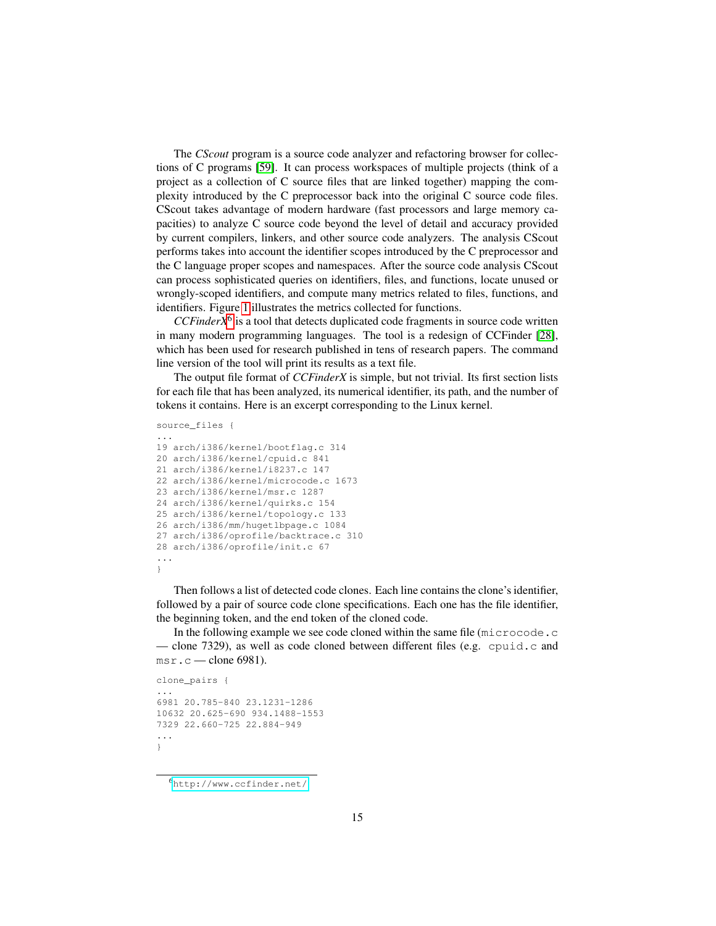The *CScout* program is a source code analyzer and refactoring browser for collections of C programs [\[59\]](#page-55-1). It can process workspaces of multiple projects (think of a project as a collection of C source files that are linked together) mapping the complexity introduced by the C preprocessor back into the original C source code files. CScout takes advantage of modern hardware (fast processors and large memory capacities) to analyze C source code beyond the level of detail and accuracy provided by current compilers, linkers, and other source code analyzers. The analysis CScout performs takes into account the identifier scopes introduced by the C preprocessor and the C language proper scopes and namespaces. After the source code analysis CScout can process sophisticated queries on identifiers, files, and functions, locate unused or wrongly-scoped identifiers, and compute many metrics related to files, functions, and identifiers. Figure [1](#page-13-0) illustrates the metrics collected for functions.

*CCFinderX*[6](#page-14-0) is a tool that detects duplicated code fragments in source code written in many modern programming languages. The tool is a redesign of CCFinder [\[28\]](#page-52-6), which has been used for research published in tens of research papers. The command line version of the tool will print its results as a text file.

The output file format of *CCFinderX* is simple, but not trivial. Its first section lists for each file that has been analyzed, its numerical identifier, its path, and the number of tokens it contains. Here is an excerpt corresponding to the Linux kernel.

```
source_files {
...
19 arch/i386/kernel/bootflag.c 314
20 arch/i386/kernel/cpuid.c 841
21 arch/i386/kernel/i8237.c 147
22 arch/i386/kernel/microcode.c 1673
23 arch/i386/kernel/msr.c 1287
24 arch/i386/kernel/quirks.c 154
25 arch/i386/kernel/topology.c 133
26 arch/i386/mm/hugetlbpage.c 1084
27 arch/i386/oprofile/backtrace.c 310
28 arch/i386/oprofile/init.c 67
...
}
```
Then follows a list of detected code clones. Each line contains the clone's identifier, followed by a pair of source code clone specifications. Each one has the file identifier, the beginning token, and the end token of the cloned code.

In the following example we see code cloned within the same file ( $m$ icrocode.c — clone 7329), as well as code cloned between different files (e.g. cpuid.c and  $msr.c$  — clone 6981).

```
clone_pairs {
...
6981 20.785-840 23.1231-1286
10632 20.625-690 934.1488-1553
7329 22.660-725 22.884-949
...
}
```
<span id="page-14-0"></span><sup>6</sup><http://www.ccfinder.net/>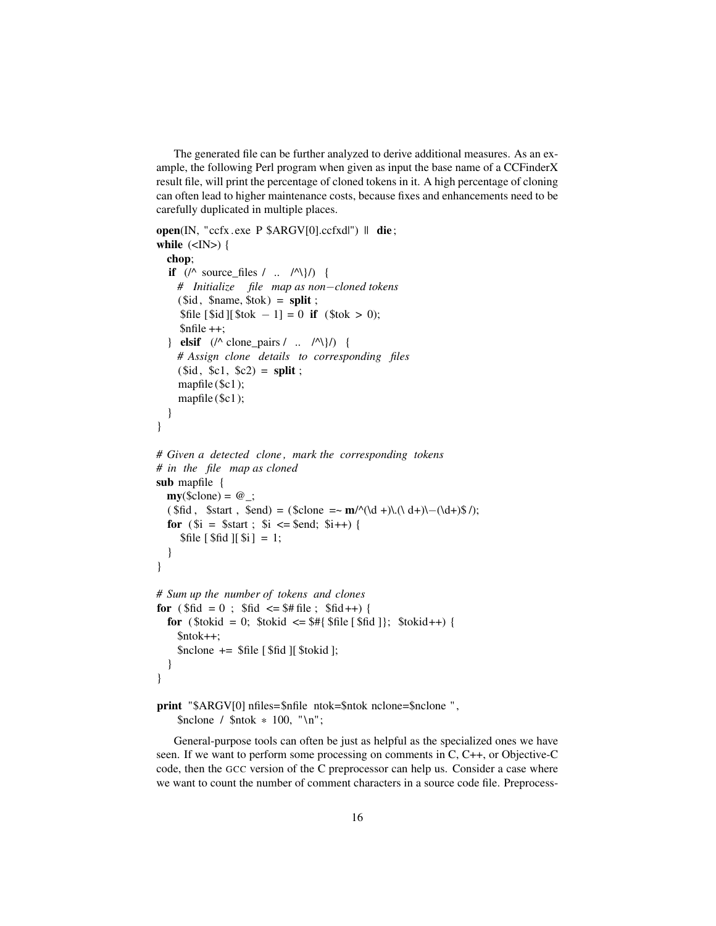The generated file can be further analyzed to derive additional measures. As an example, the following Perl program when given as input the base name of a CCFinderX result file, will print the percentage of cloned tokens in it. A high percentage of cloning can often lead to higher maintenance costs, because fixes and enhancements need to be carefully duplicated in multiple places.

```
open(IN, "ccfx .exe P ARGV[0].ccfxd") \parallel die;
while (\langleIN\rangle) {
   chop;
   if (\wedge \text{ source}_\text{files} / \dots / \wedge) {
       # Initialize file map as non−cloned tokens
       $id, $name, $tok) = split ;$file [$id ][$tok − 1] = 0 if ($tok > 0);
       $nfile ++;
   } elsif (\sqrt{\ } clone pairs /\; .. /\sqrt{\ } \}# Assign clone details to corresponding files
       $cd, $c1, $c2) = split;mapfile ($c1);
       mapfile ($c1);
   }
}
# Given a detected clone , mark the corresponding tokens
# in the file map as cloned
sub mapfile {
   my(\text{fclone}) = \omega_{\text{-}};( \text{find }, \text{Start }, \text{Send}) = (\text{followe } = \frac{m}{\Lambda} \cdot \frac{d}{d} + \frac{1}{\Lambda} \cdot \frac{d}{d} + \frac{1}{\Lambda} \cdot \frac{d}{d} + \frac{1}{\Lambda} \cdot \frac{d}{d} + \frac{1}{\Lambda} \cdot \frac{d}{d} + \frac{1}{\Lambda} \cdot \frac{d}{d} + \frac{1}{\Lambda} \cdot \frac{d}{d} + \frac{1}{\Lambda} \cdot \frac{d}{d} + \frac{1}{\Lambda} \cdot \frac{d}{d} + \frac{1}{\Lambda} \cdot \frac{d}{d} + \for (\hat{\text{s}}i = \text{Start}; \hat{\text{s}}i <= \text{Send}; \hat{\text{s}}i++) {
       $file [ $fid][$i] = 1;}
}
# Sum up the number of tokens and clones
for ($fid = 0; $fid <= $# file; $fid++) {
   for (\deltatokid = 0; \deltatokid <= \frac{4}{3}file [\deltafid ]}; \deltatokid ++) {
       $ntok++;
       $nclone += $file [ $fid ][ $tokid ];
   }
}
```

```
print "$ARGV[0] nfiles=$nfile ntok=$ntok nclone=$nclone ",
    $nclone / $ntok * 100, "\n";
```
General-purpose tools can often be just as helpful as the specialized ones we have seen. If we want to perform some processing on comments in C, C++, or Objective-C code, then the GCC version of the C preprocessor can help us. Consider a case where we want to count the number of comment characters in a source code file. Preprocess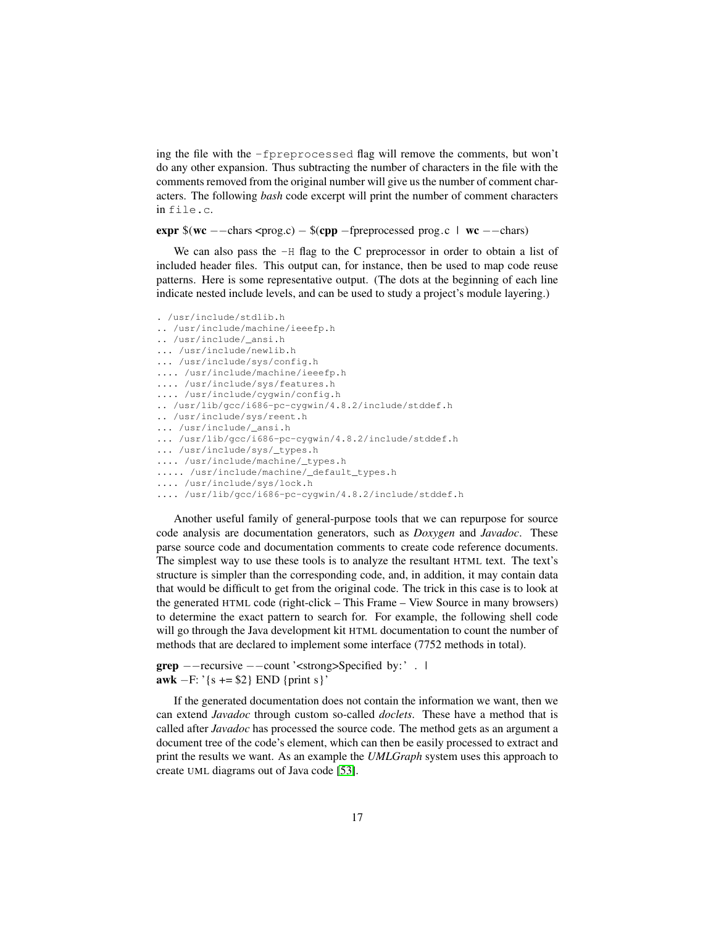ing the file with the -fpreprocessed flag will remove the comments, but won't do any other expansion. Thus subtracting the number of characters in the file with the comments removed from the original number will give us the number of comment characters. The following *bash* code excerpt will print the number of comment characters in file.c.

expr  $\gamma(wc - \text{char} s < \text{prog.c}) - \gamma(cpp - \text{for} \text{processed prog.c} \mid wc - \text{char}s)$ 

We can also pass the  $-H$  flag to the C preprocessor in order to obtain a list of included header files. This output can, for instance, then be used to map code reuse patterns. Here is some representative output. (The dots at the beginning of each line indicate nested include levels, and can be used to study a project's module layering.)

```
. /usr/include/stdlib.h
.. /usr/include/machine/ieeefp.h
.. /usr/include/_ansi.h
... /usr/include/newlib.h
... /usr/include/sys/config.h
.... /usr/include/machine/ieeefp.h
.... /usr/include/sys/features.h
.... /usr/include/cygwin/config.h
.. /usr/lib/gcc/i686-pc-cygwin/4.8.2/include/stddef.h
.. /usr/include/sys/reent.h
... /usr/include/_ansi.h
... /usr/lib/gcc/i686-pc-cygwin/4.8.2/include/stddef.h
... /usr/include/sys/_types.h
.... /usr/include/machine/_types.h
..... /usr/include/machine/_default_types.h
.... /usr/include/sys/lock.h
.... /usr/lib/gcc/i686-pc-cygwin/4.8.2/include/stddef.h
```
Another useful family of general-purpose tools that we can repurpose for source code analysis are documentation generators, such as *Doxygen* and *Javadoc*. These parse source code and documentation comments to create code reference documents. The simplest way to use these tools is to analyze the resultant HTML text. The text's structure is simpler than the corresponding code, and, in addition, it may contain data that would be difficult to get from the original code. The trick in this case is to look at the generated HTML code (right-click – This Frame – View Source in many browsers) to determine the exact pattern to search for. For example, the following shell code will go through the Java development kit HTML documentation to count the number of methods that are declared to implement some interface (7752 methods in total).

```
\textbf{prep} −−recursive −−count '<strong>Specified by:'. |
awk −F: '{s += $2} END {print s}'
```
If the generated documentation does not contain the information we want, then we can extend *Javadoc* through custom so-called *doclets*. These have a method that is called after *Javadoc* has processed the source code. The method gets as an argument a document tree of the code's element, which can then be easily processed to extract and print the results we want. As an example the *UMLGraph* system uses this approach to create UML diagrams out of Java code [\[53\]](#page-54-4).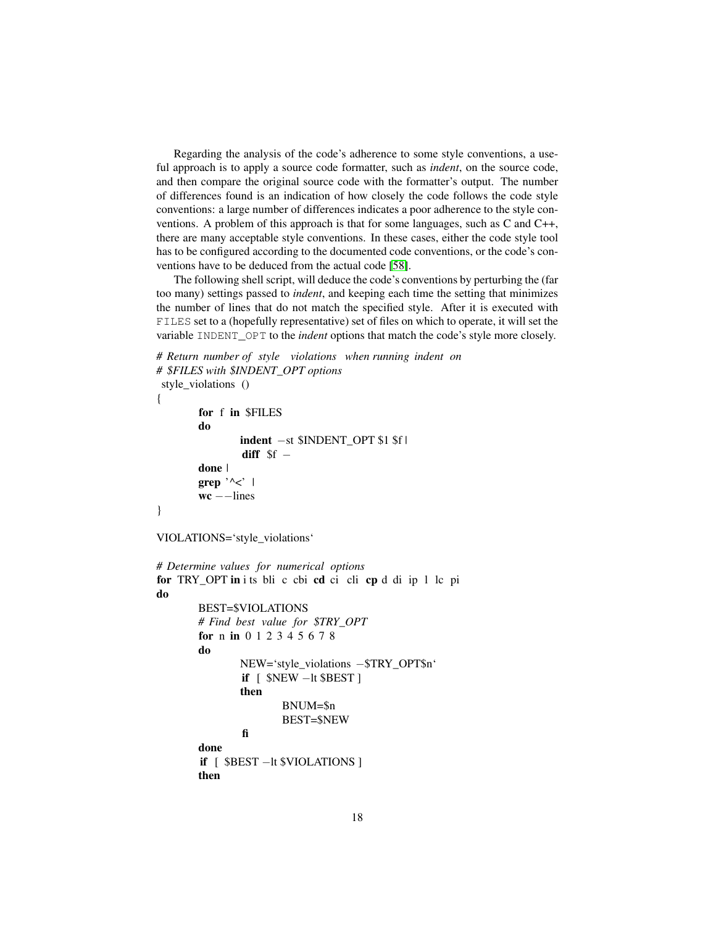Regarding the analysis of the code's adherence to some style conventions, a useful approach is to apply a source code formatter, such as *indent*, on the source code, and then compare the original source code with the formatter's output. The number of differences found is an indication of how closely the code follows the code style conventions: a large number of differences indicates a poor adherence to the style conventions. A problem of this approach is that for some languages, such as C and C++, there are many acceptable style conventions. In these cases, either the code style tool has to be configured according to the documented code conventions, or the code's conventions have to be deduced from the actual code [\[58\]](#page-55-2).

The following shell script, will deduce the code's conventions by perturbing the (far too many) settings passed to *indent*, and keeping each time the setting that minimizes the number of lines that do not match the specified style. After it is executed with FILES set to a (hopefully representative) set of files on which to operate, it will set the variable INDENT\_OPT to the *indent* options that match the code's style more closely.

```
# Return number of style violations when running indent on
# $FILES with $INDENT_OPT options
```

```
style_violations ()
{
          for f in $FILES
          do
                     indent −st $INDENT_OPT $1 $f |
                     diff $f -done |
          grep \sqrt[3]{\left\langle \cdot \right\rangle} |
          wc -lines
}
```
VIOLATIONS='style\_violations'

```
# Determine values for numerical options
for TRY OPT in i ts bli c cbi cd ci cli cp d di ip 1 lc pi
do
       BEST=$VIOLATIONS
       # Find best value for $TRY_OPT
       for n in 0 1 2 3 4 5 6 7 8
       do
               NEW='style_violations −$TRY_OPT$n'
               if [ $NEW −lt $BEST ]
               then
                      BNUM=$n
                      BEST=$NEW
               fi
       done
       if [ $BEST -lt $VIOLATIONS ]then
```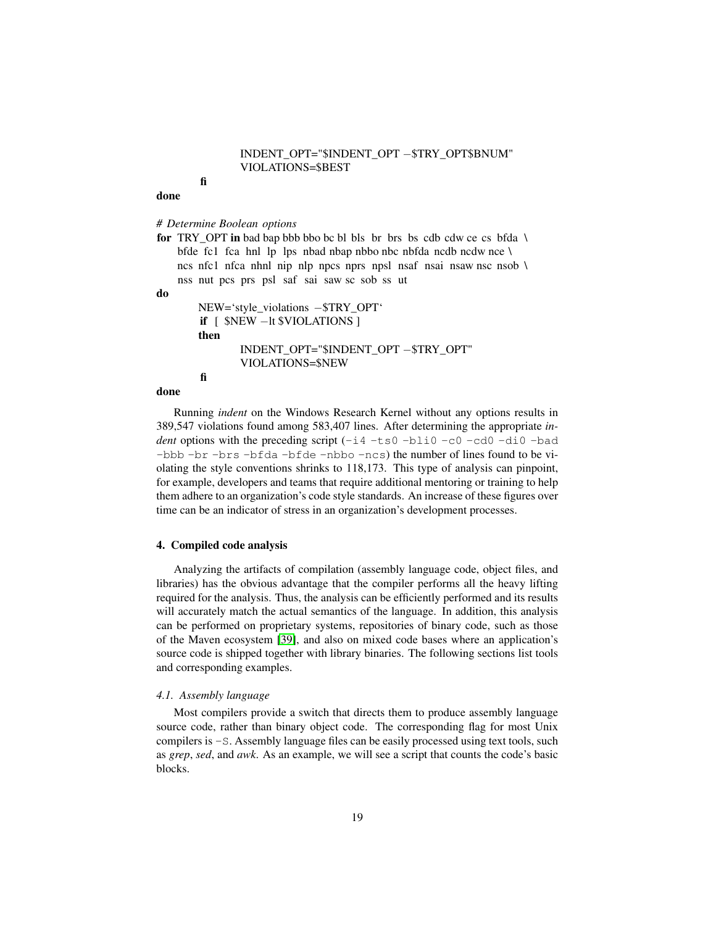# INDENT\_OPT="\$INDENT\_OPT −\$TRY\_OPT\$BNUM" VIOLATIONS=\$BEST

done

## *# Determine Boolean options*

fi

for TRY OPT in bad bap bbb bbo bc bl bls br brs bs cdb cdw ce cs bfda  $\setminus$ bfde fc1 fca hnl lp lps nbad nbap nbbo nbc nbfda ncdb ncdw nce \ ncs nfc1 nfca nhnl nip nlp npcs nprs npsl nsaf nsai nsaw nsc nsob \ nss nut pcs prs psl saf sai saw sc sob ss ut do NEW='style\_violations −\$TRY\_OPT' if [ \$NEW −lt \$VIOLATIONS ] then INDENT\_OPT="\$INDENT\_OPT −\$TRY\_OPT" VIOLATIONS=\$NEW fi

done

Running *indent* on the Windows Research Kernel without any options results in 389,547 violations found among 583,407 lines. After determining the appropriate *indent* options with the preceding script  $(-i4 - ts0 - bli0 - c0 - cd0 - di0 - bad)$ -bbb -br -brs -bfda -bfde -nbbo -ncs) the number of lines found to be violating the style conventions shrinks to 118,173. This type of analysis can pinpoint, for example, developers and teams that require additional mentoring or training to help them adhere to an organization's code style standards. An increase of these figures over time can be an indicator of stress in an organization's development processes.

## <span id="page-18-0"></span>4. Compiled code analysis

Analyzing the artifacts of compilation (assembly language code, object files, and libraries) has the obvious advantage that the compiler performs all the heavy lifting required for the analysis. Thus, the analysis can be efficiently performed and its results will accurately match the actual semantics of the language. In addition, this analysis can be performed on proprietary systems, repositories of binary code, such as those of the Maven ecosystem [\[39\]](#page-53-5), and also on mixed code bases where an application's source code is shipped together with library binaries. The following sections list tools and corresponding examples.

#### *4.1. Assembly language*

Most compilers provide a switch that directs them to produce assembly language source code, rather than binary object code. The corresponding flag for most Unix compilers is -S. Assembly language files can be easily processed using text tools, such as *grep*, *sed*, and *awk*. As an example, we will see a script that counts the code's basic blocks.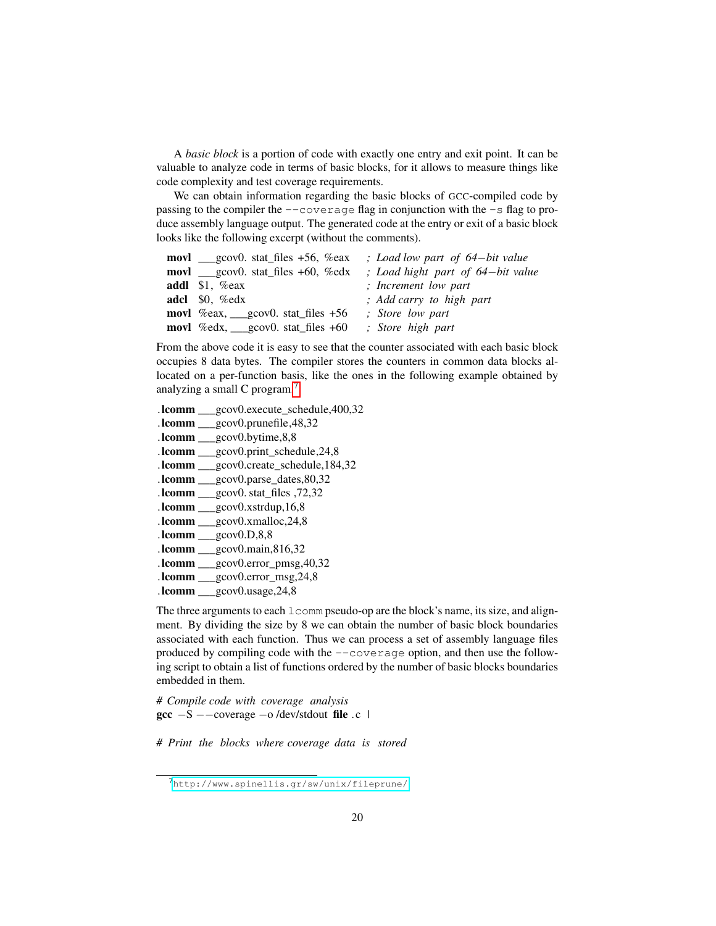A *basic block* is a portion of code with exactly one entry and exit point. It can be valuable to analyze code in terms of basic blocks, for it allows to measure things like code complexity and test coverage requirements.

We can obtain information regarding the basic blocks of GCC-compiled code by passing to the compiler the --coverage flag in conjunction with the -s flag to produce assembly language output. The generated code at the entry or exit of a basic block looks like the following excerpt (without the comments).

| <b>move</b> $\alpha$ gcov0. stat files $+56$ , $\%$ eax | $\therefore$ Load low part of 64-bit value |
|---------------------------------------------------------|--------------------------------------------|
| <b>move</b> $\alpha$ gcov0. stat files +60, %edx        | ; Load hight part of 64-bit value          |
| addl $$1, %$ eax                                        | ; Increment low part                       |
| adcl $\delta$ 0. ‰edx                                   | ; Add carry to high part                   |
| <b>move</b> $\%$ eax, gcov0. stat files $+56$           | : Store low part                           |
| move $\%$ edx, gcov $\theta$ . stat_files +60           | ; Store high part                          |

From the above code it is easy to see that the counter associated with each basic block occupies 8 data bytes. The compiler stores the counters in common data blocks allocated on a per-function basis, like the ones in the following example obtained by analyzing a small C program.[7](#page-19-0)

.lcomm \_\_\_gcov0.execute\_schedule,400,32 .lcomm \_\_\_gcov0.prunefile,48,32 .lcomm \_\_gcov0.bytime,8,8 .lcomm \_\_gcov0.print\_schedule,24,8 .lcomm gcov0.create\_schedule,184,32 .lcomm \_\_\_gcov0.parse\_dates,80,32 .lcomm \_\_\_gcov0. stat\_files ,72,32 .lcomm \_\_gcov0.xstrdup,16,8 .**lcomm** \_\_gcov0.xmalloc,24,8 .**lcomm** \_\_gcov0.D,8,8 .lcomm \_\_gcov0.main,816,32 .lcomm \_\_\_gcov0.error\_pmsg,40,32 .**lcomm** gcov0.error msg,24,8 .lcomm \_\_gcov0.usage,24,8

The three arguments to each  $l$  comm pseudo-op are the block's name, its size, and alignment. By dividing the size by 8 we can obtain the number of basic block boundaries associated with each function. Thus we can process a set of assembly language files produced by compiling code with the  $\sim$ -coverage option, and then use the following script to obtain a list of functions ordered by the number of basic blocks boundaries embedded in them.

*# Compile code with coverage analysis* gcc −S −−coverage −o /dev/stdout file .c |

*# Print the blocks where coverage data is stored*

<span id="page-19-0"></span><sup>7</sup><http://www.spinellis.gr/sw/unix/fileprune/>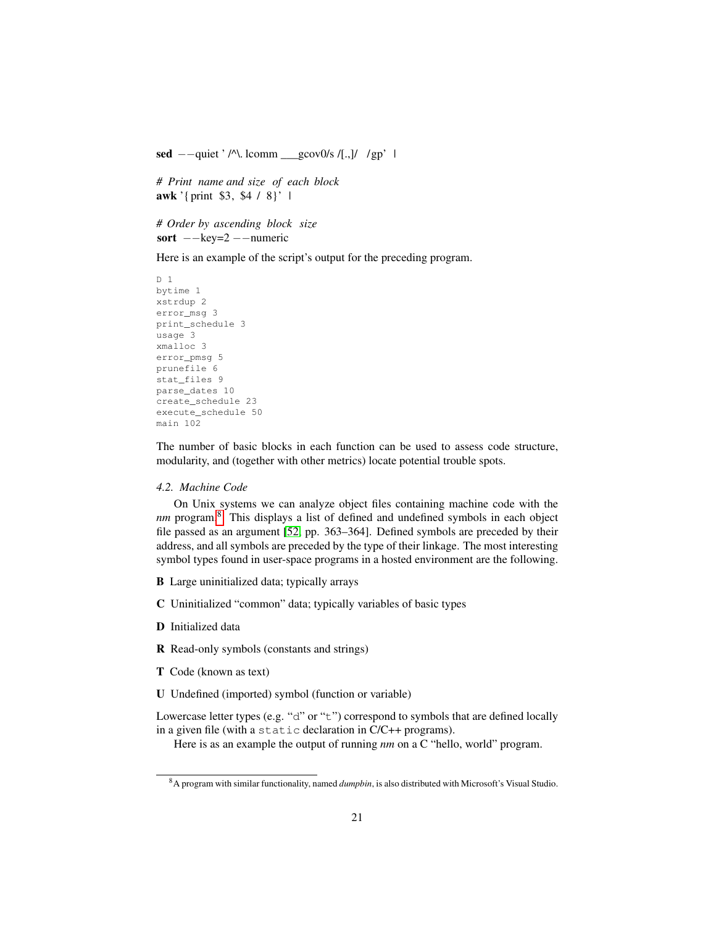sed  $-$ -quiet '/^\. lcomm \_\_gcov0/s /[.,]/ /gp' |

*# Print name and size of each block* awk '{ print \$3, \$4 / 8}' |

*# Order by ascending block size* sort −−key=2 −−numeric

Here is an example of the script's output for the preceding program.

```
D 1
bytime 1
xstrdup 2
error_msg 3
print_schedule 3
usage 3
xmalloc 3
error_pmsg 5
prunefile 6
stat_files 9
parse_dates 10
create_schedule 23
execute_schedule 50
main 102
```
The number of basic blocks in each function can be used to assess code structure, modularity, and (together with other metrics) locate potential trouble spots.

#### <span id="page-20-0"></span>*4.2. Machine Code*

On Unix systems we can analyze object files containing machine code with the *nm* program.[8](#page-20-1) This displays a list of defined and undefined symbols in each object file passed as an argument [\[52,](#page-54-5) pp. 363–364]. Defined symbols are preceded by their address, and all symbols are preceded by the type of their linkage. The most interesting symbol types found in user-space programs in a hosted environment are the following.

- B Large uninitialized data; typically arrays
- C Uninitialized "common" data; typically variables of basic types
- D Initialized data
- R Read-only symbols (constants and strings)
- T Code (known as text)
- U Undefined (imported) symbol (function or variable)

Lowercase letter types (e.g. "d" or "t") correspond to symbols that are defined locally in a given file (with a static declaration in C/C++ programs).

Here is as an example the output of running *nm* on a C "hello, world" program.

<span id="page-20-1"></span><sup>8</sup>A program with similar functionality, named *dumpbin*, is also distributed with Microsoft's Visual Studio.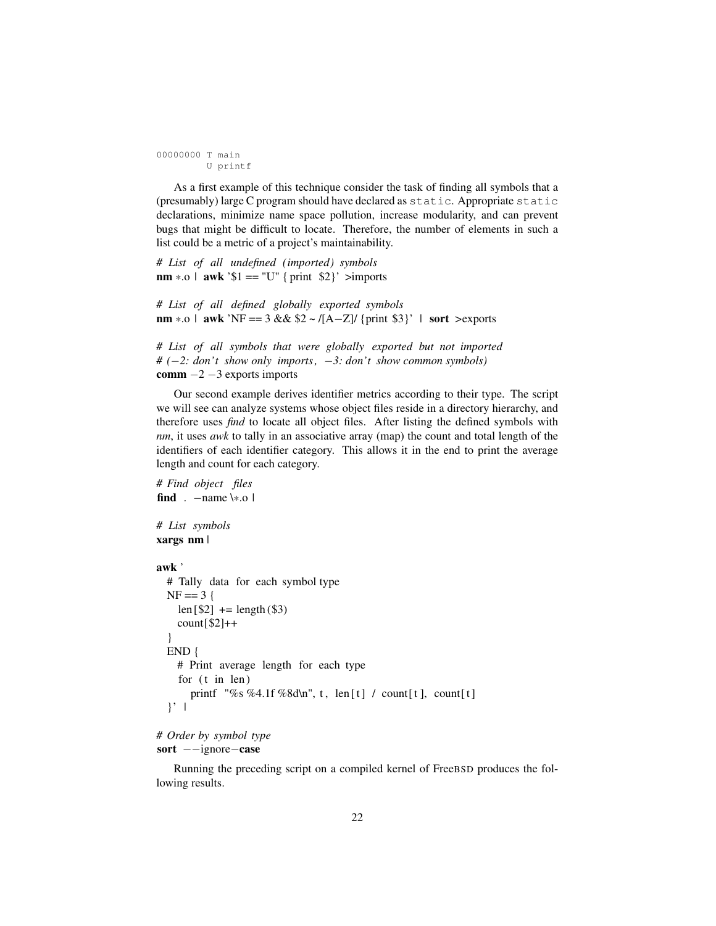00000000 T main U printf

As a first example of this technique consider the task of finding all symbols that a (presumably) large C program should have declared as static. Appropriate static declarations, minimize name space pollution, increase modularity, and can prevent bugs that might be difficult to locate. Therefore, the number of elements in such a list could be a metric of a project's maintainability.

*# List of all undefined (imported) symbols* nm  $*$ .o | awk '\$1 == "U" { print \$2}' >imports

```
# List of all defined globally exported symbols
nm *.o | awk 'NF = = 3 && $2 ~ /[A−Z]/ {print $3}' | sort > exports
```

```
# List of all symbols that were globally exported but not imported
# (−2: don't show only imports , −3: don't show common symbols)
comm -2 -3 exports imports
```
Our second example derives identifier metrics according to their type. The script we will see can analyze systems whose object files reside in a directory hierarchy, and therefore uses *find* to locate all object files. After listing the defined symbols with *nm*, it uses *awk* to tally in an associative array (map) the count and total length of the identifiers of each identifier category. This allows it in the end to print the average length and count for each category.

*# Find object files* find  $.$  –name \\*.o |

*# List symbols* xargs nm |

```
awk '
```

```
# Tally data for each symbol type
NF == 3len[$2] += length ($3)count[$2]++}
END {
  # Print average length for each type
  for (t in len)
    printf "%s %4.1f %8d\n", t, len[t] / count[t], count[t]
}' |
```
## *# Order by symbol type* sort ——ignore—case

Running the preceding script on a compiled kernel of FreeBSD produces the following results.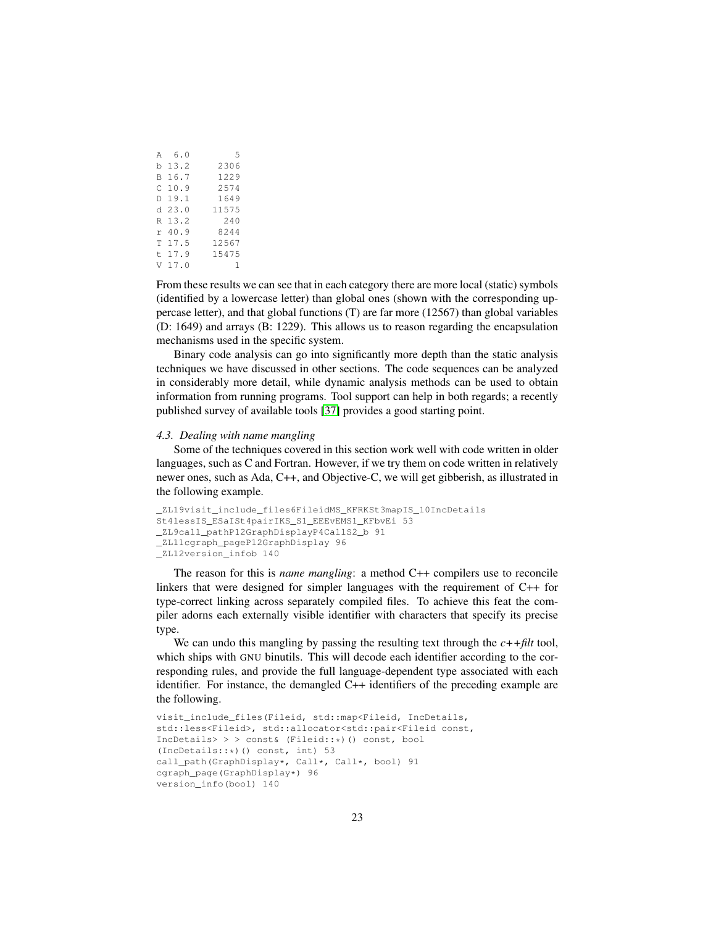| A 6.0             | 5     |
|-------------------|-------|
| b 13.2            | 2306  |
| B 16.7            | 1229  |
| C <sub>10.9</sub> | 2574  |
| $D$ 19.1          | 1649  |
| d23.0             | 11575 |
| R 13.2            | 2.40  |
| $r$ 40.9          | 8244  |
| T 17.5            | 12567 |
| t 17.9            | 15475 |
| V <sub>17.0</sub> |       |

From these results we can see that in each category there are more local (static) symbols (identified by a lowercase letter) than global ones (shown with the corresponding uppercase letter), and that global functions (T) are far more (12567) than global variables (D: 1649) and arrays (B: 1229). This allows us to reason regarding the encapsulation mechanisms used in the specific system.

Binary code analysis can go into significantly more depth than the static analysis techniques we have discussed in other sections. The code sequences can be analyzed in considerably more detail, while dynamic analysis methods can be used to obtain information from running programs. Tool support can help in both regards; a recently published survey of available tools [\[37\]](#page-53-6) provides a good starting point.

#### *4.3. Dealing with name mangling*

Some of the techniques covered in this section work well with code written in older languages, such as C and Fortran. However, if we try them on code written in relatively newer ones, such as Ada, C++, and Objective-C, we will get gibberish, as illustrated in the following example.

```
_ZL19visit_include_files6FileidMS_KFRKSt3mapIS_10IncDetails
St4lessIS_ESaISt4pairIKS_S1_EEEvEMS1_KFbvEi 53
_ZL9call_pathP12GraphDisplayP4CallS2_b 91
_ZL11cgraph_pageP12GraphDisplay 96
_ZL12version_infob 140
```
The reason for this is *name mangling*: a method C++ compilers use to reconcile linkers that were designed for simpler languages with the requirement of C++ for type-correct linking across separately compiled files. To achieve this feat the compiler adorns each externally visible identifier with characters that specify its precise type.

We can undo this mangling by passing the resulting text through the  $c++filt$  tool, which ships with GNU binutils. This will decode each identifier according to the corresponding rules, and provide the full language-dependent type associated with each identifier. For instance, the demangled C++ identifiers of the preceding example are the following.

```
visit_include_files(Fileid, std::map<Fileid, IncDetails,
std::less<Fileid>, std::allocator<std::pair<Fileid const,
IncDetails> > > const& (Fileid::*)() const, bool
(IncDetails::*)() const, int) 53
call_path(GraphDisplay*, Call*, Call*, bool) 91
cgraph page(GraphDisplay*) 96
version_info(bool) 140
```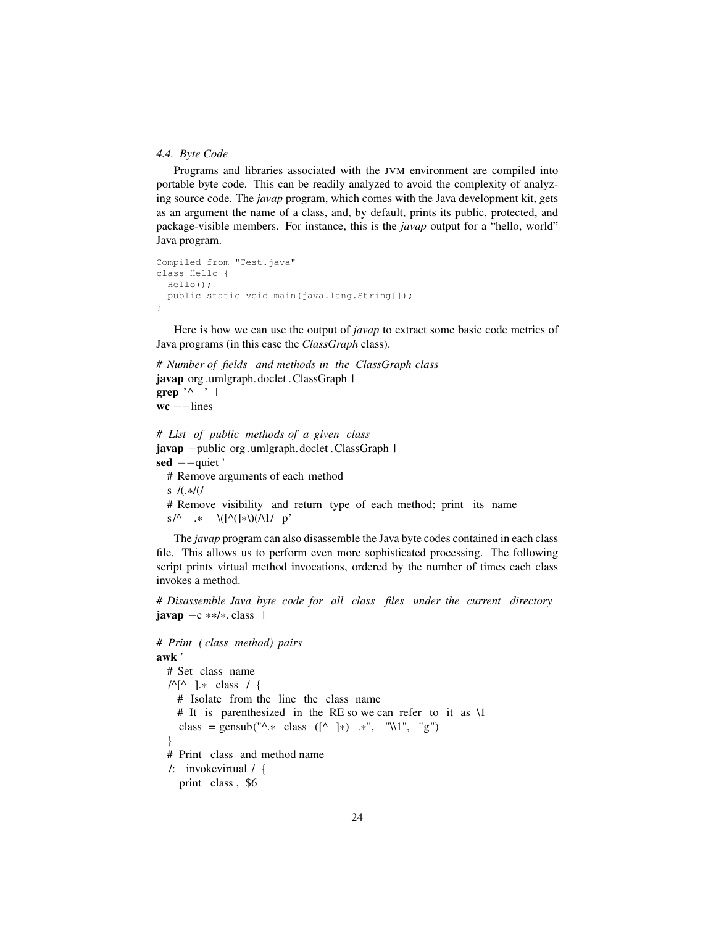#### <span id="page-23-0"></span>*4.4. Byte Code*

Programs and libraries associated with the JVM environment are compiled into portable byte code. This can be readily analyzed to avoid the complexity of analyzing source code. The *javap* program, which comes with the Java development kit, gets as an argument the name of a class, and, by default, prints its public, protected, and package-visible members. For instance, this is the *javap* output for a "hello, world" Java program.

```
Compiled from "Test.java"
class Hello {
  Hello();
  public static void main(java.lang.String[]);
}
```
Here is how we can use the output of *javap* to extract some basic code metrics of Java programs (in this case the *ClassGraph* class).

```
# Number of fields and methods in the ClassGraph class
javap org. umlgraph. doclet .ClassGraph |
grep ' \wedge ' |
```

```
wc ––lines
```

```
# List of public methods of a given class
javap −public org. umlgraph. doclet .ClassGraph |
sed -quiet '
  # Remove arguments of each method
  s /(.*)/(# Remove visibility and return type of each method; print its name
  s/\land .* \langle \langle \lceil \land \langle \rceil \star \rangle\langle \land 1/ p'
```
The *javap* program can also disassemble the Java byte codes contained in each class file. This allows us to perform even more sophisticated processing. The following script prints virtual method invocations, ordered by the number of times each class invokes a method.

*# Disassemble Java byte code for all class files under the current directory*  $javap -c$  \*\*/\*. class |

# *# Print ( class method) pairs* awk '

# Set class name  $/^$ [^  $]$ .\* class / { # Isolate from the line the class name # It is parenthesized in the RE so we can refer to it as \1 class = gensub(" $\wedge$ \* class ( $[\wedge]$ \*) .\*", "\\1", "g") } # Print class and method name /: invokevirtual / { print class , \$6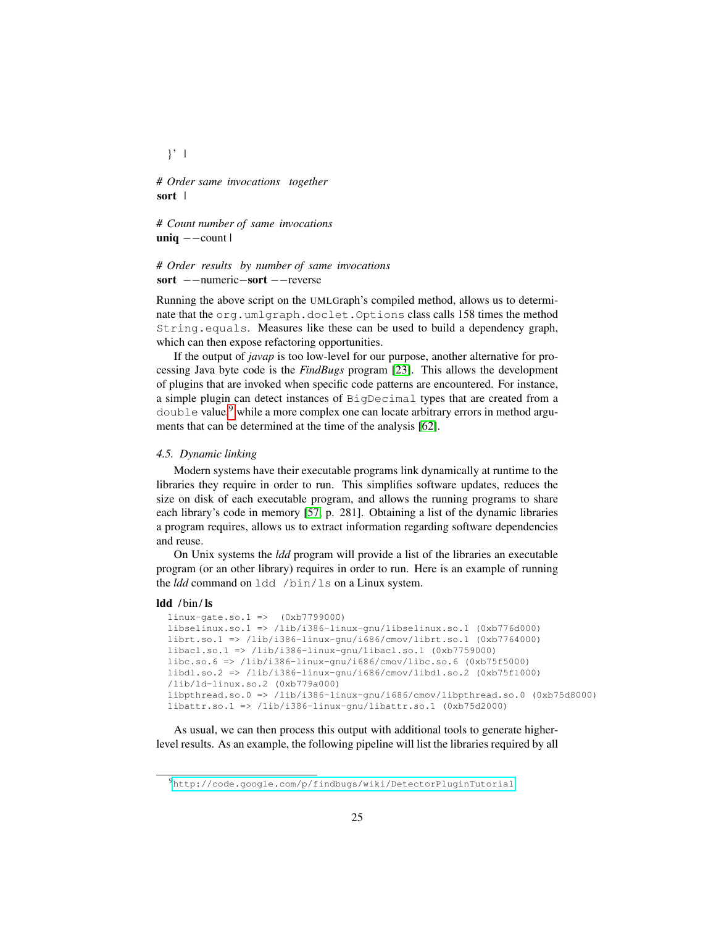}' |

*# Order same invocations together* sort |

*# Count number of same invocations* uniq −−count |

# *# Order results by number of same invocations* sort −−numeric−sort −−reverse

Running the above script on the UMLGraph's compiled method, allows us to determinate that the org.umlgraph.doclet.Options class calls 158 times the method String.equals. Measures like these can be used to build a dependency graph, which can then expose refactoring opportunities.

If the output of *javap* is too low-level for our purpose, another alternative for processing Java byte code is the *FindBugs* program [\[23\]](#page-52-7). This allows the development of plugins that are invoked when specific code patterns are encountered. For instance, a simple plugin can detect instances of BigDecimal types that are created from a  $\phi$  double value,<sup>[9](#page-24-0)</sup> while a more complex one can locate arbitrary errors in method arguments that can be determined at the time of the analysis [\[62\]](#page-55-3).

#### *4.5. Dynamic linking*

Modern systems have their executable programs link dynamically at runtime to the libraries they require in order to run. This simplifies software updates, reduces the size on disk of each executable program, and allows the running programs to share each library's code in memory [\[57,](#page-55-4) p. 281]. Obtaining a list of the dynamic libraries a program requires, allows us to extract information regarding software dependencies and reuse.

On Unix systems the *ldd* program will provide a list of the libraries an executable program (or an other library) requires in order to run. Here is an example of running the *ldd* command on ldd /bin/ls on a Linux system.

## ldd / bin/ ls

```
linux-gate.so.1 => (0xb7799000)
libselinux.so.1 => /lib/i386-linux-gnu/libselinux.so.1 (0xb776d000)
librt.so.1 => \langlelib\langlei386-linux-qnu\langlei686/cmov\langlelibrt.so.1 (0xb7764000)
libacl.so.1 => /lib/i386-linux-gnu/libacl.so.1 (0xb7759000)
libc.so.6 => /lib/i386-linux-gnu/i686/cmov/libc.so.6 (0xb75f5000)
libdl.so.2 => /lib/i386-linux-gnu/i686/cmov/libdl.so.2 (0xb75f1000)
/lib/ld-linux.so.2 (0xb779a000)
libpthread.so.0 => /lib/i386-linux-gnu/i686/cmov/libpthread.so.0 (0xb75d8000)
libattr.so.1 => /lib/i386-linux-gnu/libattr.so.1 (0xb75d2000)
```
As usual, we can then process this output with additional tools to generate higherlevel results. As an example, the following pipeline will list the libraries required by all

<span id="page-24-0"></span><sup>9</sup><http://code.google.com/p/findbugs/wiki/DetectorPluginTutorial>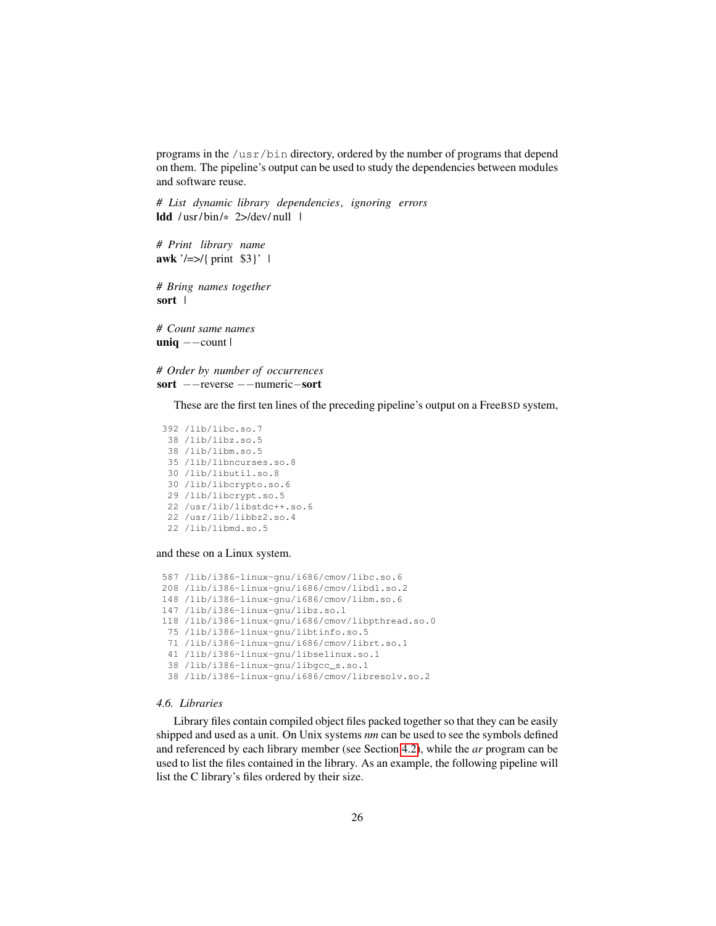programs in the /usr/bin directory, ordered by the number of programs that depend on them. The pipeline's output can be used to study the dependencies between modules and software reuse.

*# List dynamic library dependencies, ignoring errors*  $\text{Idd }$  / usr/bin/ $*$  2>/dev/ null |

*# Print library name* awk  $'\equiv>\!\!/\{$  print \$3}' |

*# Bring names together* sort |

*# Count same names* uniq −−count |

*# Order by number of occurrences* sort −−reverse −−numeric−sort

These are the first ten lines of the preceding pipeline's output on a FreeBSD system,

```
392 /lib/libc.so.7
38 /lib/libz.so.5
38 /lib/libm.so.5
35 /lib/libncurses.so.8
30 /lib/libutil.so.8
30 /lib/libcrypto.so.6
29 /lib/libcrypt.so.5
22 /usr/lib/libstdc++.so.6
22 /usr/lib/libbz2.so.4
22 /lib/libmd.so.5
```
and these on a Linux system.

```
587 /lib/i386-linux-gnu/i686/cmov/libc.so.6
208 /lib/i386-linux-gnu/i686/cmov/libdl.so.2
148 /lib/i386-linux-gnu/i686/cmov/libm.so.6
147 /lib/i386-linux-gnu/libz.so.1
118 /lib/i386-linux-gnu/i686/cmov/libpthread.so.0
75 /lib/i386-linux-gnu/libtinfo.so.5
71 /lib/i386-linux-gnu/i686/cmov/librt.so.1
41 /lib/i386-linux-gnu/libselinux.so.1
38 /lib/i386-linux-gnu/libgcc_s.so.1
38 /lib/i386-linux-gnu/i686/cmov/libresolv.so.2
```
## *4.6. Libraries*

Library files contain compiled object files packed together so that they can be easily shipped and used as a unit. On Unix systems *nm* can be used to see the symbols defined and referenced by each library member (see Section [4.2\)](#page-20-0), while the *ar* program can be used to list the files contained in the library. As an example, the following pipeline will list the C library's files ordered by their size.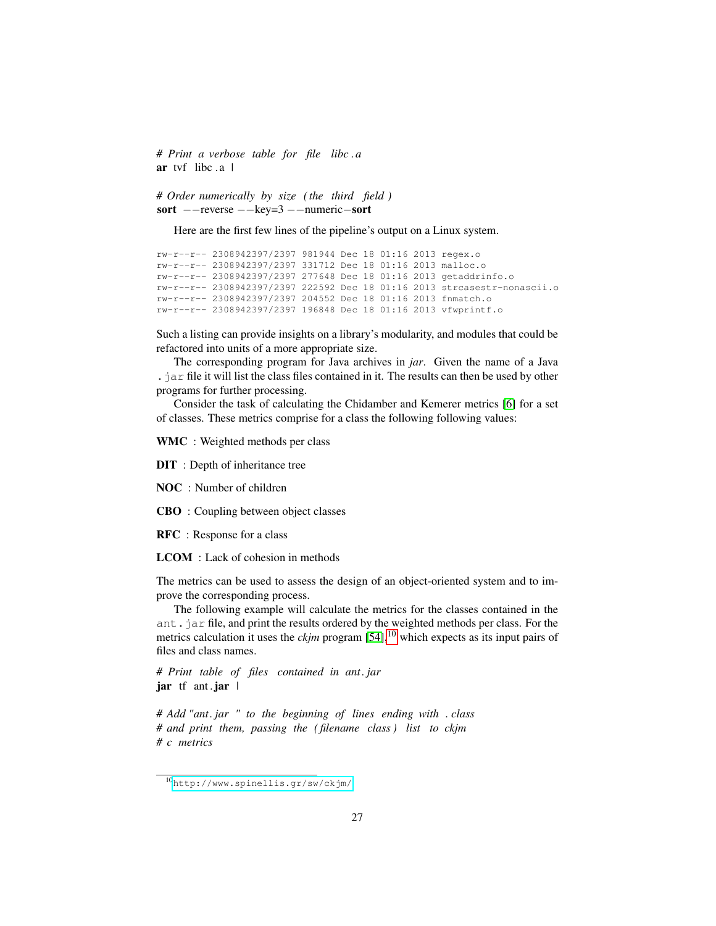*# Print a verbose table for file libc . a* ar tvf libc .a |

*# Order numerically by size (the third field )* sort −−reverse −−key=3 −−numeric−sort

Here are the first few lines of the pipeline's output on a Linux system.

rw-r--r-- 2308942397/2397 981944 Dec 18 01:16 2013 regex.o rw-r--r-- 2308942397/2397 331712 Dec 18 01:16 2013 malloc.o rw-r--r-- 2308942397/2397 277648 Dec 18 01:16 2013 getaddrinfo.o rw-r--r-- 2308942397/2397 222592 Dec 18 01:16 2013 strcasestr-nonascii.o rw-r--r-- 2308942397/2397 204552 Dec 18 01:16 2013 fnmatch.o rw-r--r-- 2308942397/2397 196848 Dec 18 01:16 2013 vfwprintf.o

Such a listing can provide insights on a library's modularity, and modules that could be refactored into units of a more appropriate size.

The corresponding program for Java archives in *jar*. Given the name of a Java .jar file it will list the class files contained in it. The results can then be used by other programs for further processing.

Consider the task of calculating the Chidamber and Kemerer metrics [\[6\]](#page-50-4) for a set of classes. These metrics comprise for a class the following following values:

WMC : Weighted methods per class

**DIT** : Depth of inheritance tree

NOC : Number of children

CBO : Coupling between object classes

RFC : Response for a class

LCOM : Lack of cohesion in methods

The metrics can be used to assess the design of an object-oriented system and to improve the corresponding process.

The following example will calculate the metrics for the classes contained in the ant.jar file, and print the results ordered by the weighted methods per class. For the metrics calculation it uses the *ckjm* program  $[54]$ ,<sup>[10](#page-26-0)</sup> which expects as its input pairs of files and class names.

*# Print table of files contained in ant . jar* jar tf ant .jar |

*# Add "ant. jar " to the beginning of lines ending with . class # and print them, passing the ( filename class ) list to ckjm # c metrics*

<span id="page-26-0"></span><sup>10</sup><http://www.spinellis.gr/sw/ckjm/>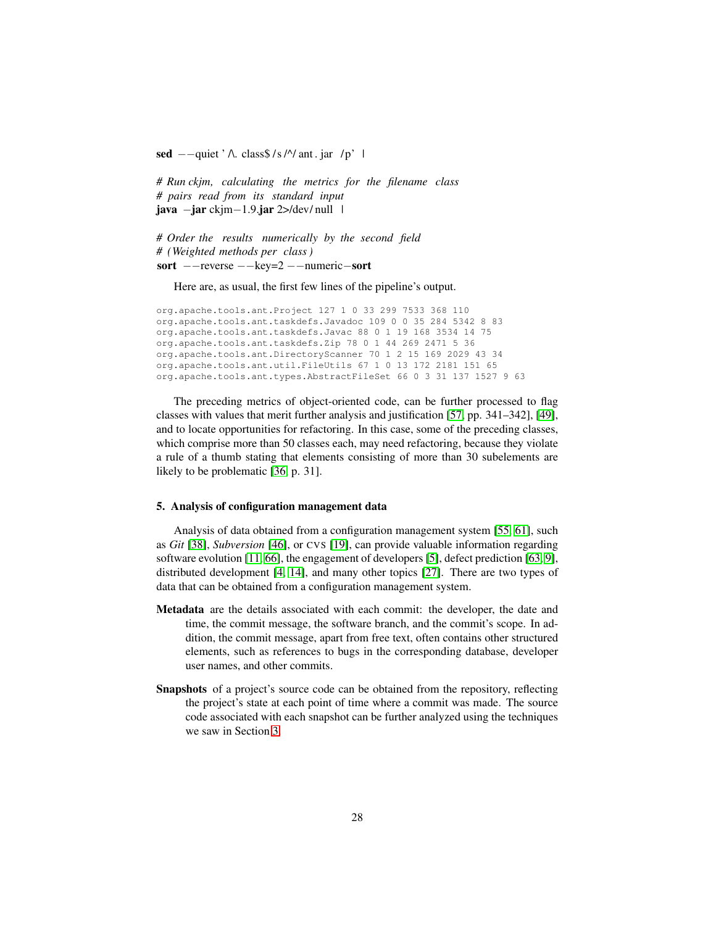sed  $-$ quiet '  $\land$ . class\$ /s / $\land$  ant . jar /p' |

*# Run ckjm, calculating the metrics for the filename class # pairs read from its standard input* java −jar ckjm−1.9.jar 2>/dev/ null |

*# Order the results numerically by the second field # (Weighted methods per class )* sort −−reverse −−key=2 −−numeric−sort

Here are, as usual, the first few lines of the pipeline's output.

org.apache.tools.ant.Project 127 1 0 33 299 7533 368 110 org.apache.tools.ant.taskdefs.Javadoc 109 0 0 35 284 5342 8 83 org.apache.tools.ant.taskdefs.Javac 88 0 1 19 168 3534 14 75 org.apache.tools.ant.taskdefs.Zip 78 0 1 44 269 2471 5 36 org.apache.tools.ant.DirectoryScanner 70 1 2 15 169 2029 43 34 org.apache.tools.ant.util.FileUtils 67 1 0 13 172 2181 151 65 org.apache.tools.ant.types.AbstractFileSet 66 0 3 31 137 1527 9 63

The preceding metrics of object-oriented code, can be further processed to flag classes with values that merit further analysis and justification [\[57,](#page-55-4) pp. 341–342], [\[49\]](#page-54-7), and to locate opportunities for refactoring. In this case, some of the preceding classes, which comprise more than 50 classes each, may need refactoring, because they violate a rule of a thumb stating that elements consisting of more than 30 subelements are likely to be problematic [\[36,](#page-53-7) p. 31].

## <span id="page-27-0"></span>5. Analysis of configuration management data

Analysis of data obtained from a configuration management system [\[55,](#page-54-8) [61\]](#page-55-5), such as *Git* [\[38\]](#page-53-8), *Subversion* [\[46\]](#page-54-9), or CVS [\[19\]](#page-51-6), can provide valuable information regarding software evolution [\[11,](#page-51-7) [66\]](#page-55-6), the engagement of developers [\[5\]](#page-50-5), defect prediction [\[63,](#page-55-7) [9\]](#page-50-6), distributed development [\[4,](#page-50-7) [14\]](#page-51-8), and many other topics [\[27\]](#page-52-8). There are two types of data that can be obtained from a configuration management system.

- Metadata are the details associated with each commit: the developer, the date and time, the commit message, the software branch, and the commit's scope. In addition, the commit message, apart from free text, often contains other structured elements, such as references to bugs in the corresponding database, developer user names, and other commits.
- Snapshots of a project's source code can be obtained from the repository, reflecting the project's state at each point of time where a commit was made. The source code associated with each snapshot can be further analyzed using the techniques we saw in Section [3.](#page-7-0)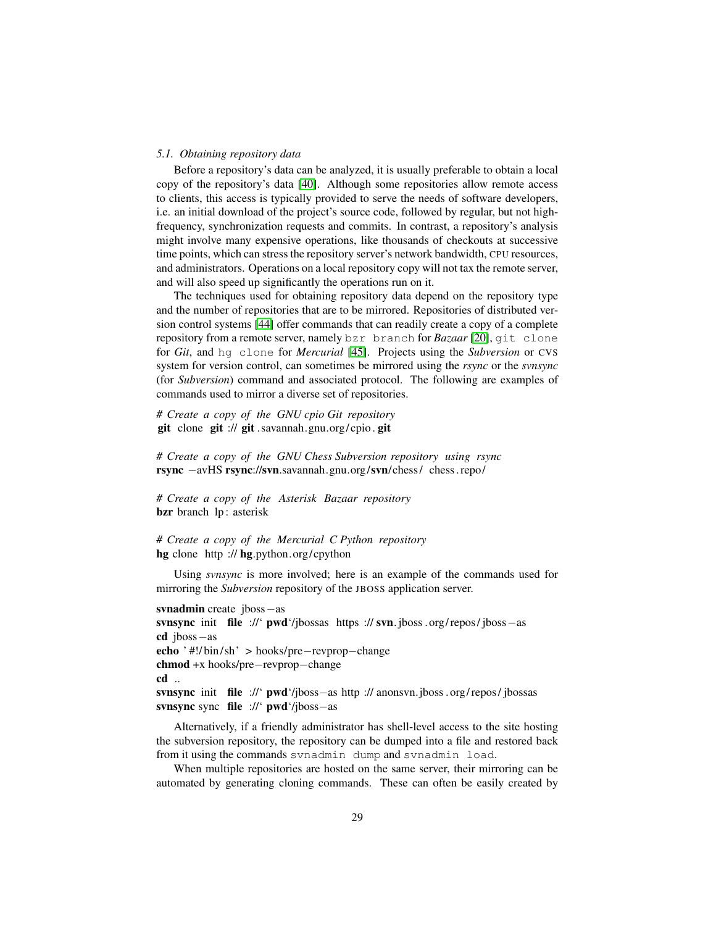#### <span id="page-28-0"></span>*5.1. Obtaining repository data*

Before a repository's data can be analyzed, it is usually preferable to obtain a local copy of the repository's data [\[40\]](#page-53-9). Although some repositories allow remote access to clients, this access is typically provided to serve the needs of software developers, i.e. an initial download of the project's source code, followed by regular, but not highfrequency, synchronization requests and commits. In contrast, a repository's analysis might involve many expensive operations, like thousands of checkouts at successive time points, which can stress the repository server's network bandwidth, CPU resources, and administrators. Operations on a local repository copy will not tax the remote server, and will also speed up significantly the operations run on it.

The techniques used for obtaining repository data depend on the repository type and the number of repositories that are to be mirrored. Repositories of distributed version control systems [\[44\]](#page-53-10) offer commands that can readily create a copy of a complete repository from a remote server, namely bzr branch for *Bazaar* [\[20\]](#page-51-9), git clone for *Git*, and hg clone for *Mercurial* [\[45\]](#page-53-11). Projects using the *Subversion* or CVS system for version control, can sometimes be mirrored using the *rsync* or the *svnsync* (for *Subversion*) command and associated protocol. The following are examples of commands used to mirror a diverse set of repositories.

*# Create a copy of the GNU cpio Git repository* git clone git  $\mathcal{U}$  git . savannah.gnu.org/cpio.git

*# Create a copy of the GNU Chess Subversion repository using rsync* rsync −avHS rsync://svn.savannah.gnu.org/svn/chess/ chess . repo/

*# Create a copy of the Asterisk Bazaar repository* bzr branch lp: asterisk

*# Create a copy of the Mercurial C Python repository* hg clone http :// hg.python.org/cpython

Using *svnsync* is more involved; here is an example of the commands used for mirroring the *Subversion* repository of the JBOSS application server.

```
svnadmin create jboss−as
svnsync init file ://' pwd'/jbossas https :// svn. jboss . org/ repos/ jboss−as
cd jboss−as
echo ' #!/ bin/sh' > hooks/pre−revprop−change
chmod +x hooks/pre−revprop−change
cd ..
svnsync init file ://' pwd'/jboss−as http :// anonsvn.jboss .org/ repos/ jbossas
svnsync sync file ://' pwd'/jboss−as
```
Alternatively, if a friendly administrator has shell-level access to the site hosting the subversion repository, the repository can be dumped into a file and restored back from it using the commands svnadmin dump and svnadmin load.

When multiple repositories are hosted on the same server, their mirroring can be automated by generating cloning commands. These can often be easily created by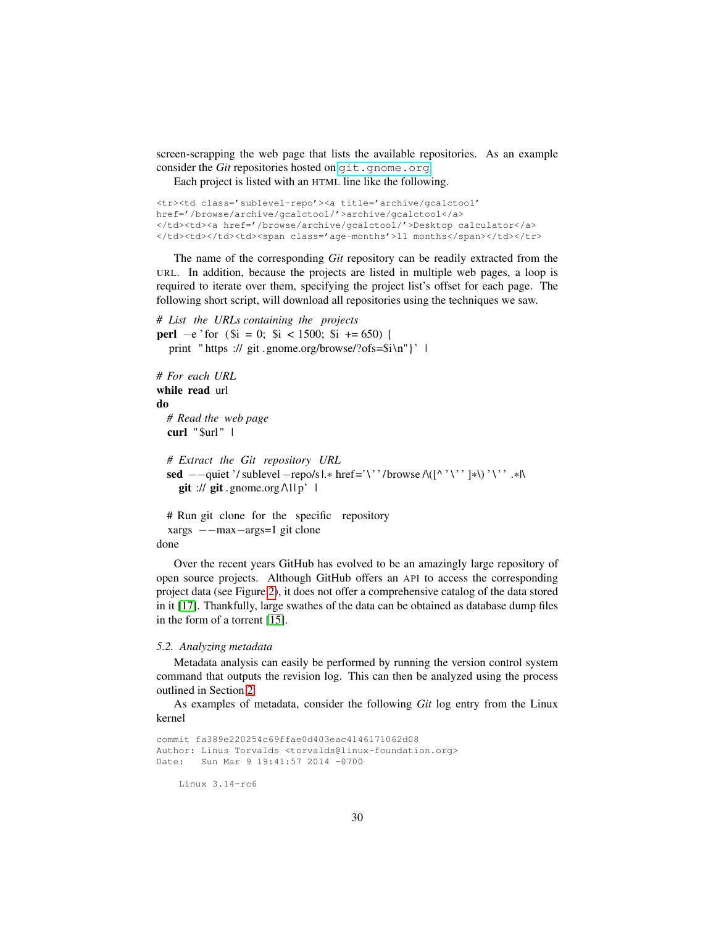screen-scrapping the web page that lists the available repositories. As an example consider the *Git* repositories hosted on <git.gnome.org>.

Each project is listed with an HTML line like the following.

```
<tr><td class='sublevel-repo'><a title='archive/gcalctool'
href='/browse/archive/gcalctool/'>archive/gcalctool</a>
</td><td><a href='/browse/archive/gcalctool/'>Desktop calculator</a>
</td><td></td><td><span class='age-months'>11 months</span></td></tr>
```
The name of the corresponding *Git* repository can be readily extracted from the URL. In addition, because the projects are listed in multiple web pages, a loop is required to iterate over them, specifying the project list's offset for each page. The following short script, will download all repositories using the techniques we saw.

```
# List the URLs containing the projects
perl -e ' for ( $i = 0; $i < 1500; $i +=650) {
  print " https :// git . gnome.org/browse/?ofs=$i\n"}' |
# For each URL
while read url
do
  # Read the web page
  curl "$url" |
  # Extract the Git repository URL
  sed -quiet '/ sublevel -repo/s |.* href='\' '/browse \Lambda([\wedge' \ \wedge'']*)\ \wedge\ \wedge'' .*\
    git :// git .gnome.org\wedge1| p' |
  # Run git clone for the specific repository
  xargs −−max−args=1 git clone
done
```
Over the recent years GitHub has evolved to be an amazingly large repository of open source projects. Although GitHub offers an API to access the corresponding project data (see Figure [2\)](#page-30-0), it does not offer a comprehensive catalog of the data stored in it [\[17\]](#page-51-10). Thankfully, large swathes of the data can be obtained as database dump files in the form of a torrent [\[15\]](#page-51-3).

#### *5.2. Analyzing metadata*

Metadata analysis can easily be performed by running the version control system command that outputs the revision log. This can then be analyzed using the process outlined in Section [2.](#page-2-0)

As examples of metadata, consider the following *Git* log entry from the Linux kernel

```
commit fa389e220254c69ffae0d403eac4146171062d08
Author: Linus Torvalds <torvalds@linux-foundation.org>
Date: Sun Mar 9 19:41:57 2014 -0700
```
Linux 3.14-rc6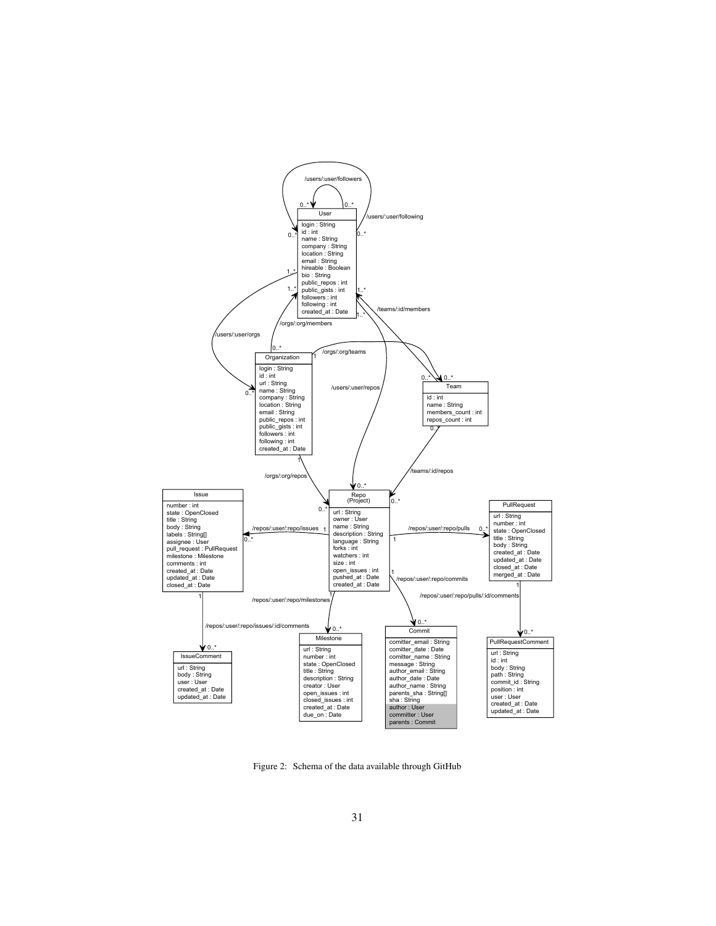

<span id="page-30-0"></span>Figure 2: Schema of the data available through GitHub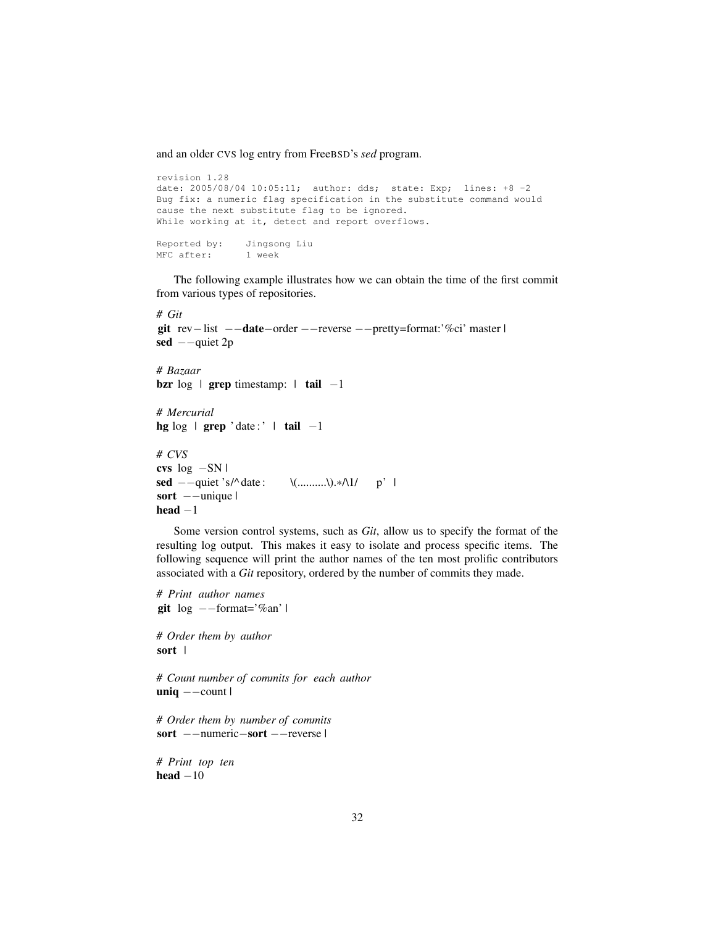and an older CVS log entry from FreeBSD's *sed* program.

```
revision 1.28
date: 2005/08/04 10:05:11; author: dds; state: Exp; lines: +8 -2
Bug fix: a numeric flag specification in the substitute command would
cause the next substitute flag to be ignored.
While working at it, detect and report overflows.
Reported by: Jingsong Liu
MFC after: 1 week
```
The following example illustrates how we can obtain the time of the first commit from various types of repositories.

```
# Git
git rev−list −−date−order −−reverse −−pretty=format:'%ci' master |
sed —−quiet 2p
```
*# Bazaar* bzr log | grep timestamp:  $|$  tail  $-1$ 

*# Mercurial* hg  $\log$  | grep 'date:' | tail −1 *# CVS* cvs log −SN | sed  $-$ quiet 's/^ date : \(..........\).\* $\wedge$ 1/ p' | sort --unique | head  $-1$ 

Some version control systems, such as *Git*, allow us to specify the format of the resulting log output. This makes it easy to isolate and process specific items. The following sequence will print the author names of the ten most prolific contributors associated with a *Git* repository, ordered by the number of commits they made.

```
# Print author names
git log –−format='%an' |
# Order them by author
sort |
# Count number of commits for each author
uniq −−count |
# Order them by number of commits
sort −−numeric−sort −−reverse |
# Print top ten
```
head  $-10$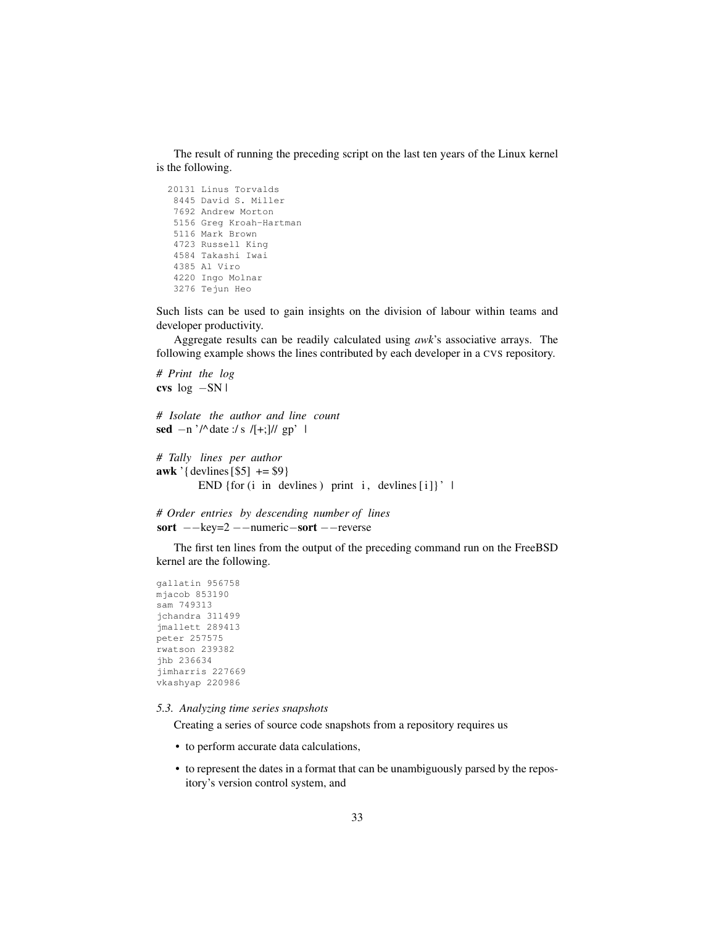The result of running the preceding script on the last ten years of the Linux kernel is the following.

```
20131 Linus Torvalds
8445 David S. Miller
7692 Andrew Morton
5156 Greg Kroah-Hartman
5116 Mark Brown
4723 Russell King
4584 Takashi Iwai
4385 Al Viro
4220 Ingo Molnar
3276 Tejun Heo
```
Such lists can be used to gain insights on the division of labour within teams and developer productivity.

Aggregate results can be readily calculated using *awk*'s associative arrays. The following example shows the lines contributed by each developer in a CVS repository.

```
# Print the log
cvs log −SN |
# Isolate the author and line count
sed -n '/^ date :/ s /[+;]// gp' |
# Tally lines per author
awk '{devlines [$5] += $9}
        END {for (i in devlines ) print i, devlines [i] ' |
```

```
# Order entries by descending number of lines
```

```
sort −−key=2 −−numeric−sort −−reverse
```
The first ten lines from the output of the preceding command run on the FreeBSD kernel are the following.

```
gallatin 956758
mjacob 853190
sam 749313
jchandra 311499
jmallett 289413
peter 257575
rwatson 239382
jhb 236634
jimharris 227669
vkashyap 220986
```
<span id="page-32-0"></span>*5.3. Analyzing time series snapshots*

Creating a series of source code snapshots from a repository requires us

- to perform accurate data calculations,
- to represent the dates in a format that can be unambiguously parsed by the repository's version control system, and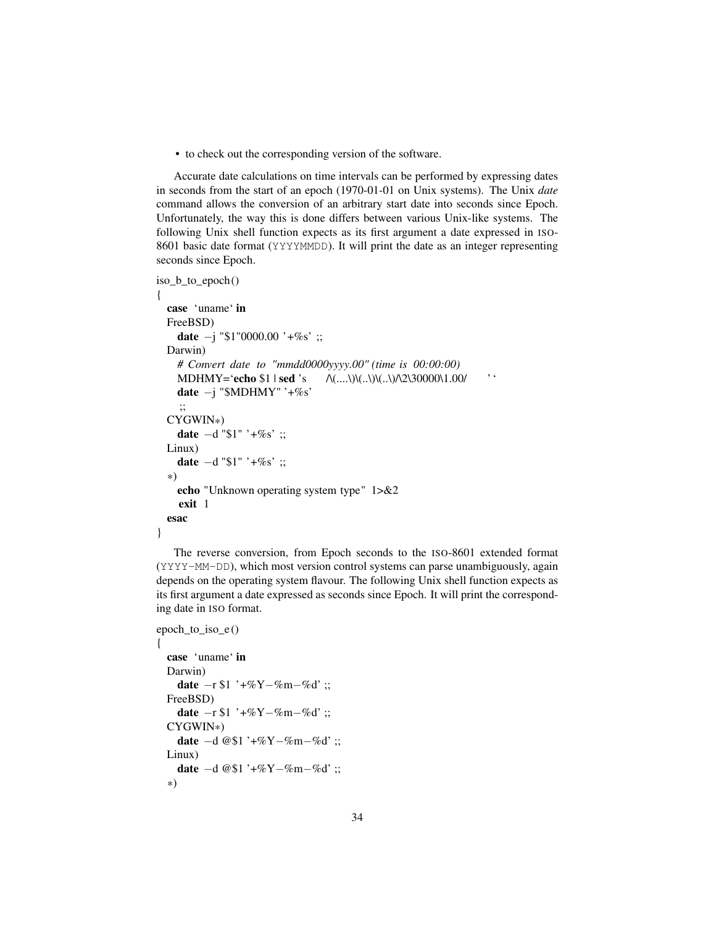• to check out the corresponding version of the software.

Accurate date calculations on time intervals can be performed by expressing dates in seconds from the start of an epoch (1970-01-01 on Unix systems). The Unix *date* command allows the conversion of an arbitrary start date into seconds since Epoch. Unfortunately, the way this is done differs between various Unix-like systems. The following Unix shell function expects as its first argument a date expressed in ISO-8601 basic date format (YYYYMMDD). It will print the date as an integer representing seconds since Epoch.

```
iso b to epoch()
```

```
{
 case 'uname' in
 FreeBSD)
   date -j "$1"0000.00 '+%s' ;;
 Darwin)
   # Convert date to "mmdd0000yyyy.00" (time is 00:00:00)
   MDHMY='echo $1 | sed 's \wedge(....\)\(..\)\(..\)\wedge2\30000\1.00/ ' '
   date -j "$MDHMY" '+%s'
    ;;
 CYGWIN*)
   date -d "$1" '+%s' ;;
 Linux)
   date −d "$1" '+%s' ;;
 *)
   echo "Unknown operating system type" 1>&2
    exit 1
 esac
}
```
The reverse conversion, from Epoch seconds to the ISO-8601 extended format (YYYY-MM-DD), which most version control systems can parse unambiguously, again depends on the operating system flavour. The following Unix shell function expects as its first argument a date expressed as seconds since Epoch. It will print the corresponding date in ISO format.

```
epoch_to_iso_e ()
{
 case 'uname' in
 Darwin)
   date −r $1 '+%Y−%m−%d' ;;
 FreeBSD)
   date −r $1 '+%Y−%m−%d' ;;
 CYGWIN*)
   date −d @$1 '+%Y−%m−%d' ;;
 Linux)
   date −d @$1 '+%Y−%m−%d' ;;
 *)
```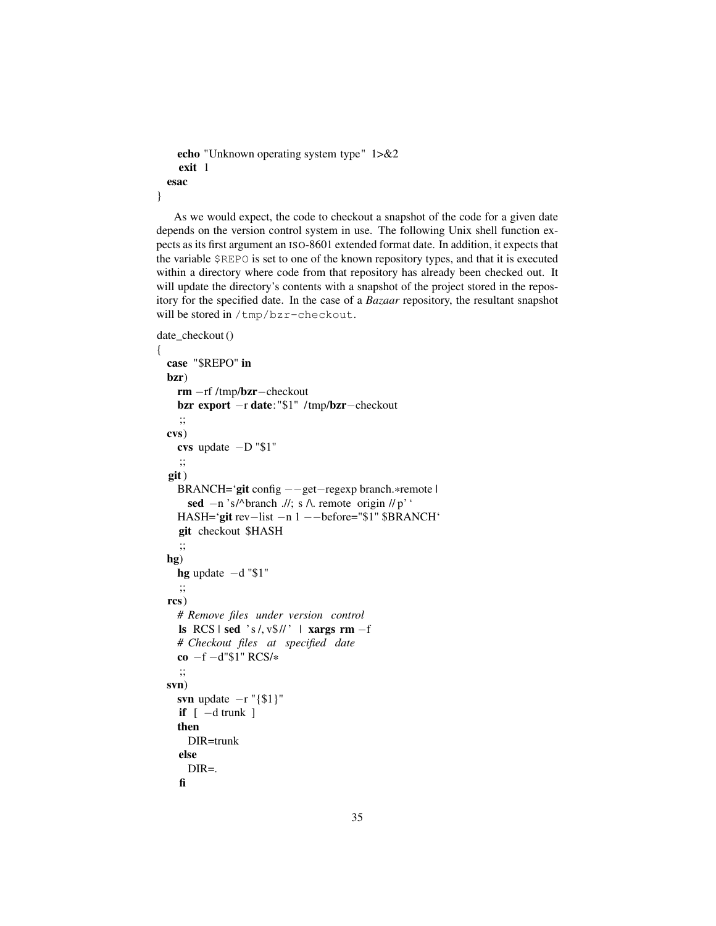```
echo "Unknown operating system type" 1>&2
   exit 1
 esac
}
```
As we would expect, the code to checkout a snapshot of the code for a given date depends on the version control system in use. The following Unix shell function expects as its first argument an ISO-8601 extended format date. In addition, it expects that the variable \$REPO is set to one of the known repository types, and that it is executed within a directory where code from that repository has already been checked out. It will update the directory's contents with a snapshot of the project stored in the repository for the specified date. In the case of a *Bazaar* repository, the resultant snapshot will be stored in /tmp/bzr-checkout.

```
date_checkout()
```
{

```
case "$REPO" in
bzr)
  rm −rf /tmp/bzr−checkout
  bzr export −r date:"$1" /tmp/bzr−checkout
  ;;
cvs)
  cvs update −D "$1"
  ;;
git )
  BRANCH='git config −−get−regexp branch.*remote |
    sed -n 's/\landbranch .//; s \land remote origin // p' '
  HASH='git rev−list −n 1 −−before="$1" $BRANCH'
  git checkout $HASH
  ;;
hg)
  hg update −d "$1"
  ;;
rcs)
  # Remove files under version control
  ls RCS | sed 's /, v$//' | xargs rm −f
  # Checkout files at specified date
  co -f - d"$1" RCS/*;;
svn)
  svn update -r "{$1}"
  if \lceil -d \text{ trunk} \rceilthen
    DIR=trunk
  else
    DIR=.
  fi
```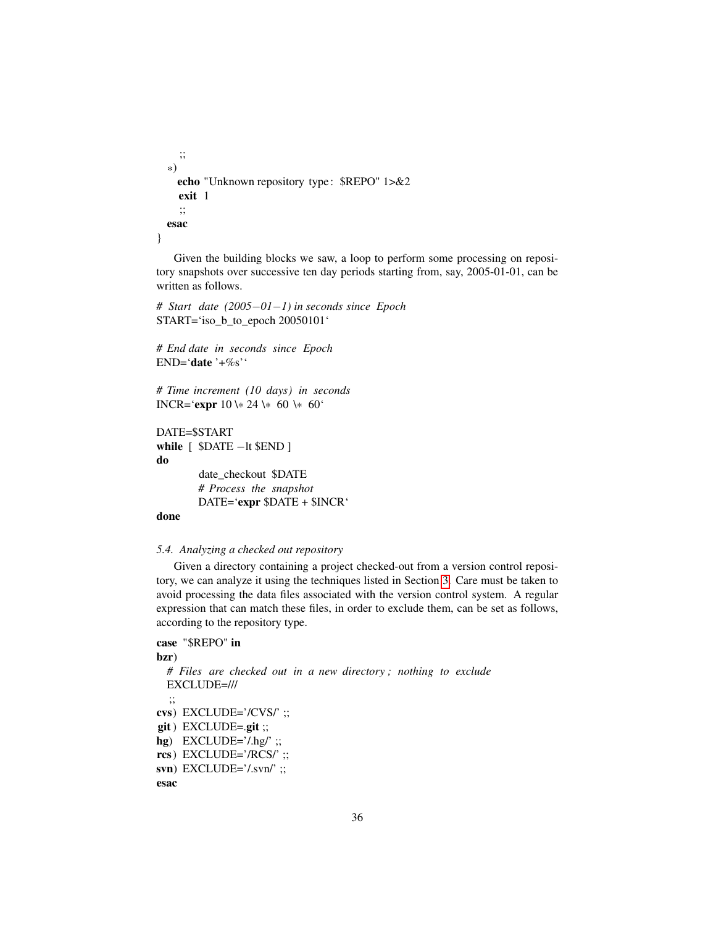```
;;
 *)
   echo "Unknown repository type: $REPO" 1>&2
    exit 1
    ;;
 esac
}
```
Given the building blocks we saw, a loop to perform some processing on repository snapshots over successive ten day periods starting from, say, 2005-01-01, can be written as follows.

*# Start date (2005*−*01*−*1) in seconds since Epoch* START='iso\_b\_to\_epoch 20050101'

*# End date in seconds since Epoch* END='date '+%s''

*# Time increment (10 days) in seconds* INCR= $'$ **expr** 10 \\* 24 \\* 60 \\* 60'

DATE=\$START while [ \$DATE −lt \$END ] do

> date\_checkout \$DATE *# Process the snapshot* DATE='expr \$DATE + \$INCR'

#### done

## *5.4. Analyzing a checked out repository*

Given a directory containing a project checked-out from a version control repository, we can analyze it using the techniques listed in Section [3.](#page-7-0) Care must be taken to avoid processing the data files associated with the version control system. A regular expression that can match these files, in order to exclude them, can be set as follows, according to the repository type.

# case "\$REPO" in bzr)

*# Files are checked out in a new directory ; nothing to exclude* EXCLUDE=/// ;; cvs) EXCLUDE='/CVS/' ;;

git ) EXCLUDE=.git ;;

hg) EXCLUDE='/.hg/' ;;

```
rcs) EXCLUDE='/RCS/' ;;
svn) EXCLUDE='/.svn/' ;;
```

```
esac
```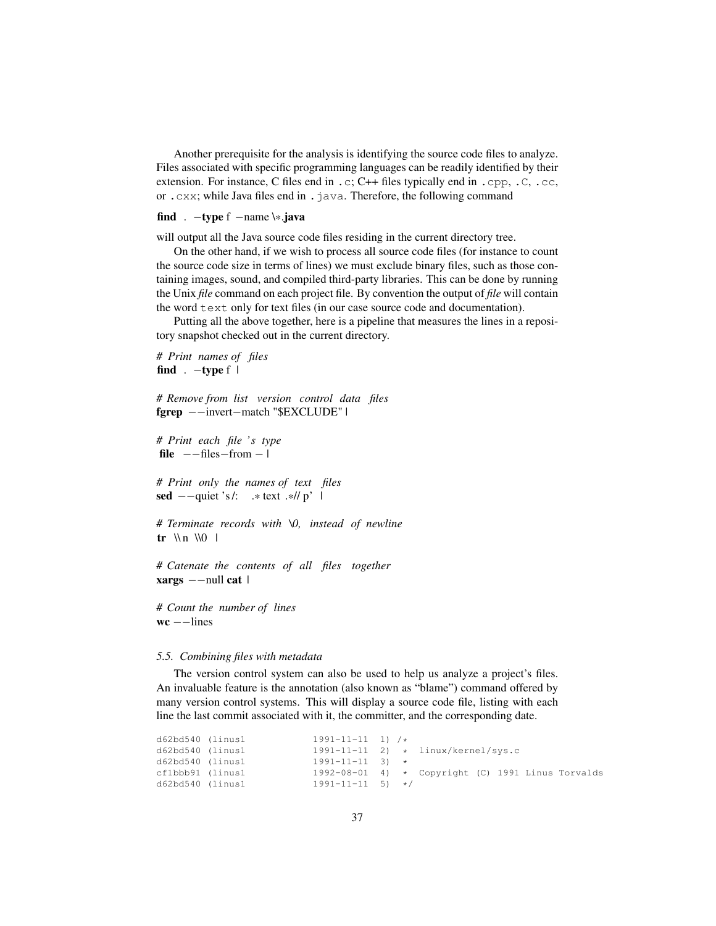Another prerequisite for the analysis is identifying the source code files to analyze. Files associated with specific programming languages can be readily identified by their extension. For instance, C files end in . c; C++ files typically end in . cpp, . C, . cc, or . cxx; while Java files end in . java. Therefore, the following command

## find  $-$ type f  $-$ name \\*.java

will output all the Java source code files residing in the current directory tree.

On the other hand, if we wish to process all source code files (for instance to count the source code size in terms of lines) we must exclude binary files, such as those containing images, sound, and compiled third-party libraries. This can be done by running the Unix *file* command on each project file. By convention the output of *file* will contain the word text only for text files (in our case source code and documentation).

Putting all the above together, here is a pipeline that measures the lines in a repository snapshot checked out in the current directory.

*# Print names of files* find  $. -type f$  |

*# Remove from list version control data files* fgrep −−invert−match "\$EXCLUDE" |

*# Print each file 's type*  $file$   $-\text{files}-from -1$ 

*# Print only the names of text files* sed  $-$ quiet 's /: \* text .\*// p' |

*# Terminate records with \0, instead of newline*  $tr \ \ln \ \mathcal{N}$  |

*# Catenate the contents of all files together* xargs −−null cat |

*# Count the number of lines*  $wc$   $-$ lines

#### <span id="page-36-0"></span>*5.5. Combining files with metadata*

The version control system can also be used to help us analyze a project's files. An invaluable feature is the annotation (also known as "blame") command offered by many version control systems. This will display a source code file, listing with each line the last commit associated with it, the committer, and the corresponding date.

| d62bd540 (linus1 | $1991 - 11 - 11$ 1) $/*$                            |  |  |  |  |
|------------------|-----------------------------------------------------|--|--|--|--|
| d62bd540 (linus1 | $1991-11-11$ 2) * $\frac{1}{2}$ inux/kernel/sys.c   |  |  |  |  |
| d62bd540 (linus1 | $1991 - 11 - 11$ 3) *                               |  |  |  |  |
| cf1bbb91 (linus1 | $1992-08-01$ 4) * Copyright (C) 1991 Linus Torvalds |  |  |  |  |
| d62bd540 (linus1 | $1991 - 11 - 11$ 5) $\star$                         |  |  |  |  |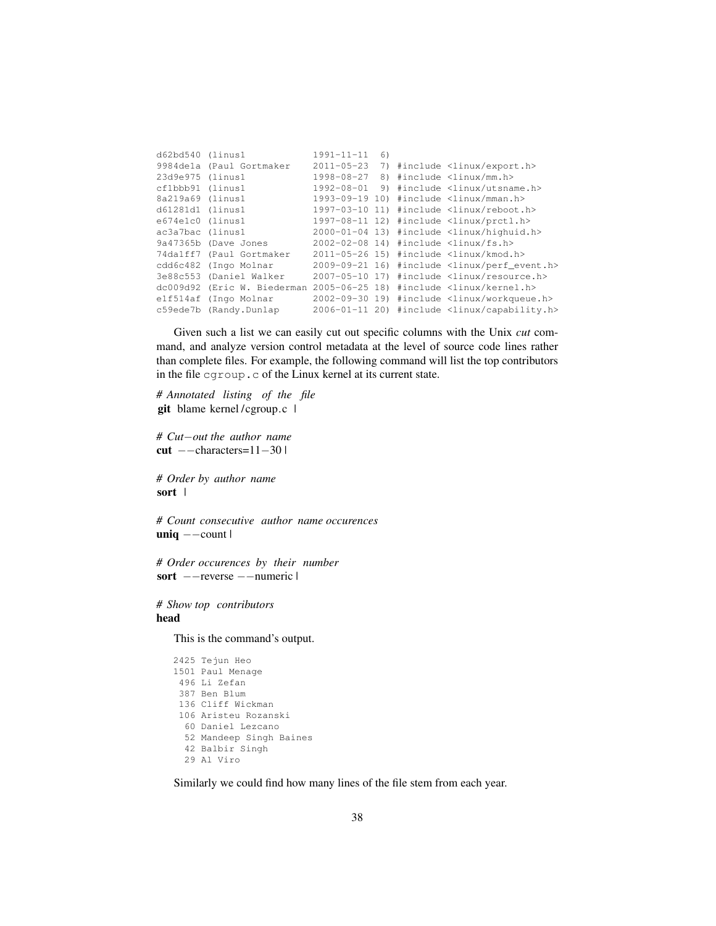| d62bd540 (linus1 |                             | $1991 - 11 - 11$ | 6) |                                                            |
|------------------|-----------------------------|------------------|----|------------------------------------------------------------|
|                  | 9984dela (Paul Gortmaker    | $2011 - 05 - 23$ |    | 7) #include <linux export.h=""></linux>                    |
| 23d9e975 (linus1 |                             | $1998 - 08 - 27$ |    | 8) #include <linux mm.h=""></linux>                        |
| cflbbb91 (linus1 |                             | 1992-08-01       |    | 9) #include <linux utsname.h=""></linux>                   |
| 8a219a69 (linus1 |                             |                  |    | $1993-09-19$ 10) #include <linux mman.h=""></linux>        |
| d61281d1 (linus1 |                             |                  |    | 1997-03-10 11) #include <linux reboot.h=""></linux>        |
| e674e1c0 (linus1 |                             |                  |    | $1997-08-11$ 12) #include <linux prctl.h=""></linux>       |
| ac3a7bac (linus1 |                             |                  |    | $2000-01-04$ 13) #include <linux highuid.h=""></linux>     |
|                  | 9a47365b (Dave Jones        |                  |    | $2002-02-08$ 14) #include <linux fs.h=""></linux>          |
|                  | 74da1ff7 (Paul Gortmaker    |                  |    | $2011-05-26$ 15) #include <linux kmod.h=""></linux>        |
|                  | cdd6c482 (Ingo Molnar       |                  |    | 2009-09-21 16) #include <linux event.h="" perf=""></linux> |
|                  | 3e88c553 (Daniel Walker     |                  |    | 2007-05-10 17) #include <linux resource.h=""></linux>      |
|                  | dc009d92 (Eric W. Biederman |                  |    | 2005-06-25 18) #include <linux kernel.h=""></linux>        |
|                  | elf514af (Ingo Molnar       |                  |    | 2002-09-30 19) #include <linux workqueue.h=""></linux>     |
|                  | c59ede7b (Randy.Dunlap      |                  |    | 2006-01-11 20) #include <linux capability.h=""></linux>    |

Given such a list we can easily cut out specific columns with the Unix *cut* command, and analyze version control metadata at the level of source code lines rather than complete files. For example, the following command will list the top contributors in the file cgroup.c of the Linux kernel at its current state.

*# Annotated listing of the file* git blame kernel /cgroup.c |

```
# Cut−out the author name
cut −−characters=11−30 |
# Order by author name
```
sort |

*# Count consecutive author name occurences* uniq −−count |

*# Order occurences by their number* sort −−reverse −−numeric |

*# Show top contributors* head

This is the command's output.

```
2425 Tejun Heo
1501 Paul Menage
496 Li Zefan
387 Ben Blum
136 Cliff Wickman
 106 Aristeu Rozanski
 60 Daniel Lezcano
  52 Mandeep Singh Baines
  42 Balbir Singh
  29 Al Viro
```
Similarly we could find how many lines of the file stem from each year.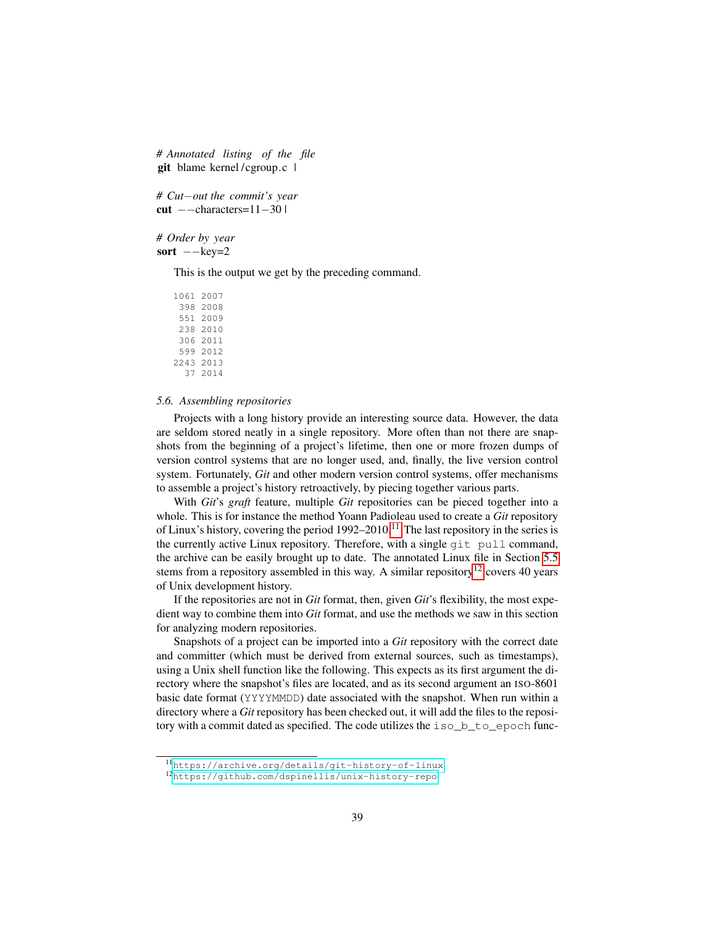*# Annotated listing of the file* git blame kernel /cgroup.c |

*# Cut*−*out the commit's year* cut −−characters=11−30 |

# *# Order by year*  $sort$   $-\text{key}=2$

This is the output we get by the preceding command.

```
1061 2007
 398 2008
 551 2009
 238 2010
 306 2011
 599 2012
2243 2013
  37 2014
```
#### *5.6. Assembling repositories*

Projects with a long history provide an interesting source data. However, the data are seldom stored neatly in a single repository. More often than not there are snapshots from the beginning of a project's lifetime, then one or more frozen dumps of version control systems that are no longer used, and, finally, the live version control system. Fortunately, *Git* and other modern version control systems, offer mechanisms to assemble a project's history retroactively, by piecing together various parts.

With *Git*'s *graft* feature, multiple *Git* repositories can be pieced together into a whole. This is for instance the method Yoann Padioleau used to create a *Git* repository of Linux's history, covering the period  $1992-2010$ .<sup>[11](#page-38-0)</sup> The last repository in the series is the currently active Linux repository. Therefore, with a single git pull command, the archive can be easily brought up to date. The annotated Linux file in Section [5.5](#page-36-0) stems from a repository assembled in this way. A similar repository<sup>[12](#page-38-1)</sup> covers 40 years of Unix development history.

If the repositories are not in *Git* format, then, given *Git*'s flexibility, the most expedient way to combine them into *Git* format, and use the methods we saw in this section for analyzing modern repositories.

Snapshots of a project can be imported into a *Git* repository with the correct date and committer (which must be derived from external sources, such as timestamps), using a Unix shell function like the following. This expects as its first argument the directory where the snapshot's files are located, and as its second argument an ISO-8601 basic date format (YYYYMMDD) date associated with the snapshot. When run within a directory where a *Git* repository has been checked out, it will add the files to the repository with a commit dated as specified. The code utilizes the iso\_b\_to\_epoch func-

<span id="page-38-0"></span><sup>11</sup><https://archive.org/details/git-history-of-linux>

<span id="page-38-1"></span><sup>12</sup><https://github.com/dspinellis/unix-history-repo>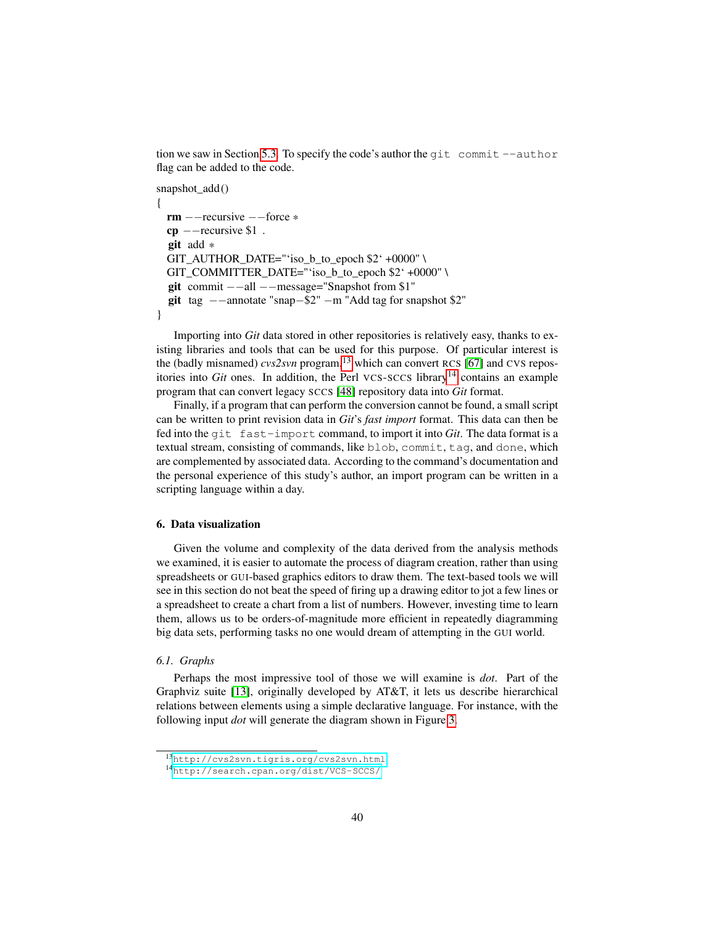tion we saw in Section [5.3.](#page-32-0) To specify the code's author the  $\text{qit}$  commit --author flag can be added to the code.

```
snapshot_add()
{
  rm −−recursive −−force *
 cp ––recursive $1.
  git add *
  GIT AUTHOR DATE="'iso b to epoch $2' +0000" \setminusGIT_COMMITTER_DATE="'iso_b_to_epoch $2' +0000" \
  git commit -\text{all} -\text{message}="Snapshot from $1"
  git tag −−annotate "snap−$2" −m "Add tag for snapshot $2"
}
```
Importing into *Git* data stored in other repositories is relatively easy, thanks to existing libraries and tools that can be used for this purpose. Of particular interest is the (badly misnamed)  $\cos 2svn$  program,  $^{13}$  $^{13}$  $^{13}$  which can convert RCS [\[67\]](#page-56-1) and CVS repositories into *Git* ones. In addition, the Perl VCS-SCCS library<sup>[14](#page-39-2)</sup> contains an example program that can convert legacy SCCS [\[48\]](#page-54-10) repository data into *Git* format.

Finally, if a program that can perform the conversion cannot be found, a small script can be written to print revision data in *Git*'s *fast import* format. This data can then be fed into the git fast-import command, to import it into *Git*. The data format is a textual stream, consisting of commands, like blob, commit, tag, and done, which are complemented by associated data. According to the command's documentation and the personal experience of this study's author, an import program can be written in a scripting language within a day.

#### <span id="page-39-0"></span>6. Data visualization

Given the volume and complexity of the data derived from the analysis methods we examined, it is easier to automate the process of diagram creation, rather than using spreadsheets or GUI-based graphics editors to draw them. The text-based tools we will see in this section do not beat the speed of firing up a drawing editor to jot a few lines or a spreadsheet to create a chart from a list of numbers. However, investing time to learn them, allows us to be orders-of-magnitude more efficient in repeatedly diagramming big data sets, performing tasks no one would dream of attempting in the GUI world.

## *6.1. Graphs*

Perhaps the most impressive tool of those we will examine is *dot*. Part of the Graphviz suite [\[13\]](#page-51-5), originally developed by AT&T, it lets us describe hierarchical relations between elements using a simple declarative language. For instance, with the following input *dot* will generate the diagram shown in Figure [3.](#page-40-0)

<span id="page-39-1"></span><sup>13</sup><http://cvs2svn.tigris.org/cvs2svn.html>

<span id="page-39-2"></span><sup>14</sup><http://search.cpan.org/dist/VCS-SCCS/>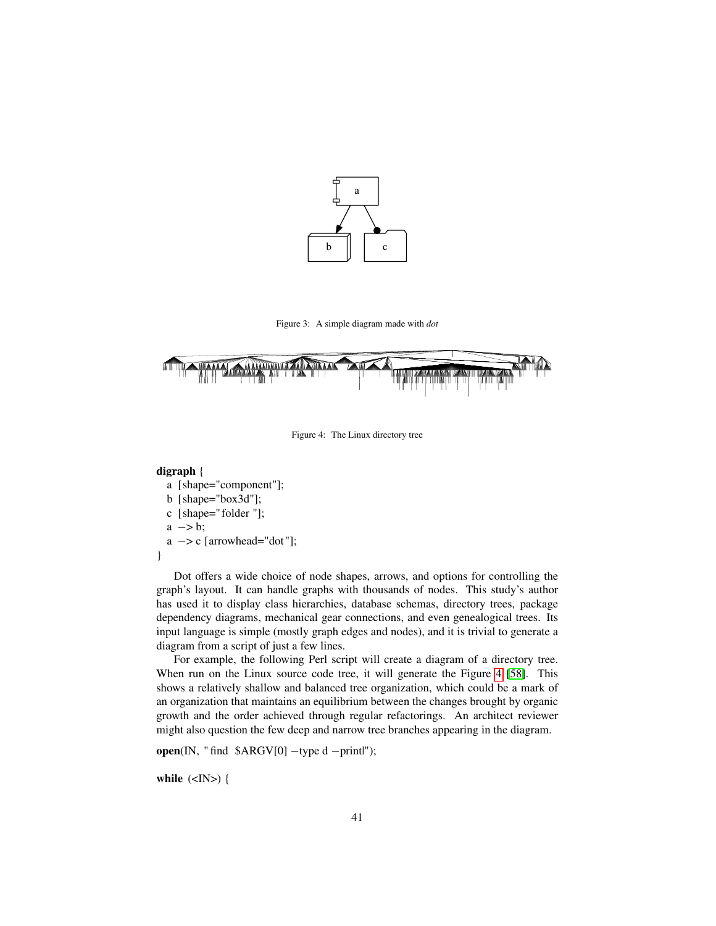

<span id="page-40-0"></span>Figure 3: A simple diagram made with *dot*



<span id="page-40-1"></span>Figure 4: The Linux directory tree

#### digraph {

a [shape="component"]; b [shape="box3d"]; c [shape=" folder "];  $a \rightarrow b$ ;  $a \rightarrow c$  [arrowhead="dot"]; }

Dot offers a wide choice of node shapes, arrows, and options for controlling the graph's layout. It can handle graphs with thousands of nodes. This study's author has used it to display class hierarchies, database schemas, directory trees, package dependency diagrams, mechanical gear connections, and even genealogical trees. Its input language is simple (mostly graph edges and nodes), and it is trivial to generate a diagram from a script of just a few lines.

For example, the following Perl script will create a diagram of a directory tree. When run on the Linux source code tree, it will generate the Figure [4](#page-40-1) [\[58\]](#page-55-2). This shows a relatively shallow and balanced tree organization, which could be a mark of an organization that maintains an equilibrium between the changes brought by organic growth and the order achieved through regular refactorings. An architect reviewer might also question the few deep and narrow tree branches appearing in the diagram.

**open**(IN, "find  $$ARGV[0]$  –type d –print|");

while  $(\langle$ IN $\rangle)$  {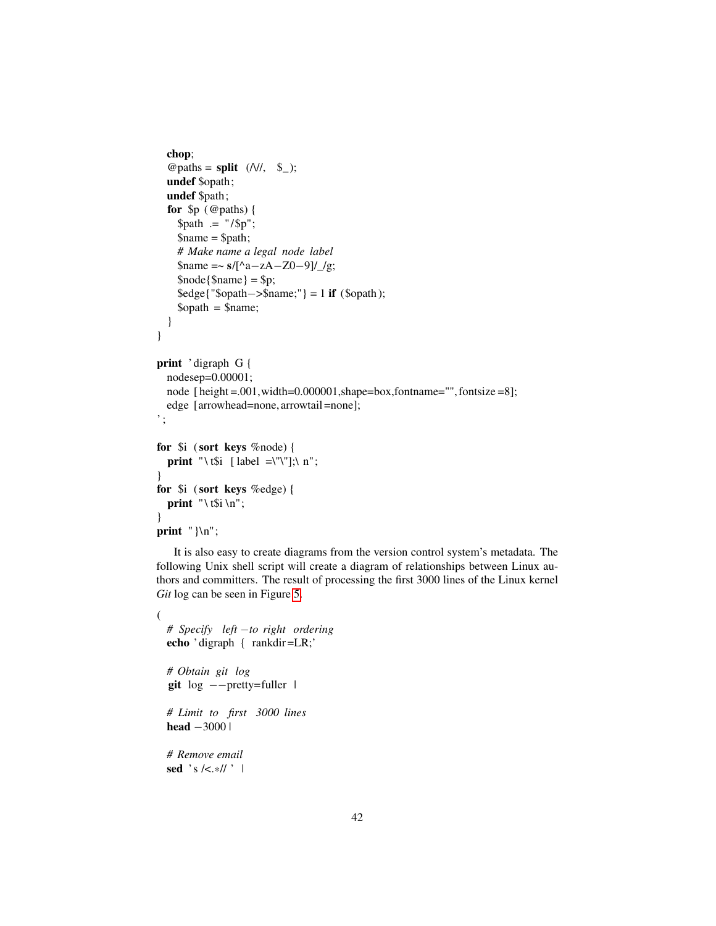```
chop;
  @paths = split (\land\lor\land\<sub>5_</sub>);
  undef $opath;
  undef $path;
  for \wp (@paths) {
     $path .= "/$p";
     $name = $path;
     # Make name a legal node label
     \text{Same} = \frac{\text{s}}{(\text{a} - \text{zA} - \text{z0} - \text{yL/g})}{\text{.}}\text{Node}\{\text{Same}\} = \text{Sp};$edge{"$opath−>$name;"} = 1 if ($opath );
     $opath = $name;
  }
}
print 'digraph G {
  nodesep=0.00001;
  node [ height =.001, width=0.000001, shape=box, fontname="", fontsize =8];
  edge [arrowhead=none, arrowtail =none];
' ;
for $i (sort keys %node) {
  print "\t$i [ label =\"\"];\ n";
}
for $i (sort keys %edge) {
  print "\iota t$i \n";
}
print "\}\n:
```
It is also easy to create diagrams from the version control system's metadata. The following Unix shell script will create a diagram of relationships between Linux authors and committers. The result of processing the first 3000 lines of the Linux kernel *Git* log can be seen in Figure [5.](#page-42-0)

```
# Specify left −to right ordering
echo ' digraph { rankdir =LR;'
```
*# Obtain git log* git  $log$  --pretty=fuller |

*# Limit to first 3000 lines* head −3000 |

*# Remove email* sed  $'s$  /<.\*// ' |

(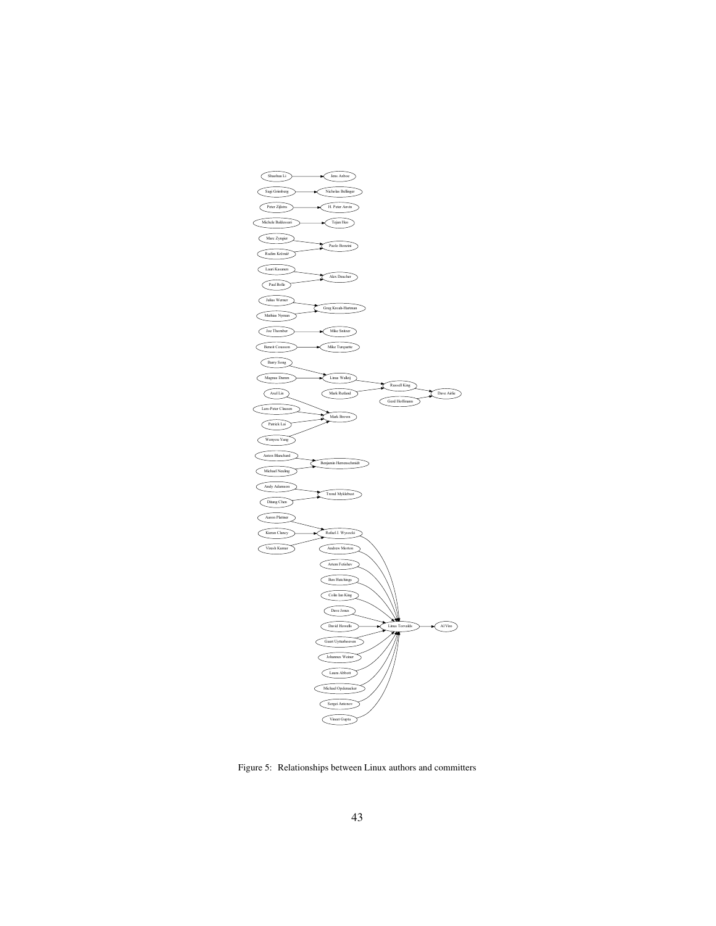

<span id="page-42-0"></span>Figure 5: Relationships between Linux authors and committers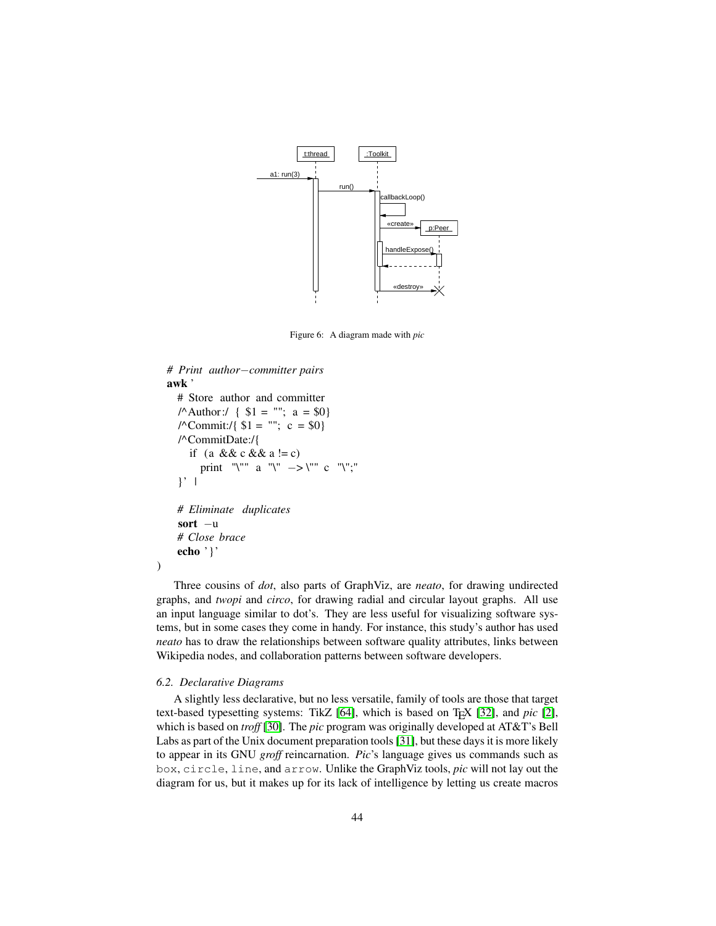

<span id="page-43-0"></span>Figure 6: A diagram made with *pic*

*# Print author*−*committer pairs* awk '

```
# Store author and committer
/^Author:/ \{ $1 = ""; a = $0}/^Commit:/{ $1 = ""; c = $0}/^CommitDate:/{
  if (a \&c \&c \&c a!=c)print "\"" a "\" \rightarrow \"" c "\";"
}' |
# Eliminate duplicates
sort −u
# Close brace
echo '}'
```
)

Three cousins of *dot*, also parts of GraphViz, are *neato*, for drawing undirected graphs, and *twopi* and *circo*, for drawing radial and circular layout graphs. All use an input language similar to dot's. They are less useful for visualizing software systems, but in some cases they come in handy. For instance, this study's author has used *neato* has to draw the relationships between software quality attributes, links between Wikipedia nodes, and collaboration patterns between software developers.

#### *6.2. Declarative Diagrams*

A slightly less declarative, but no less versatile, family of tools are those that target text-based typesetting systems: TikZ [\[64\]](#page-55-8), which is based on TEX [\[32\]](#page-52-9), and *pic* [\[2\]](#page-50-8), which is based on *troff* [\[30\]](#page-52-10). The *pic* program was originally developed at AT&T's Bell Labs as part of the Unix document preparation tools [\[31\]](#page-52-11), but these days it is more likely to appear in its GNU *groff* reincarnation. *Pic*'s language gives us commands such as box, circle, line, and arrow. Unlike the GraphViz tools, *pic* will not lay out the diagram for us, but it makes up for its lack of intelligence by letting us create macros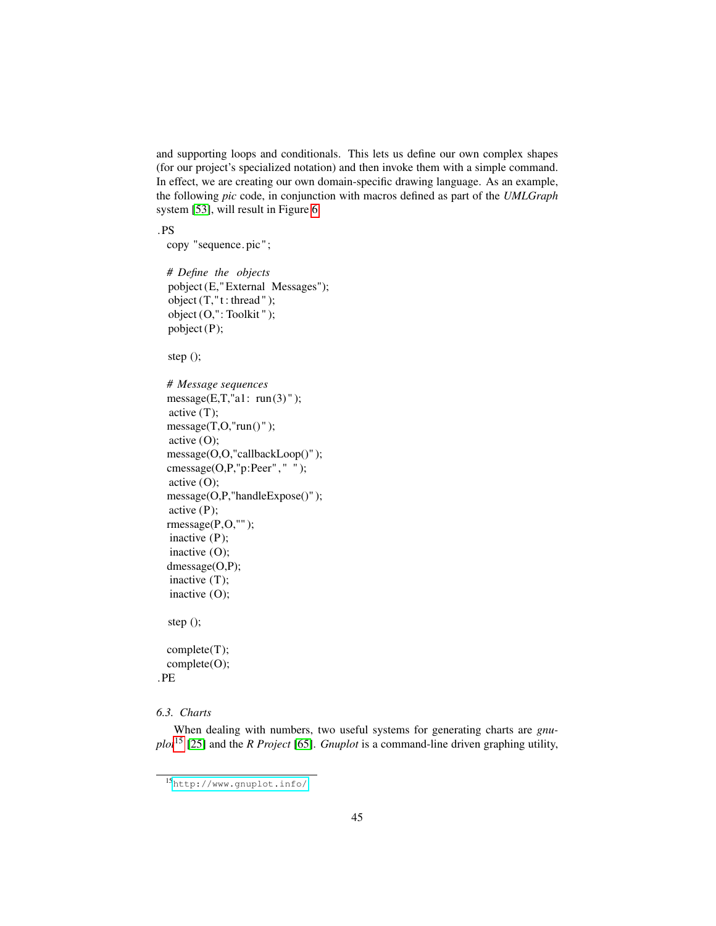and supporting loops and conditionals. This lets us define our own complex shapes (for our project's specialized notation) and then invoke them with a simple command. In effect, we are creating our own domain-specific drawing language. As an example, the following *pic* code, in conjunction with macros defined as part of the *UMLGraph* system [\[53\]](#page-54-4), will result in Figure [6.](#page-43-0)

.PS

copy "sequence. pic";

```
# Define the objects
pobject (E," External Messages");
object (T, "t: thread");
object (O,": Toolkit " );
pobject (P);
```
step ();

```
# Message sequences
message(E,T,"a1: run(3)");
active (T);
message(T, O, "run()");
active (O);
message(O,O,"callbackLoop()" );
cmessage(O,P,"p:Peer", " " );
active (O);
message(O,P,"handleExpose()" );
active (P);
rmessage(P, O, \dots);
inactive (P);
inactive (O);
dmessage(O,P);
inactive (T);
inactive (O);
```
step ();

complete(T); complete(O); .PE

# *6.3. Charts*

When dealing with numbers, two useful systems for generating charts are *gnuplot*[15](#page-44-0) [\[25\]](#page-52-12) and the *R Project* [\[65\]](#page-55-9). *Gnuplot* is a command-line driven graphing utility,

<span id="page-44-0"></span><sup>15</sup><http://www.gnuplot.info/>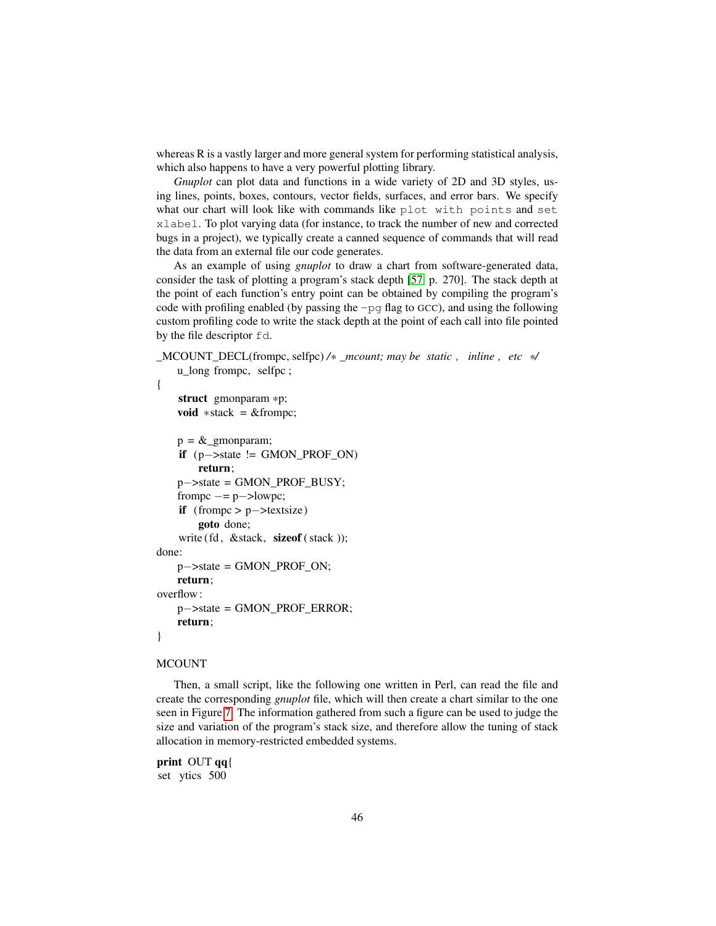whereas R is a vastly larger and more general system for performing statistical analysis, which also happens to have a very powerful plotting library.

*Gnuplot* can plot data and functions in a wide variety of 2D and 3D styles, using lines, points, boxes, contours, vector fields, surfaces, and error bars. We specify what our chart will look like with commands like plot with points and set xlabel. To plot varying data (for instance, to track the number of new and corrected bugs in a project), we typically create a canned sequence of commands that will read the data from an external file our code generates.

As an example of using *gnuplot* to draw a chart from software-generated data, consider the task of plotting a program's stack depth [\[57,](#page-55-4) p. 270]. The stack depth at the point of each function's entry point can be obtained by compiling the program's code with profiling enabled (by passing the -pg flag to GCC), and using the following custom profiling code to write the stack depth at the point of each call into file pointed by the file descriptor fd.

```
_MCOUNT_DECL(frompc, selfpc) /* _mcount; may be static , inline , etc */
    u_long frompc, selfpc ;
{
    struct gmonparam *p;
    void *stack = & \text{frompc};p = \&_gmonparam;
    if (p−>state != GMON_PROF_ON)
        return;
    p−>state = GMON_PROF_BUSY;
    frompc - = p ->lowpc;
    if (frompc > p \rightarrow textsize)goto done;
    write (fd, \&stack, sizeof (stack ));done:
    p−>state = GMON_PROF_ON;
    return;
overflow:
    p−>state = GMON_PROF_ERROR;
    return;
}
MCOUNT
```
Then, a small script, like the following one written in Perl, can read the file and create the corresponding *gnuplot* file, which will then create a chart similar to the one seen in Figure [7.](#page-46-0) The information gathered from such a figure can be used to judge the size and variation of the program's stack size, and therefore allow the tuning of stack allocation in memory-restricted embedded systems.

print OUT qq{ set ytics 500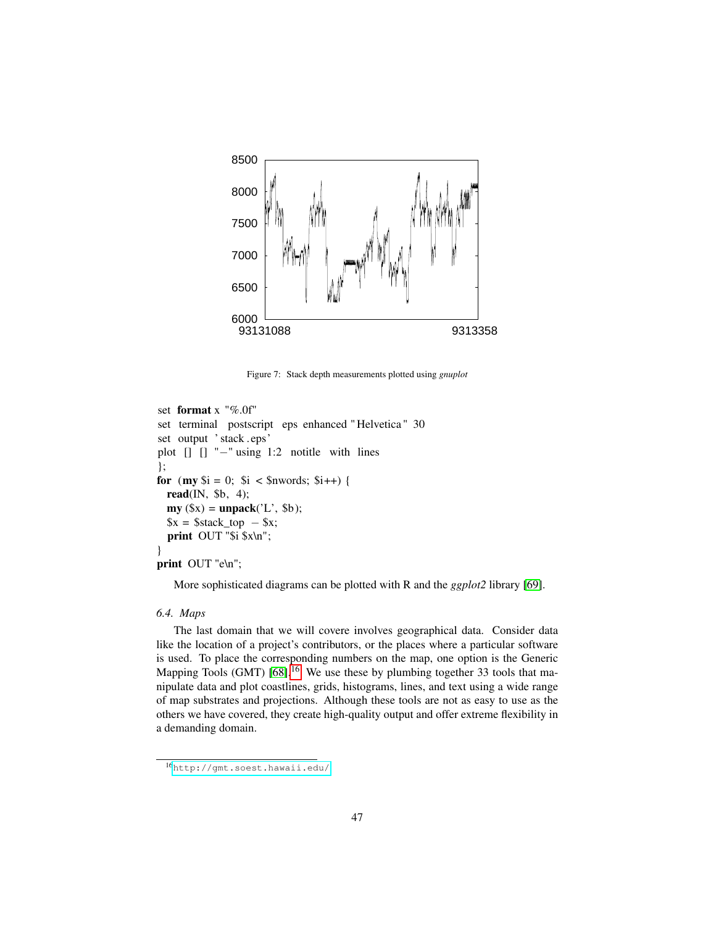

<span id="page-46-0"></span>Figure 7: Stack depth measurements plotted using *gnuplot*

```
set format x "%.0f"
set terminal postscript eps enhanced " Helvetica " 30
set output ' stack .eps'
plot [] [] "−" using 1:2 notitle with lines
};
for (my i = 0; i < snwords; i +) {
  read(IN, $b, 4);
  my (x) = unpack('L', b);
 x =$stack_top – $x;
  print OUT "$i $x\n";
}
print OUT "e\n";
```
More sophisticated diagrams can be plotted with R and the *ggplot2* library [\[69\]](#page-56-2).

#### *6.4. Maps*

The last domain that we will covere involves geographical data. Consider data like the location of a project's contributors, or the places where a particular software is used. To place the corresponding numbers on the map, one option is the Generic Mapping Tools (GMT)  $[68]$ .<sup>[16](#page-46-1)</sup> We use these by plumbing together 33 tools that manipulate data and plot coastlines, grids, histograms, lines, and text using a wide range of map substrates and projections. Although these tools are not as easy to use as the others we have covered, they create high-quality output and offer extreme flexibility in a demanding domain.

<span id="page-46-1"></span><sup>16</sup><http://gmt.soest.hawaii.edu/>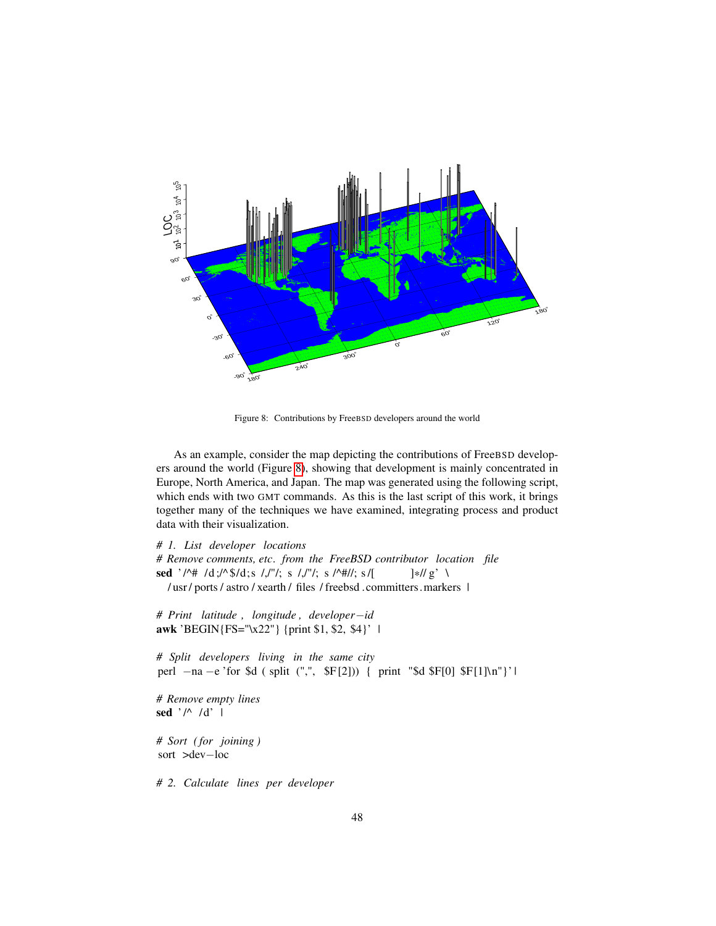

<span id="page-47-0"></span>Figure 8: Contributions by FreeBSD developers around the world

As an example, consider the map depicting the contributions of FreeBSD developers around the world (Figure [8\)](#page-47-0), showing that development is mainly concentrated in Europe, North America, and Japan. The map was generated using the following script, which ends with two GMT commands. As this is the last script of this work, it brings together many of the techniques we have examined, integrating process and product data with their visualization.

*# 1. List developer locations # Remove comments, etc. from the FreeBSD contributor location file* sed '/^# /d;/^\$/d;s /,/"/; s /,/"/; s /^#//; s /[ ]\*// g' \ / usr / ports / astro / xearth / files / freebsd .committers.markers |

*# Print latitude , longitude , developer*−*id* awk 'BEGIN{FS="\x22"} {print \$1, \$2, \$4}' |

*# Split developers living in the same city* perl −na −e 'for \$d ( split (",", \$F[2])) { print "\$d \$F[0] \$F[1]\n"}' |

*# Remove empty lines* sed '/^ /d' |

*# Sort ( for joining )* sort >dev−loc

*# 2. Calculate lines per developer*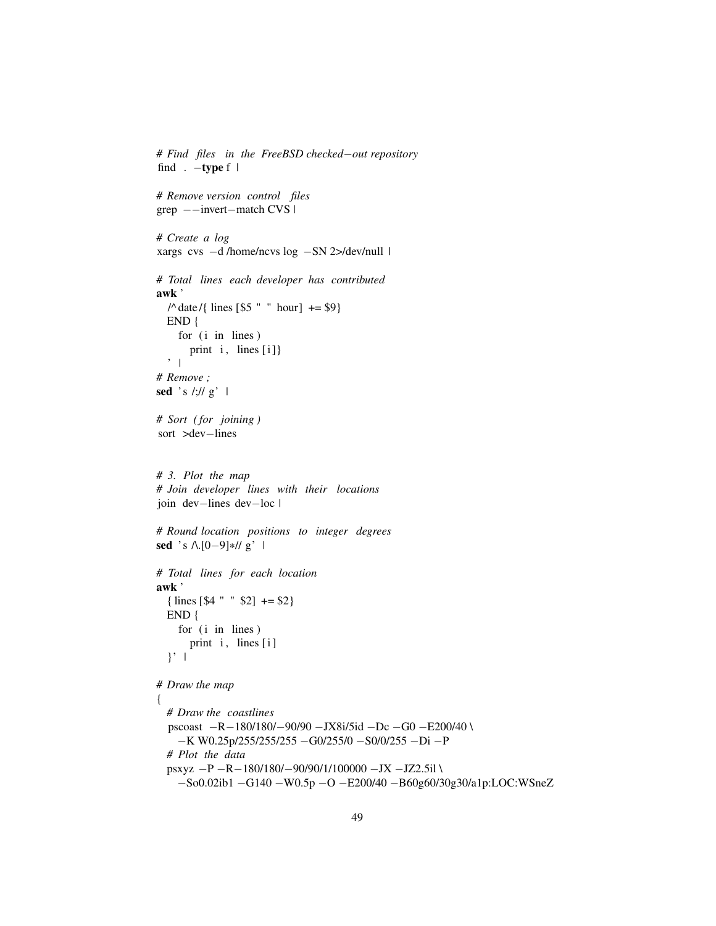```
# Find files in the FreeBSD checked−out repository
find . −type f |
# Remove version control files
grep −−invert−match CVS |
# Create a log
xargs cvs −d /home/ncvs log −SN 2>/dev/null |
# Total lines each developer has contributed
awk '
  /\land date/{ lines [$5 " " hour] += $9}
 END {
    for (i in lines )print i, lines [i]}
  ' |
# Remove ;
sed 's /;// g' |
# Sort ( for joining )
sort >dev−lines
# 3. Plot the map
# Join developer lines with their locations
join dev−lines dev−loc |
# Round location positions to integer degrees
sed 's \wedge.[0−9]*// g' |
# Total lines for each location
awk '
  {\text{lines [}}$4" " $2] += $2}END {
    for (i in lines)
      print i, lines [i]
  }' |
# Draw the map
{
 # Draw the coastlines
  pscoast −R−180/180/−90/90 −JX8i/5id −Dc −G0 −E200/40 \
    −K W0.25p/255/255/255 −G0/255/0 −S0/0/255 −Di −P
  # Plot the data
 psxyz −P −R−180/180/−90/90/1/100000 −JX −JZ2.5il \
    −So0.02ib1 −G140 −W0.5p −O −E200/40 −B60g60/30g30/a1p:LOC:WSneZ
```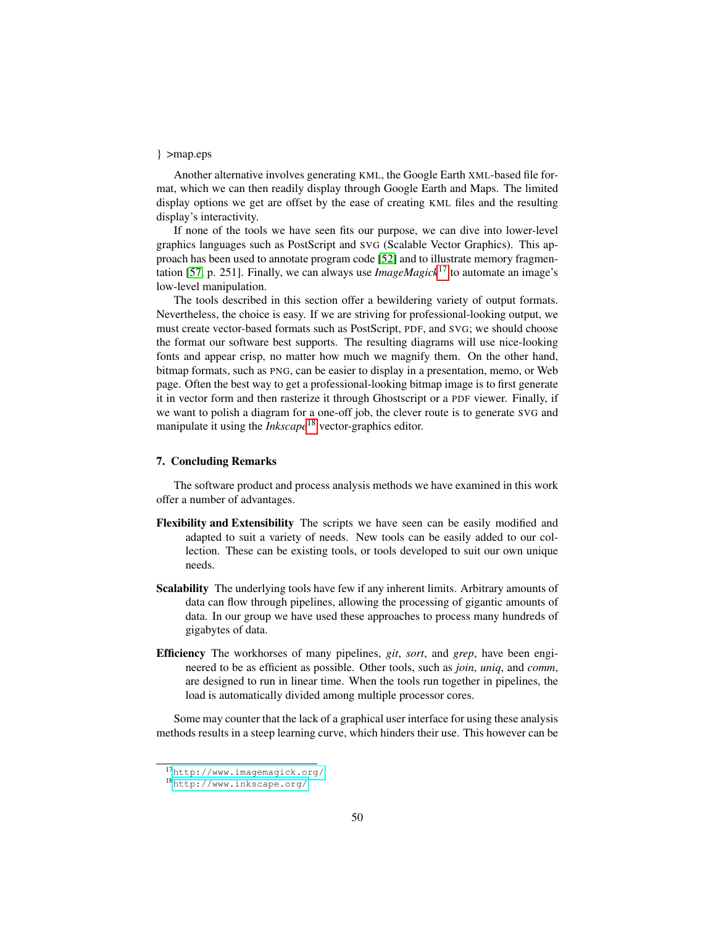# } >map.eps

Another alternative involves generating KML, the Google Earth XML-based file format, which we can then readily display through Google Earth and Maps. The limited display options we get are offset by the ease of creating KML files and the resulting display's interactivity.

If none of the tools we have seen fits our purpose, we can dive into lower-level graphics languages such as PostScript and SVG (Scalable Vector Graphics). This approach has been used to annotate program code [\[52\]](#page-54-5) and to illustrate memory fragmentation [\[57,](#page-55-4) p. 251]. Finally, we can always use *ImageMagick*[17](#page-49-0) to automate an image's low-level manipulation.

The tools described in this section offer a bewildering variety of output formats. Nevertheless, the choice is easy. If we are striving for professional-looking output, we must create vector-based formats such as PostScript, PDF, and SVG; we should choose the format our software best supports. The resulting diagrams will use nice-looking fonts and appear crisp, no matter how much we magnify them. On the other hand, bitmap formats, such as PNG, can be easier to display in a presentation, memo, or Web page. Often the best way to get a professional-looking bitmap image is to first generate it in vector form and then rasterize it through Ghostscript or a PDF viewer. Finally, if we want to polish a diagram for a one-off job, the clever route is to generate SVG and manipulate it using the *Inkscape*[18](#page-49-1) vector-graphics editor.

# 7. Concluding Remarks

The software product and process analysis methods we have examined in this work offer a number of advantages.

- Flexibility and Extensibility The scripts we have seen can be easily modified and adapted to suit a variety of needs. New tools can be easily added to our collection. These can be existing tools, or tools developed to suit our own unique needs.
- Scalability The underlying tools have few if any inherent limits. Arbitrary amounts of data can flow through pipelines, allowing the processing of gigantic amounts of data. In our group we have used these approaches to process many hundreds of gigabytes of data.
- Efficiency The workhorses of many pipelines, *git*, *sort*, and *grep*, have been engineered to be as efficient as possible. Other tools, such as *join*, *uniq*, and *comm*, are designed to run in linear time. When the tools run together in pipelines, the load is automatically divided among multiple processor cores.

Some may counter that the lack of a graphical user interface for using these analysis methods results in a steep learning curve, which hinders their use. This however can be

<span id="page-49-0"></span><sup>17</sup><http://www.imagemagick.org/>

<span id="page-49-1"></span><sup>18</sup><http://www.inkscape.org/>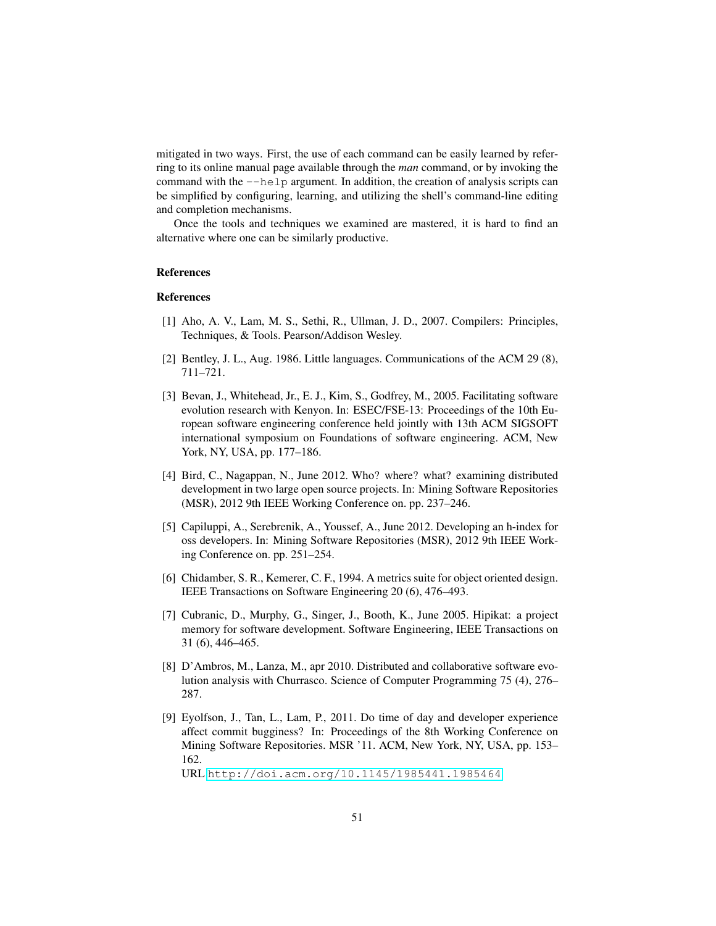mitigated in two ways. First, the use of each command can be easily learned by referring to its online manual page available through the *man* command, or by invoking the command with the  $-\text{help}$  argument. In addition, the creation of analysis scripts can be simplified by configuring, learning, and utilizing the shell's command-line editing and completion mechanisms.

Once the tools and techniques we examined are mastered, it is hard to find an alternative where one can be similarly productive.

# References

## References

- <span id="page-50-3"></span>[1] Aho, A. V., Lam, M. S., Sethi, R., Ullman, J. D., 2007. Compilers: Principles, Techniques, & Tools. Pearson/Addison Wesley.
- <span id="page-50-8"></span>[2] Bentley, J. L., Aug. 1986. Little languages. Communications of the ACM 29 (8), 711–721.
- <span id="page-50-1"></span>[3] Bevan, J., Whitehead, Jr., E. J., Kim, S., Godfrey, M., 2005. Facilitating software evolution research with Kenyon. In: ESEC/FSE-13: Proceedings of the 10th European software engineering conference held jointly with 13th ACM SIGSOFT international symposium on Foundations of software engineering. ACM, New York, NY, USA, pp. 177–186.
- <span id="page-50-7"></span>[4] Bird, C., Nagappan, N., June 2012. Who? where? what? examining distributed development in two large open source projects. In: Mining Software Repositories (MSR), 2012 9th IEEE Working Conference on. pp. 237–246.
- <span id="page-50-5"></span>[5] Capiluppi, A., Serebrenik, A., Youssef, A., June 2012. Developing an h-index for oss developers. In: Mining Software Repositories (MSR), 2012 9th IEEE Working Conference on. pp. 251–254.
- <span id="page-50-4"></span>[6] Chidamber, S. R., Kemerer, C. F., 1994. A metrics suite for object oriented design. IEEE Transactions on Software Engineering 20 (6), 476–493.
- <span id="page-50-0"></span>[7] Cubranic, D., Murphy, G., Singer, J., Booth, K., June 2005. Hipikat: a project memory for software development. Software Engineering, IEEE Transactions on 31 (6), 446–465.
- <span id="page-50-2"></span>[8] D'Ambros, M., Lanza, M., apr 2010. Distributed and collaborative software evolution analysis with Churrasco. Science of Computer Programming 75 (4), 276– 287.
- <span id="page-50-6"></span>[9] Eyolfson, J., Tan, L., Lam, P., 2011. Do time of day and developer experience affect commit bugginess? In: Proceedings of the 8th Working Conference on Mining Software Repositories. MSR '11. ACM, New York, NY, USA, pp. 153– 162.

URL <http://doi.acm.org/10.1145/1985441.1985464>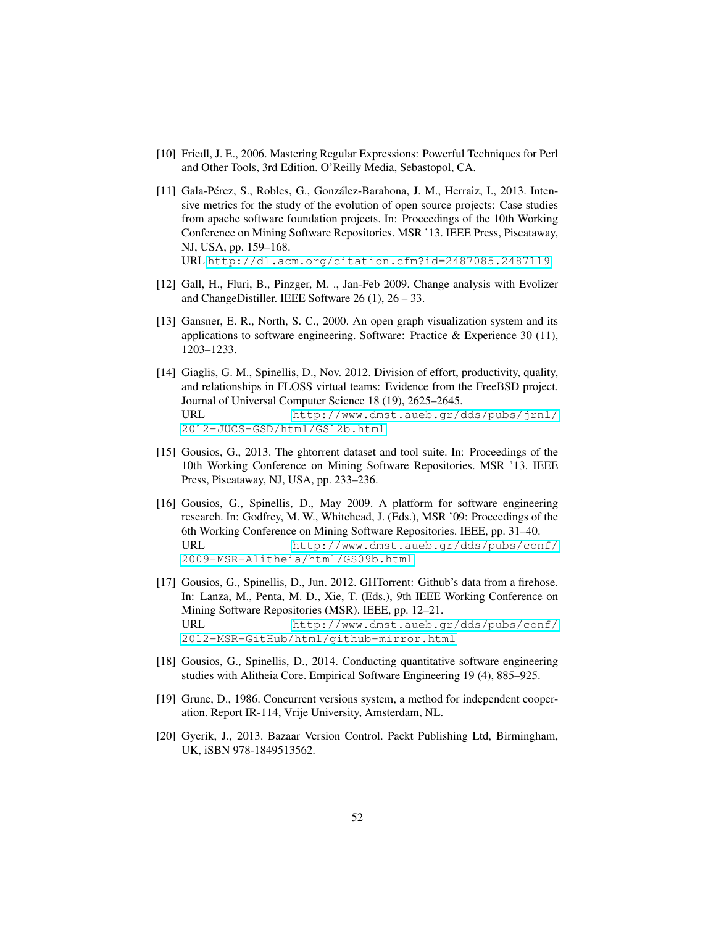- <span id="page-51-4"></span>[10] Friedl, J. E., 2006. Mastering Regular Expressions: Powerful Techniques for Perl and Other Tools, 3rd Edition. O'Reilly Media, Sebastopol, CA.
- <span id="page-51-7"></span>[11] Gala-Pérez, S., Robles, G., González-Barahona, J. M., Herraiz, I., 2013. Intensive metrics for the study of the evolution of open source projects: Case studies from apache software foundation projects. In: Proceedings of the 10th Working Conference on Mining Software Repositories. MSR '13. IEEE Press, Piscataway, NJ, USA, pp. 159–168. URL <http://dl.acm.org/citation.cfm?id=2487085.2487119>
- <span id="page-51-0"></span>[12] Gall, H., Fluri, B., Pinzger, M. ., Jan-Feb 2009. Change analysis with Evolizer and ChangeDistiller. IEEE Software 26 (1), 26 – 33.
- <span id="page-51-5"></span>[13] Gansner, E. R., North, S. C., 2000. An open graph visualization system and its applications to software engineering. Software: Practice & Experience 30 (11), 1203–1233.
- <span id="page-51-8"></span>[14] Giaglis, G. M., Spinellis, D., Nov. 2012. Division of effort, productivity, quality, and relationships in FLOSS virtual teams: Evidence from the FreeBSD project. Journal of Universal Computer Science 18 (19), 2625–2645. URL [http://www.dmst.aueb.gr/dds/pubs/jrnl/](http://www.dmst.aueb.gr/dds/pubs/jrnl/2012-JUCS-GSD/html/GS12b.html) [2012-JUCS-GSD/html/GS12b.html](http://www.dmst.aueb.gr/dds/pubs/jrnl/2012-JUCS-GSD/html/GS12b.html)
- <span id="page-51-3"></span>[15] Gousios, G., 2013. The ghtorrent dataset and tool suite. In: Proceedings of the 10th Working Conference on Mining Software Repositories. MSR '13. IEEE Press, Piscataway, NJ, USA, pp. 233–236.
- <span id="page-51-1"></span>[16] Gousios, G., Spinellis, D., May 2009. A platform for software engineering research. In: Godfrey, M. W., Whitehead, J. (Eds.), MSR '09: Proceedings of the 6th Working Conference on Mining Software Repositories. IEEE, pp. 31–40. URL [http://www.dmst.aueb.gr/dds/pubs/conf/](http://www.dmst.aueb.gr/dds/pubs/conf/2009-MSR-Alitheia/html/GS09b.html) [2009-MSR-Alitheia/html/GS09b.html](http://www.dmst.aueb.gr/dds/pubs/conf/2009-MSR-Alitheia/html/GS09b.html)
- <span id="page-51-10"></span>[17] Gousios, G., Spinellis, D., Jun. 2012. GHTorrent: Github's data from a firehose. In: Lanza, M., Penta, M. D., Xie, T. (Eds.), 9th IEEE Working Conference on Mining Software Repositories (MSR). IEEE, pp. 12–21. URL [http://www.dmst.aueb.gr/dds/pubs/conf/](http://www.dmst.aueb.gr/dds/pubs/conf/2012-MSR-GitHub/html/github-mirror.html) [2012-MSR-GitHub/html/github-mirror.html](http://www.dmst.aueb.gr/dds/pubs/conf/2012-MSR-GitHub/html/github-mirror.html)
- <span id="page-51-2"></span>[18] Gousios, G., Spinellis, D., 2014. Conducting quantitative software engineering studies with Alitheia Core. Empirical Software Engineering 19 (4), 885–925.
- <span id="page-51-6"></span>[19] Grune, D., 1986. Concurrent versions system, a method for independent cooperation. Report IR-114, Vrije University, Amsterdam, NL.
- <span id="page-51-9"></span>[20] Gyerik, J., 2013. Bazaar Version Control. Packt Publishing Ltd, Birmingham, UK, iSBN 978-1849513562.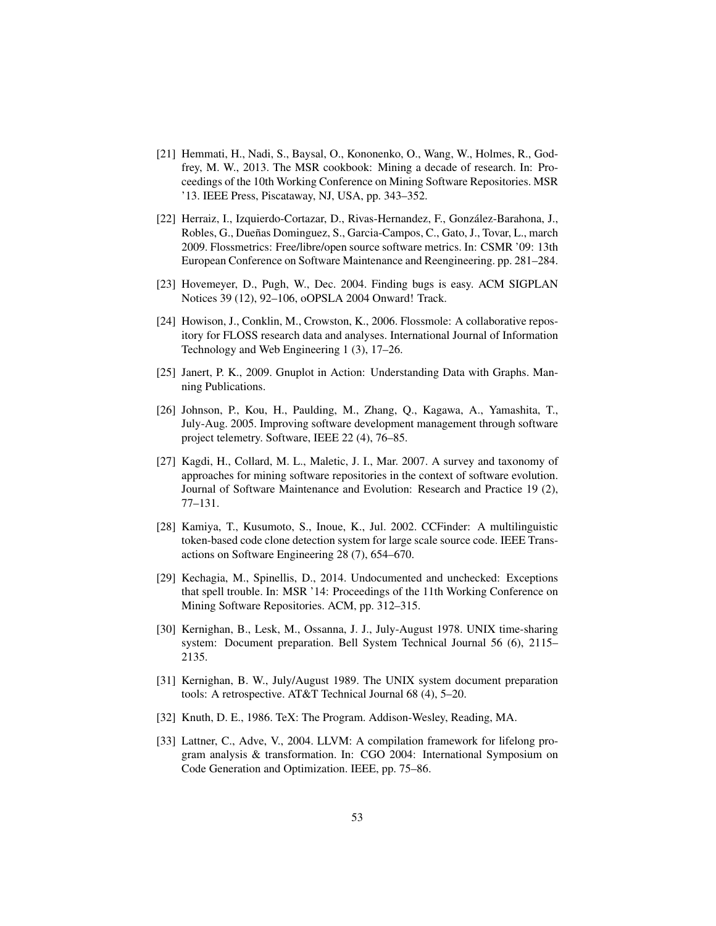- <span id="page-52-0"></span>[21] Hemmati, H., Nadi, S., Baysal, O., Kononenko, O., Wang, W., Holmes, R., Godfrey, M. W., 2013. The MSR cookbook: Mining a decade of research. In: Proceedings of the 10th Working Conference on Mining Software Repositories. MSR '13. IEEE Press, Piscataway, NJ, USA, pp. 343–352.
- <span id="page-52-3"></span>[22] Herraiz, I., Izquierdo-Cortazar, D., Rivas-Hernandez, F., González-Barahona, J., Robles, G., Dueñas Dominguez, S., Garcia-Campos, C., Gato, J., Tovar, L., march 2009. Flossmetrics: Free/libre/open source software metrics. In: CSMR '09: 13th European Conference on Software Maintenance and Reengineering. pp. 281–284.
- <span id="page-52-7"></span>[23] Hovemeyer, D., Pugh, W., Dec. 2004. Finding bugs is easy. ACM SIGPLAN Notices 39 (12), 92–106, oOPSLA 2004 Onward! Track.
- <span id="page-52-2"></span>[24] Howison, J., Conklin, M., Crowston, K., 2006. Flossmole: A collaborative repository for FLOSS research data and analyses. International Journal of Information Technology and Web Engineering 1 (3), 17–26.
- <span id="page-52-12"></span>[25] Janert, P. K., 2009. Gnuplot in Action: Understanding Data with Graphs. Manning Publications.
- <span id="page-52-1"></span>[26] Johnson, P., Kou, H., Paulding, M., Zhang, Q., Kagawa, A., Yamashita, T., July-Aug. 2005. Improving software development management through software project telemetry. Software, IEEE 22 (4), 76–85.
- <span id="page-52-8"></span>[27] Kagdi, H., Collard, M. L., Maletic, J. I., Mar. 2007. A survey and taxonomy of approaches for mining software repositories in the context of software evolution. Journal of Software Maintenance and Evolution: Research and Practice 19 (2), 77–131.
- <span id="page-52-6"></span>[28] Kamiya, T., Kusumoto, S., Inoue, K., Jul. 2002. CCFinder: A multilinguistic token-based code clone detection system for large scale source code. IEEE Transactions on Software Engineering 28 (7), 654–670.
- <span id="page-52-4"></span>[29] Kechagia, M., Spinellis, D., 2014. Undocumented and unchecked: Exceptions that spell trouble. In: MSR '14: Proceedings of the 11th Working Conference on Mining Software Repositories. ACM, pp. 312–315.
- <span id="page-52-10"></span>[30] Kernighan, B., Lesk, M., Ossanna, J. J., July-August 1978. UNIX time-sharing system: Document preparation. Bell System Technical Journal 56 (6), 2115– 2135.
- <span id="page-52-11"></span>[31] Kernighan, B. W., July/August 1989. The UNIX system document preparation tools: A retrospective. AT&T Technical Journal 68 (4), 5–20.
- <span id="page-52-9"></span>[32] Knuth, D. E., 1986. TeX: The Program. Addison-Wesley, Reading, MA.
- <span id="page-52-5"></span>[33] Lattner, C., Adve, V., 2004. LLVM: A compilation framework for lifelong program analysis & transformation. In: CGO 2004: International Symposium on Code Generation and Optimization. IEEE, pp. 75–86.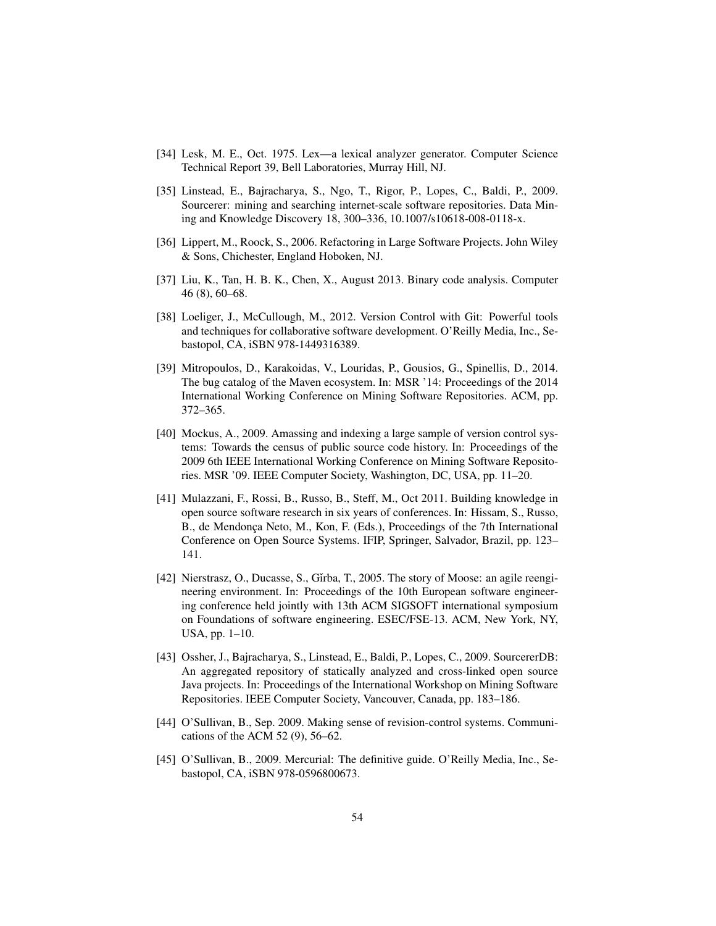- <span id="page-53-4"></span>[34] Lesk, M. E., Oct. 1975. Lex—a lexical analyzer generator. Computer Science Technical Report 39, Bell Laboratories, Murray Hill, NJ.
- <span id="page-53-0"></span>[35] Linstead, E., Bajracharya, S., Ngo, T., Rigor, P., Lopes, C., Baldi, P., 2009. Sourcerer: mining and searching internet-scale software repositories. Data Mining and Knowledge Discovery 18, 300–336, 10.1007/s10618-008-0118-x.
- <span id="page-53-7"></span>[36] Lippert, M., Roock, S., 2006. Refactoring in Large Software Projects. John Wiley & Sons, Chichester, England Hoboken, NJ.
- <span id="page-53-6"></span>[37] Liu, K., Tan, H. B. K., Chen, X., August 2013. Binary code analysis. Computer 46 (8), 60–68.
- <span id="page-53-8"></span>[38] Loeliger, J., McCullough, M., 2012. Version Control with Git: Powerful tools and techniques for collaborative software development. O'Reilly Media, Inc., Sebastopol, CA, iSBN 978-1449316389.
- <span id="page-53-5"></span>[39] Mitropoulos, D., Karakoidas, V., Louridas, P., Gousios, G., Spinellis, D., 2014. The bug catalog of the Maven ecosystem. In: MSR '14: Proceedings of the 2014 International Working Conference on Mining Software Repositories. ACM, pp. 372–365.
- <span id="page-53-9"></span>[40] Mockus, A., 2009. Amassing and indexing a large sample of version control systems: Towards the census of public source code history. In: Proceedings of the 2009 6th IEEE International Working Conference on Mining Software Repositories. MSR '09. IEEE Computer Society, Washington, DC, USA, pp. 11–20.
- <span id="page-53-3"></span>[41] Mulazzani, F., Rossi, B., Russo, B., Steff, M., Oct 2011. Building knowledge in open source software research in six years of conferences. In: Hissam, S., Russo, B., de Mendonça Neto, M., Kon, F. (Eds.), Proceedings of the 7th International Conference on Open Source Systems. IFIP, Springer, Salvador, Brazil, pp. 123– 141.
- <span id="page-53-2"></span>[42] Nierstrasz, O., Ducasse, S., Girba, T., 2005. The story of Moose: an agile reengineering environment. In: Proceedings of the 10th European software engineering conference held jointly with 13th ACM SIGSOFT international symposium on Foundations of software engineering. ESEC/FSE-13. ACM, New York, NY, USA, pp. 1–10.
- <span id="page-53-1"></span>[43] Ossher, J., Bajracharya, S., Linstead, E., Baldi, P., Lopes, C., 2009. SourcererDB: An aggregated repository of statically analyzed and cross-linked open source Java projects. In: Proceedings of the International Workshop on Mining Software Repositories. IEEE Computer Society, Vancouver, Canada, pp. 183–186.
- <span id="page-53-10"></span>[44] O'Sullivan, B., Sep. 2009. Making sense of revision-control systems. Communications of the ACM 52 (9), 56–62.
- <span id="page-53-11"></span>[45] O'Sullivan, B., 2009. Mercurial: The definitive guide. O'Reilly Media, Inc., Sebastopol, CA, iSBN 978-0596800673.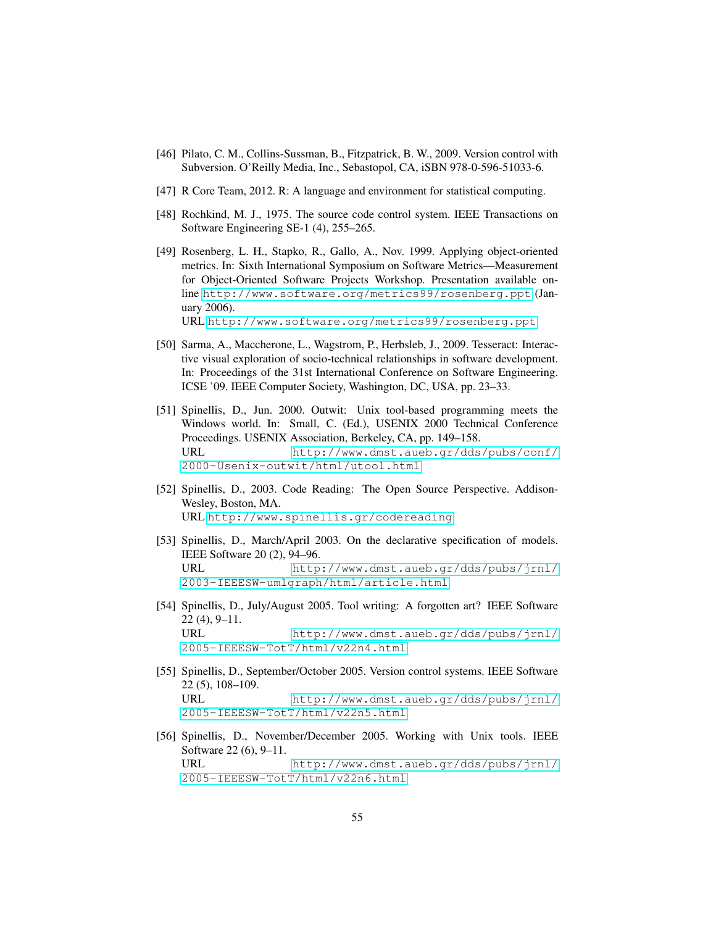- <span id="page-54-9"></span>[46] Pilato, C. M., Collins-Sussman, B., Fitzpatrick, B. W., 2009. Version control with Subversion. O'Reilly Media, Inc., Sebastopol, CA, iSBN 978-0-596-51033-6.
- <span id="page-54-2"></span>[47] R Core Team, 2012. R: A language and environment for statistical computing.
- <span id="page-54-10"></span>[48] Rochkind, M. J., 1975. The source code control system. IEEE Transactions on Software Engineering SE-1 (4), 255–265.
- <span id="page-54-7"></span>[49] Rosenberg, L. H., Stapko, R., Gallo, A., Nov. 1999. Applying object-oriented metrics. In: Sixth International Symposium on Software Metrics—Measurement for Object-Oriented Software Projects Workshop. Presentation available online <http://www.software.org/metrics99/rosenberg.ppt> (January 2006).

URL <http://www.software.org/metrics99/rosenberg.ppt>

- <span id="page-54-0"></span>[50] Sarma, A., Maccherone, L., Wagstrom, P., Herbsleb, J., 2009. Tesseract: Interactive visual exploration of socio-technical relationships in software development. In: Proceedings of the 31st International Conference on Software Engineering. ICSE '09. IEEE Computer Society, Washington, DC, USA, pp. 23–33.
- <span id="page-54-3"></span>[51] Spinellis, D., Jun. 2000. Outwit: Unix tool-based programming meets the Windows world. In: Small, C. (Ed.), USENIX 2000 Technical Conference Proceedings. USENIX Association, Berkeley, CA, pp. 149–158. URL [http://www.dmst.aueb.gr/dds/pubs/conf/](http://www.dmst.aueb.gr/dds/pubs/conf/2000-Usenix-outwit/html/utool.html) [2000-Usenix-outwit/html/utool.html](http://www.dmst.aueb.gr/dds/pubs/conf/2000-Usenix-outwit/html/utool.html)
- <span id="page-54-5"></span>[52] Spinellis, D., 2003. Code Reading: The Open Source Perspective. Addison-Wesley, Boston, MA. URL <http://www.spinellis.gr/codereading>
- <span id="page-54-4"></span>[53] Spinellis, D., March/April 2003. On the declarative specification of models. IEEE Software 20 (2), 94–96. URL [http://www.dmst.aueb.gr/dds/pubs/jrnl/](http://www.dmst.aueb.gr/dds/pubs/jrnl/2003-IEEESW-umlgraph/html/article.html) [2003-IEEESW-umlgraph/html/article.html](http://www.dmst.aueb.gr/dds/pubs/jrnl/2003-IEEESW-umlgraph/html/article.html)
- <span id="page-54-6"></span>[54] Spinellis, D., July/August 2005. Tool writing: A forgotten art? IEEE Software 22 (4), 9–11. URL [http://www.dmst.aueb.gr/dds/pubs/jrnl/](http://www.dmst.aueb.gr/dds/pubs/jrnl/2005-IEEESW-TotT/html/v22n4.html) [2005-IEEESW-TotT/html/v22n4.html](http://www.dmst.aueb.gr/dds/pubs/jrnl/2005-IEEESW-TotT/html/v22n4.html)
- <span id="page-54-8"></span>[55] Spinellis, D., September/October 2005. Version control systems. IEEE Software 22 (5), 108–109. URL [http://www.dmst.aueb.gr/dds/pubs/jrnl/](http://www.dmst.aueb.gr/dds/pubs/jrnl/2005-IEEESW-TotT/html/v22n5.html) [2005-IEEESW-TotT/html/v22n5.html](http://www.dmst.aueb.gr/dds/pubs/jrnl/2005-IEEESW-TotT/html/v22n5.html)
- <span id="page-54-1"></span>[56] Spinellis, D., November/December 2005. Working with Unix tools. IEEE Software 22 (6), 9–11. URL [http://www.dmst.aueb.gr/dds/pubs/jrnl/](http://www.dmst.aueb.gr/dds/pubs/jrnl/2005-IEEESW-TotT/html/v22n6.html) [2005-IEEESW-TotT/html/v22n6.html](http://www.dmst.aueb.gr/dds/pubs/jrnl/2005-IEEESW-TotT/html/v22n6.html)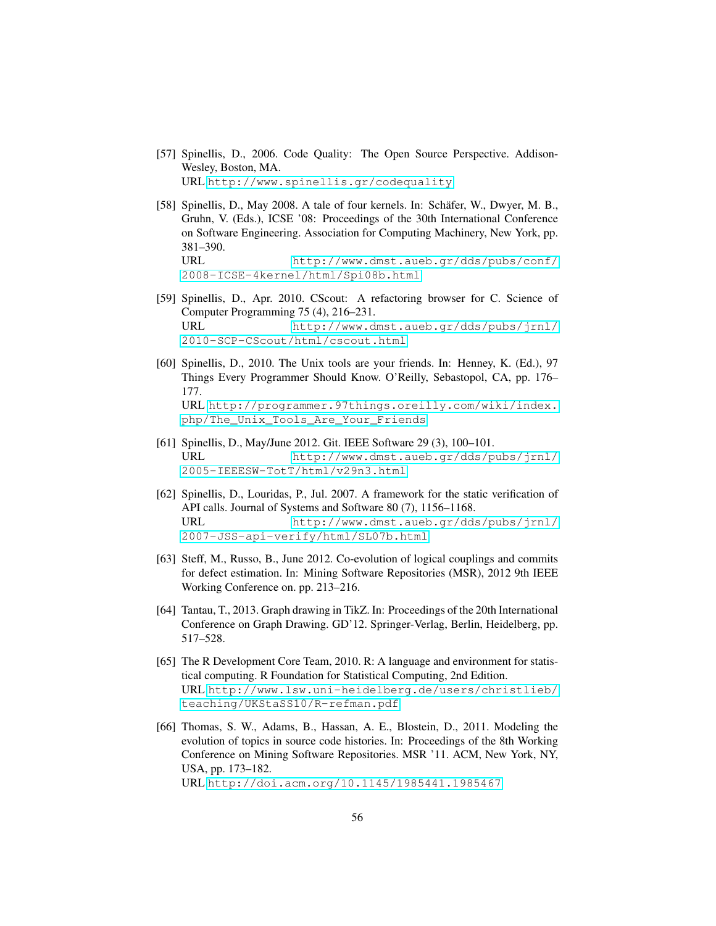- <span id="page-55-4"></span>[57] Spinellis, D., 2006. Code Quality: The Open Source Perspective. Addison-Wesley, Boston, MA. URL <http://www.spinellis.gr/codequality>
- <span id="page-55-2"></span>[58] Spinellis, D., May 2008. A tale of four kernels. In: Schäfer, W., Dwyer, M. B., Gruhn, V. (Eds.), ICSE '08: Proceedings of the 30th International Conference on Software Engineering. Association for Computing Machinery, New York, pp. 381–390. URL [http://www.dmst.aueb.gr/dds/pubs/conf/](http://www.dmst.aueb.gr/dds/pubs/conf/2008-ICSE-4kernel/html/Spi08b.html) [2008-ICSE-4kernel/html/Spi08b.html](http://www.dmst.aueb.gr/dds/pubs/conf/2008-ICSE-4kernel/html/Spi08b.html)
- <span id="page-55-1"></span>[59] Spinellis, D., Apr. 2010. CScout: A refactoring browser for C. Science of Computer Programming 75 (4), 216–231. URL [http://www.dmst.aueb.gr/dds/pubs/jrnl/](http://www.dmst.aueb.gr/dds/pubs/jrnl/2010-SCP-CScout/html/cscout.html) [2010-SCP-CScout/html/cscout.html](http://www.dmst.aueb.gr/dds/pubs/jrnl/2010-SCP-CScout/html/cscout.html)
- <span id="page-55-0"></span>[60] Spinellis, D., 2010. The Unix tools are your friends. In: Henney, K. (Ed.), 97 Things Every Programmer Should Know. O'Reilly, Sebastopol, CA, pp. 176– 177. URL [http://programmer.97things.oreilly.com/wiki/index.](http://programmer.97things.oreilly.com/wiki/index.php/The_Unix_Tools_Are_Your_Friends) [php/The\\_Unix\\_Tools\\_Are\\_Your\\_Friends](http://programmer.97things.oreilly.com/wiki/index.php/The_Unix_Tools_Are_Your_Friends)
- <span id="page-55-5"></span>[61] Spinellis, D., May/June 2012. Git. IEEE Software 29 (3), 100–101. URL [http://www.dmst.aueb.gr/dds/pubs/jrnl/](http://www.dmst.aueb.gr/dds/pubs/jrnl/2005-IEEESW-TotT/html/v29n3.html) [2005-IEEESW-TotT/html/v29n3.html](http://www.dmst.aueb.gr/dds/pubs/jrnl/2005-IEEESW-TotT/html/v29n3.html)
- <span id="page-55-3"></span>[62] Spinellis, D., Louridas, P., Jul. 2007. A framework for the static verification of API calls. Journal of Systems and Software 80 (7), 1156–1168. URL [http://www.dmst.aueb.gr/dds/pubs/jrnl/](http://www.dmst.aueb.gr/dds/pubs/jrnl/2007-JSS-api-verify/html/SL07b.html) [2007-JSS-api-verify/html/SL07b.html](http://www.dmst.aueb.gr/dds/pubs/jrnl/2007-JSS-api-verify/html/SL07b.html)
- <span id="page-55-7"></span>[63] Steff, M., Russo, B., June 2012. Co-evolution of logical couplings and commits for defect estimation. In: Mining Software Repositories (MSR), 2012 9th IEEE Working Conference on. pp. 213–216.
- <span id="page-55-8"></span>[64] Tantau, T., 2013. Graph drawing in TikZ. In: Proceedings of the 20th International Conference on Graph Drawing. GD'12. Springer-Verlag, Berlin, Heidelberg, pp. 517–528.
- <span id="page-55-9"></span>[65] The R Development Core Team, 2010. R: A language and environment for statistical computing. R Foundation for Statistical Computing, 2nd Edition. URL [http://www.lsw.uni-heidelberg.de/users/christlieb/](http://www.lsw.uni-heidelberg.de/users/christlieb/teaching/UKStaSS10/R-refman.pdf) [teaching/UKStaSS10/R-refman.pdf](http://www.lsw.uni-heidelberg.de/users/christlieb/teaching/UKStaSS10/R-refman.pdf)
- <span id="page-55-6"></span>[66] Thomas, S. W., Adams, B., Hassan, A. E., Blostein, D., 2011. Modeling the evolution of topics in source code histories. In: Proceedings of the 8th Working Conference on Mining Software Repositories. MSR '11. ACM, New York, NY, USA, pp. 173–182.

URL <http://doi.acm.org/10.1145/1985441.1985467>